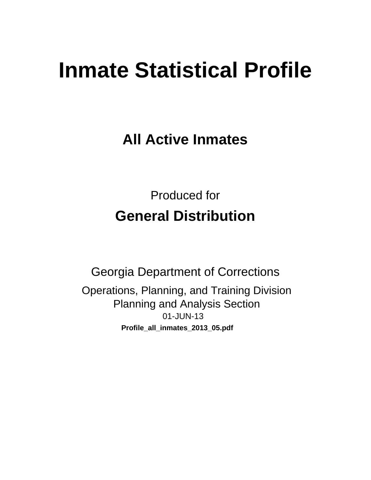# **Inmate Statistical Profile**

**All Active Inmates** 

**Produced for General Distribution** 

**Georgia Department of Corrections** Operations, Planning, and Training Division **Planning and Analysis Section** 01-JUN-13 Profile\_all\_inmates\_2013\_05.pdf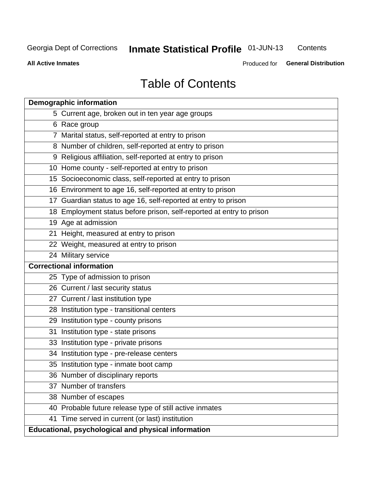## Inmate Statistical Profile 01-JUN-13

Contents

**All Active Inmates** 

Produced for General Distribution

## **Table of Contents**

|    | <b>Demographic information</b>                                       |
|----|----------------------------------------------------------------------|
|    | 5 Current age, broken out in ten year age groups                     |
|    | 6 Race group                                                         |
|    | 7 Marital status, self-reported at entry to prison                   |
|    | 8 Number of children, self-reported at entry to prison               |
|    | 9 Religious affiliation, self-reported at entry to prison            |
|    | 10 Home county - self-reported at entry to prison                    |
|    | 15 Socioeconomic class, self-reported at entry to prison             |
|    | 16 Environment to age 16, self-reported at entry to prison           |
|    | 17 Guardian status to age 16, self-reported at entry to prison       |
|    | 18 Employment status before prison, self-reported at entry to prison |
|    | 19 Age at admission                                                  |
|    | 21 Height, measured at entry to prison                               |
|    | 22 Weight, measured at entry to prison                               |
|    | 24 Military service                                                  |
|    | <b>Correctional information</b>                                      |
|    | 25 Type of admission to prison                                       |
|    | 26 Current / last security status                                    |
|    | 27 Current / last institution type                                   |
|    | 28 Institution type - transitional centers                           |
|    | 29 Institution type - county prisons                                 |
| 31 | Institution type - state prisons                                     |
|    | 33 Institution type - private prisons                                |
|    | 34 Institution type - pre-release centers                            |
|    | 35 Institution type - inmate boot camp                               |
|    | 36 Number of disciplinary reports                                    |
|    | 37 Number of transfers                                               |
|    | 38 Number of escapes                                                 |
|    | 40 Probable future release type of still active inmates              |
|    | 41 Time served in current (or last) institution                      |
|    | Educational, psychological and physical information                  |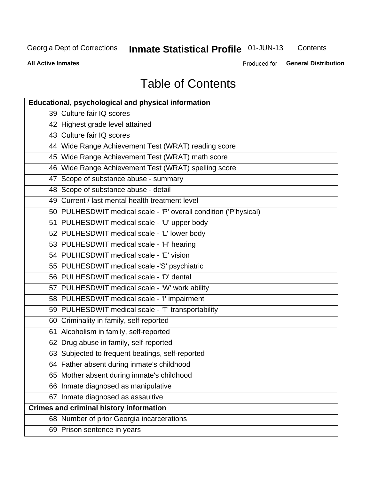## **Inmate Statistical Profile 01-JUN-13**

Contents

**All Active Inmates** 

Produced for General Distribution

## **Table of Contents**

| Educational, psychological and physical information              |
|------------------------------------------------------------------|
| 39 Culture fair IQ scores                                        |
| 42 Highest grade level attained                                  |
| 43 Culture fair IQ scores                                        |
| 44 Wide Range Achievement Test (WRAT) reading score              |
| 45 Wide Range Achievement Test (WRAT) math score                 |
| 46 Wide Range Achievement Test (WRAT) spelling score             |
| 47 Scope of substance abuse - summary                            |
| 48 Scope of substance abuse - detail                             |
| 49 Current / last mental health treatment level                  |
| 50 PULHESDWIT medical scale - 'P' overall condition ('P'hysical) |
| 51 PULHESDWIT medical scale - 'U' upper body                     |
| 52 PULHESDWIT medical scale - 'L' lower body                     |
| 53 PULHESDWIT medical scale - 'H' hearing                        |
| 54 PULHESDWIT medical scale - 'E' vision                         |
| 55 PULHESDWIT medical scale -'S' psychiatric                     |
| 56 PULHESDWIT medical scale - 'D' dental                         |
| 57 PULHESDWIT medical scale - 'W' work ability                   |
| 58 PULHESDWIT medical scale - 'I' impairment                     |
| 59 PULHESDWIT medical scale - 'T' transportability               |
| 60 Criminality in family, self-reported                          |
| 61 Alcoholism in family, self-reported                           |
| 62 Drug abuse in family, self-reported                           |
| 63 Subjected to frequent beatings, self-reported                 |
| 64 Father absent during inmate's childhood                       |
| 65 Mother absent during inmate's childhood                       |
| 66 Inmate diagnosed as manipulative                              |
| 67 Inmate diagnosed as assaultive                                |
| <b>Crimes and criminal history information</b>                   |
| 68 Number of prior Georgia incarcerations                        |
| 69 Prison sentence in years                                      |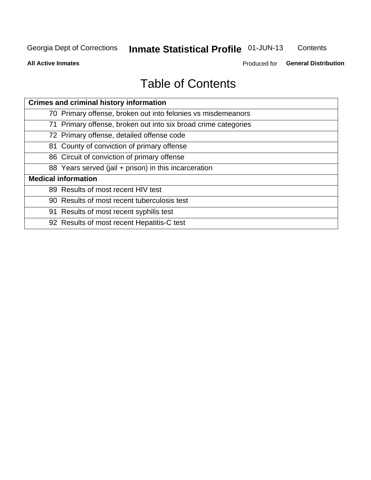#### Inmate Statistical Profile 01-JUN-13 Contents

**All Active Inmates** 

Produced for General Distribution

## **Table of Contents**

| <b>Crimes and criminal history information</b>                 |
|----------------------------------------------------------------|
| 70 Primary offense, broken out into felonies vs misdemeanors   |
| 71 Primary offense, broken out into six broad crime categories |
| 72 Primary offense, detailed offense code                      |
| 81 County of conviction of primary offense                     |
| 86 Circuit of conviction of primary offense                    |
| 88 Years served (jail + prison) in this incarceration          |
| <b>Medical information</b>                                     |
| 89 Results of most recent HIV test                             |
| 90 Results of most recent tuberculosis test                    |
| 91 Results of most recent syphilis test                        |
| 92 Results of most recent Hepatitis-C test                     |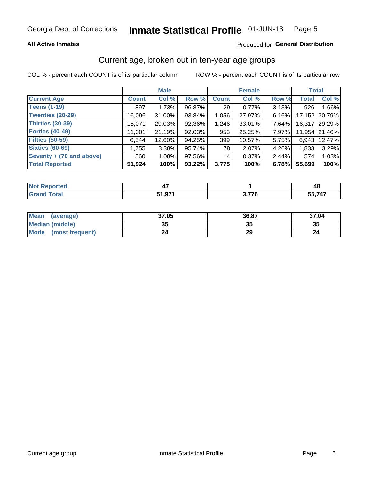#### **All Active Inmates**

#### Produced for General Distribution

## Current age, broken out in ten-year age groups

COL % - percent each COUNT is of its particular column

|                          |              | <b>Male</b> |        |                 | <b>Female</b> |          | <b>Total</b> |               |
|--------------------------|--------------|-------------|--------|-----------------|---------------|----------|--------------|---------------|
| <b>Current Age</b>       | <b>Count</b> | Col %       | Row %  | <b>Count</b>    | Col %         | Row %    | <b>Total</b> | Col %         |
| <b>Teens (1-19)</b>      | 897          | 1.73%       | 96.87% | 29 <sub>1</sub> | 0.77%         | 3.13%    | 926          | 1.66%         |
| <b>Twenties (20-29)</b>  | 16,096       | $31.00\%$   | 93.84% | 1,056           | 27.97%        | 6.16%    | 17,152       | 30.79%        |
| <b>Thirties (30-39)</b>  | 15,071       | 29.03%      | 92.36% | 1,246           | 33.01%        | $7.64\%$ |              | 16,317 29.29% |
| <b>Forties (40-49)</b>   | 11,001       | 21.19%      | 92.03% | 953             | 25.25%        | 7.97%    |              | 11,954 21.46% |
| <b>Fifties (50-59)</b>   | 6,544        | $12.60\%$   | 94.25% | 399             | 10.57%        | 5.75%    | 6,943        | 12.47%        |
| <b>Sixties (60-69)</b>   | 1,755        | $3.38\%$    | 95.74% | 78              | 2.07%         | 4.26%    | 1,833        | 3.29%         |
| Seventy + (70 and above) | 560          | 1.08%       | 97.56% | 14              | 0.37%         | $2.44\%$ | 574          | 1.03%         |
| <b>Total Reported</b>    | 51,924       | 100%        | 93.22% | 3,775           | 100%          | 6.78%    | 55,699       | 100%          |

| <b>Not Reported</b> | ,,,         |              | 48  |
|---------------------|-------------|--------------|-----|
| <b>Total</b>        | $\sim$<br>. | <b>0.77C</b> | 747 |

| <b>Mean</b><br>(average)       | 37.05    | 36.87 | 37.04 |
|--------------------------------|----------|-------|-------|
| Median (middle)                | つん<br>vu | JJ    | 35    |
| <b>Mode</b><br>(most frequent) | 24       | 29    |       |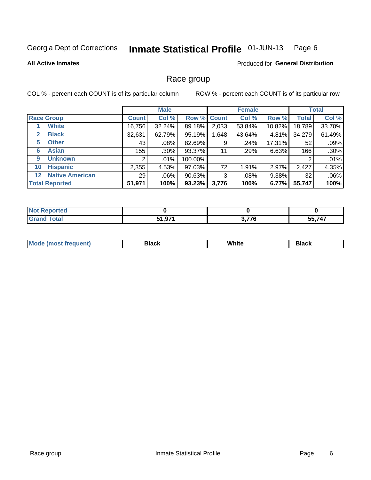#### Inmate Statistical Profile 01-JUN-13 Page 6

#### **All Active Inmates**

#### **Produced for General Distribution**

### Race group

COL % - percent each COUNT is of its particular column

|                                   |              | <b>Male</b> |           |             | <b>Female</b> |          |              | <b>Total</b> |
|-----------------------------------|--------------|-------------|-----------|-------------|---------------|----------|--------------|--------------|
| <b>Race Group</b>                 | <b>Count</b> | Col %       |           | Row % Count | Col %         | Row %    | <b>Total</b> | Col %        |
| <b>White</b>                      | 16,756       | 32.24%      | 89.18%    | 2,033       | 53.84%        | 10.82%   | 18,789       | 33.70%       |
| <b>Black</b><br>$\mathbf{2}$      | 32,631       | 62.79%      | 95.19%    | .648        | 43.64%        | 4.81%    | 34,279       | 61.49%       |
| <b>Other</b><br>5.                | 43           | $.08\%$     | 82.69%    | 9           | .24%          | 17.31%   | 52           | .09%         |
| <b>Asian</b><br>6                 | 155          | $.30\%$     | 93.37%    | 11          | .29%          | 6.63%    | 166          | .30%         |
| <b>Unknown</b><br>9               | 2            | $.01\%$     | 100.00%   |             |               |          | 2            | .01%         |
| <b>Hispanic</b><br>10             | 2,355        | 4.53%       | 97.03%    | 72          | 1.91%         | 2.97%    | 2,427        | 4.35%        |
| <b>Native American</b><br>$12 \,$ | 29           | $.06\%$     | $90.63\%$ | 3           | .08%          | $9.38\%$ | 32           | .06%         |
| <b>Total Reported</b>             | 51,971       | 100%        | 93.23%    | 3,776       | 100%          | 6.77%    | 55,747       | 100%         |

| enorted<br>Nt          |                 |       |        |
|------------------------|-----------------|-------|--------|
| <b>Total</b><br>'Grano | 071<br>C 4<br>. | 3,776 | 55,747 |

| <b>Mode</b><br>.<br>. . | DIACK | White | חטוע |
|-------------------------|-------|-------|------|
|                         |       |       |      |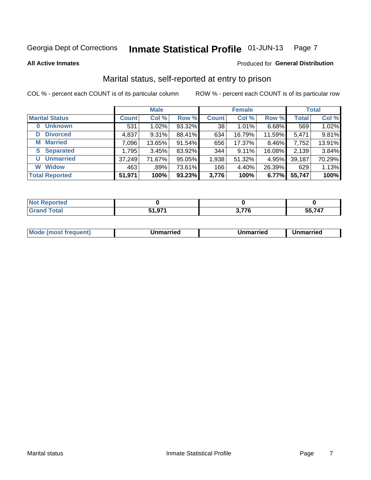#### Inmate Statistical Profile 01-JUN-13 Page 7

**All Active Inmates** 

#### Produced for General Distribution

## Marital status, self-reported at entry to prison

COL % - percent each COUNT is of its particular column

|                            |              | <b>Male</b> |        |              | <b>Female</b> |        |              | <b>Total</b> |
|----------------------------|--------------|-------------|--------|--------------|---------------|--------|--------------|--------------|
| <b>Marital Status</b>      | <b>Count</b> | Col %       | Row %  | <b>Count</b> | Col %         | Row %  | <b>Total</b> | Col %        |
| <b>Unknown</b><br>$\bf{0}$ | 531          | 1.02%       | 93.32% | 38           | 1.01%         | 6.68%  | 569          | 1.02%        |
| <b>Divorced</b><br>D       | 4,837        | $9.31\%$    | 88.41% | 634          | 16.79%        | 11.59% | 5,471        | 9.81%        |
| <b>Married</b><br>М        | 7,096        | 13.65%      | 91.54% | 656          | 17.37%        | 8.46%  | 7,752        | 13.91%       |
| <b>Separated</b><br>S.     | 1,795        | 3.45%       | 83.92% | 344          | 9.11%         | 16.08% | 2,139        | 3.84%        |
| <b>Unmarried</b><br>U      | 37,249       | 71.67%      | 95.05% | 1,938        | 51.32%        | 4.95%  | 39,187       | 70.29%       |
| <b>Widow</b><br>W          | 463          | .89%        | 73.61% | 166          | 4.40%         | 26.39% | 629          | 1.13%        |
| <b>Total Reported</b>      | 51,971       | 100%        | 93.23% | 3,776        | 100%          | 6.77%  | 55,747       | 100%         |

| ాorted<br><b>NOT</b> |     |                    |       |
|----------------------|-----|--------------------|-------|
| <b>Total</b>         | 074 | ייד ה<br><u> .</u> | 55747 |

| <b>Mode (most frequent)</b><br>Unmarried<br>Unmarried<br>Jnmarried |
|--------------------------------------------------------------------|
|--------------------------------------------------------------------|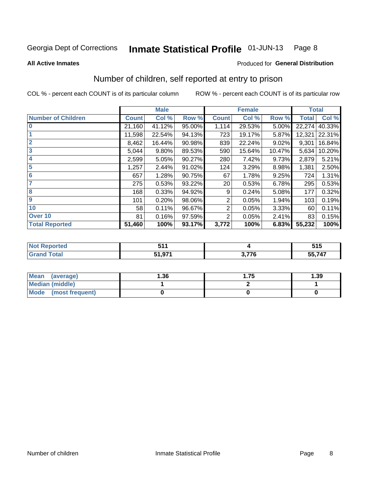#### Inmate Statistical Profile 01-JUN-13 Page 8

#### **All Active Inmates**

#### Produced for General Distribution

## Number of children, self reported at entry to prison

COL % - percent each COUNT is of its particular column

|                           |              | <b>Male</b> |           |              | <b>Female</b> |        | <b>Total</b> |        |
|---------------------------|--------------|-------------|-----------|--------------|---------------|--------|--------------|--------|
| <b>Number of Children</b> | <b>Count</b> | Col %       | Row %     | <b>Count</b> | Col %         | Row %  | <b>Total</b> | Col %  |
| $\overline{\mathbf{0}}$   | 21,160       | 41.12%      | 95.00%    | 1,114        | 29.53%        | 5.00%  | 22,274       | 40.33% |
|                           | 11,598       | 22.54%      | 94.13%    | 723          | 19.17%        | 5.87%  | 12,321       | 22.31% |
| $\overline{2}$            | 8,462        | 16.44%      | 90.98%    | 839          | 22.24%        | 9.02%  | 9,301        | 16.84% |
| $\overline{3}$            | 5,044        | 9.80%       | 89.53%    | 590          | 15.64%        | 10.47% | 5,634        | 10.20% |
| 4                         | 2,599        | 5.05%       | 90.27%    | 280          | 7.42%         | 9.73%  | 2,879        | 5.21%  |
| 5                         | 1,257        | 2.44%       | $91.02\%$ | 124          | 3.29%         | 8.98%  | 1,381        | 2.50%  |
| $\overline{6}$            | 657          | 1.28%       | 90.75%    | 67           | 1.78%         | 9.25%  | 724          | 1.31%  |
| 7                         | 275          | 0.53%       | 93.22%    | 20           | 0.53%         | 6.78%  | 295          | 0.53%  |
| 8                         | 168          | 0.33%       | 94.92%    | 9            | 0.24%         | 5.08%  | 177          | 0.32%  |
| $\boldsymbol{9}$          | 101          | 0.20%       | 98.06%    | 2            | 0.05%         | 1.94%  | 103          | 0.19%  |
| 10                        | 58           | 0.11%       | 96.67%    | 2            | 0.05%         | 3.33%  | 60           | 0.11%  |
| Over 10                   | 81           | 0.16%       | 97.59%    | 2            | 0.05%         | 2.41%  | 83           | 0.15%  |
| <b>Total Reported</b>     | 51,460       | 100%        | 93.17%    | 3,772        | 100%          | 6.83%  | 55,232       | 100%   |

| .                        |                             | ---<br>J I J |
|--------------------------|-----------------------------|--------------|
| $F \land F$<br>, , , , , | $\sim$ $\rightarrow$ $\sim$ | 55,747       |

| <b>Mean</b><br>(average)       | 1.36 | . 75 | 1.39 |  |  |
|--------------------------------|------|------|------|--|--|
| Median (middle)                |      |      |      |  |  |
| <b>Mode</b><br>(most frequent) |      |      |      |  |  |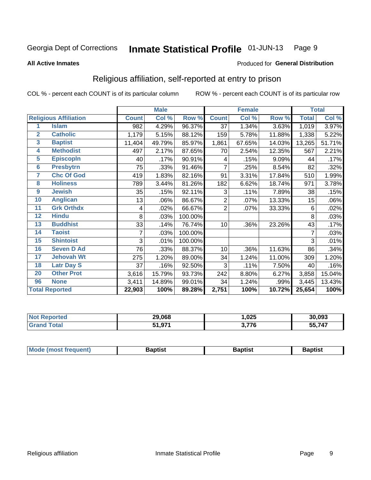#### Inmate Statistical Profile 01-JUN-13 Page 9

#### **All Active Inmates**

#### Produced for General Distribution

## Religious affiliation, self-reported at entry to prison

COL % - percent each COUNT is of its particular column

|                         |                              |              | <b>Male</b> |                  |                | <b>Female</b> |        |              | <b>Total</b> |
|-------------------------|------------------------------|--------------|-------------|------------------|----------------|---------------|--------|--------------|--------------|
|                         | <b>Religious Affiliation</b> | <b>Count</b> | Col %       | Row <sup>%</sup> | <b>Count</b>   | Col %         | Row %  | <b>Total</b> | Col %        |
| 1                       | <b>Islam</b>                 | 982          | 4.29%       | 96.37%           | 37             | 1.34%         | 3.63%  | 1,019        | 3.97%        |
| $\overline{2}$          | <b>Catholic</b>              | 1,179        | 5.15%       | 88.12%           | 159            | 5.78%         | 11.88% | 1,338        | 5.22%        |
| $\overline{\mathbf{3}}$ | <b>Baptist</b>               | 11,404       | 49.79%      | 85.97%           | 1,861          | 67.65%        | 14.03% | 13,265       | 51.71%       |
| 4                       | <b>Methodist</b>             | 497          | 2.17%       | 87.65%           | 70             | 2.54%         | 12.35% | 567          | 2.21%        |
| $\overline{5}$          | <b>EpiscopIn</b>             | 40           | .17%        | 90.91%           | 4              | .15%          | 9.09%  | 44           | .17%         |
| $6\overline{6}$         | <b>Presbytrn</b>             | 75           | .33%        | 91.46%           | 7              | .25%          | 8.54%  | 82           | .32%         |
| 7                       | <b>Chc Of God</b>            | 419          | 1.83%       | 82.16%           | 91             | 3.31%         | 17.84% | 510          | 1.99%        |
| 8                       | <b>Holiness</b>              | 789          | 3.44%       | 81.26%           | 182            | 6.62%         | 18.74% | 971          | 3.78%        |
| $\boldsymbol{9}$        | <b>Jewish</b>                | 35           | .15%        | 92.11%           | 3              | .11%          | 7.89%  | 38           | .15%         |
| 10                      | <b>Anglican</b>              | 13           | .06%        | 86.67%           | 2              | .07%          | 13.33% | 15           | .06%         |
| 11                      | <b>Grk Orthdx</b>            | 4            | .02%        | 66.67%           | $\overline{2}$ | .07%          | 33.33% | 6            | .02%         |
| 12                      | <b>Hindu</b>                 | 8            | .03%        | 100.00%          |                |               |        | 8            | .03%         |
| 13                      | <b>Buddhist</b>              | 33           | .14%        | 76.74%           | 10             | .36%          | 23.26% | 43           | .17%         |
| 14                      | <b>Taoist</b>                |              | .03%        | 100.00%          |                |               |        | 7            | .03%         |
| 15                      | <b>Shintoist</b>             | 3            | .01%        | 100.00%          |                |               |        | 3            | .01%         |
| 16                      | <b>Seven D Ad</b>            | 76           | .33%        | 88.37%           | 10             | .36%          | 11.63% | 86           | .34%         |
| 17                      | <b>Jehovah Wt</b>            | 275          | 1.20%       | 89.00%           | 34             | 1.24%         | 11.00% | 309          | 1.20%        |
| 18                      | <b>Latr Day S</b>            | 37           | .16%        | 92.50%           | 3              | .11%          | 7.50%  | 40           | .16%         |
| 20                      | <b>Other Prot</b>            | 3,616        | 15.79%      | 93.73%           | 242            | 8.80%         | 6.27%  | 3,858        | 15.04%       |
| 96                      | <b>None</b>                  | 3,411        | 14.89%      | 99.01%           | 34             | 1.24%         | .99%   | 3,445        | 13.43%       |
|                         | <b>Total Reported</b>        | 22,903       | 100%        | 89.28%           | 2,751          | 100%          | 10.72% | 25,654       | 100%         |

|                 | 29,068<br>$\overline{\phantom{a}}$ | ,025  | 30,093            |
|-----------------|------------------------------------|-------|-------------------|
| $\sim$ 4 $\sim$ | <b>074</b><br>E4.                  | 8.776 | ,747<br>55<br>--- |

| Mode (most frequent) | <b>3aptist</b> | 3aptist | <b>Baptist</b> |
|----------------------|----------------|---------|----------------|
|                      |                |         |                |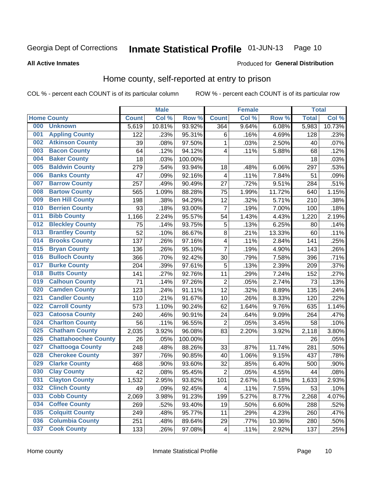#### Inmate Statistical Profile 01-JUN-13 Page 10

**All Active Inmates** 

#### Produced for General Distribution

### Home county, self-reported at entry to prison

COL % - percent each COUNT is of its particular column

|     |                             |              | <b>Male</b> |                  |                         | <b>Female</b> |        | <b>Total</b> |        |
|-----|-----------------------------|--------------|-------------|------------------|-------------------------|---------------|--------|--------------|--------|
|     | <b>Home County</b>          | <b>Count</b> | Col %       | Row <sup>%</sup> | <b>Count</b>            | Col %         | Row %  | <b>Total</b> | Col %  |
| 000 | <b>Unknown</b>              | 5,619        | 10.81%      | 93.92%           | 364                     | 9.64%         | 6.08%  | 5,983        | 10.73% |
| 001 | <b>Appling County</b>       | 122          | .23%        | 95.31%           | 6                       | .16%          | 4.69%  | 128          | .23%   |
| 002 | <b>Atkinson County</b>      | 39           | .08%        | 97.50%           | 1                       | .03%          | 2.50%  | 40           | .07%   |
| 003 | <b>Bacon County</b>         | 64           | .12%        | 94.12%           | 4                       | .11%          | 5.88%  | 68           | .12%   |
| 004 | <b>Baker County</b>         | 18           | .03%        | 100.00%          |                         |               |        | 18           | .03%   |
| 005 | <b>Baldwin County</b>       | 279          | .54%        | 93.94%           | 18                      | .48%          | 6.06%  | 297          | .53%   |
| 006 | <b>Banks County</b>         | 47           | .09%        | 92.16%           | 4                       | .11%          | 7.84%  | 51           | .09%   |
| 007 | <b>Barrow County</b>        | 257          | .49%        | 90.49%           | 27                      | .72%          | 9.51%  | 284          | .51%   |
| 008 | <b>Bartow County</b>        | 565          | 1.09%       | 88.28%           | 75                      | 1.99%         | 11.72% | 640          | 1.15%  |
| 009 | <b>Ben Hill County</b>      | 198          | .38%        | 94.29%           | 12                      | .32%          | 5.71%  | 210          | .38%   |
| 010 | <b>Berrien County</b>       | 93           | .18%        | 93.00%           | 7                       | .19%          | 7.00%  | 100          | .18%   |
| 011 | <b>Bibb County</b>          | 1,166        | 2.24%       | 95.57%           | 54                      | 1.43%         | 4.43%  | 1,220        | 2.19%  |
| 012 | <b>Bleckley County</b>      | 75           | .14%        | 93.75%           | 5                       | .13%          | 6.25%  | 80           | .14%   |
| 013 | <b>Brantley County</b>      | 52           | .10%        | 86.67%           | 8                       | .21%          | 13.33% | 60           | .11%   |
| 014 | <b>Brooks County</b>        | 137          | .26%        | 97.16%           | $\overline{4}$          | .11%          | 2.84%  | 141          | .25%   |
| 015 | <b>Bryan County</b>         | 136          | .26%        | 95.10%           | $\overline{7}$          | .19%          | 4.90%  | 143          | .26%   |
| 016 | <b>Bulloch County</b>       | 366          | .70%        | 92.42%           | 30                      | .79%          | 7.58%  | 396          | .71%   |
| 017 | <b>Burke County</b>         | 204          | .39%        | 97.61%           | 5                       | .13%          | 2.39%  | 209          | .37%   |
| 018 | <b>Butts County</b>         | 141          | .27%        | 92.76%           | 11                      | .29%          | 7.24%  | 152          | .27%   |
| 019 | <b>Calhoun County</b>       | 71           | .14%        | 97.26%           | $\overline{2}$          | .05%          | 2.74%  | 73           | .13%   |
| 020 | <b>Camden County</b>        | 123          | .24%        | 91.11%           | 12                      | .32%          | 8.89%  | 135          | .24%   |
| 021 | <b>Candler County</b>       | 110          | .21%        | 91.67%           | 10                      | .26%          | 8.33%  | 120          | .22%   |
| 022 | <b>Carroll County</b>       | 573          | 1.10%       | 90.24%           | 62                      | 1.64%         | 9.76%  | 635          | 1.14%  |
| 023 | <b>Catoosa County</b>       | 240          | .46%        | 90.91%           | 24                      | .64%          | 9.09%  | 264          | .47%   |
| 024 | <b>Charlton County</b>      | 56           | .11%        | 96.55%           | 2                       | .05%          | 3.45%  | 58           | .10%   |
| 025 | <b>Chatham County</b>       | 2,035        | 3.92%       | 96.08%           | 83                      | 2.20%         | 3.92%  | 2,118        | 3.80%  |
| 026 | <b>Chattahoochee County</b> | 26           | .05%        | 100.00%          |                         |               |        | 26           | .05%   |
| 027 | <b>Chattooga County</b>     | 248          | .48%        | 88.26%           | 33                      | .87%          | 11.74% | 281          | .50%   |
| 028 | <b>Cherokee County</b>      | 397          | .76%        | 90.85%           | 40                      | 1.06%         | 9.15%  | 437          | .78%   |
| 029 | <b>Clarke County</b>        | 468          | .90%        | 93.60%           | 32                      | .85%          | 6.40%  | 500          | .90%   |
| 030 | <b>Clay County</b>          | 42           | .08%        | 95.45%           | $\overline{2}$          | .05%          | 4.55%  | 44           | .08%   |
| 031 | <b>Clayton County</b>       | 1,532        | 2.95%       | 93.82%           | 101                     | 2.67%         | 6.18%  | 1,633        | 2.93%  |
| 032 | <b>Clinch County</b>        | 49           | .09%        | 92.45%           | 4                       | .11%          | 7.55%  | 53           | .10%   |
| 033 | <b>Cobb County</b>          | 2,069        | 3.98%       | 91.23%           | 199                     | 5.27%         | 8.77%  | 2,268        | 4.07%  |
| 034 | <b>Coffee County</b>        | 269          | .52%        | 93.40%           | 19                      | .50%          | 6.60%  | 288          | .52%   |
| 035 | <b>Colquitt County</b>      | 249          | .48%        | 95.77%           | 11                      | .29%          | 4.23%  | 260          | .47%   |
| 036 | <b>Columbia County</b>      | 251          | .48%        | 89.64%           | 29                      | .77%          | 10.36% | 280          | .50%   |
| 037 | <b>Cook County</b>          | 133          | .26%        | 97.08%           | $\overline{\mathbf{4}}$ | .11%          | 2.92%  | 137          | .25%   |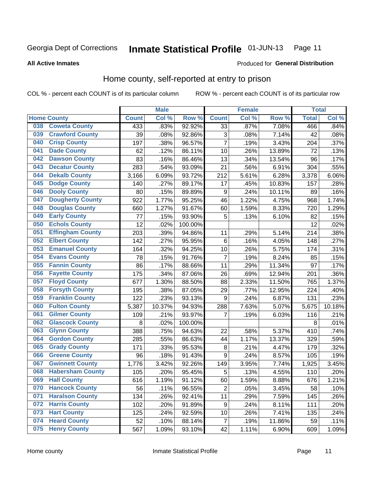#### **Inmate Statistical Profile 01-JUN-13** Page 11

#### **All Active Inmates**

## Produced for General Distribution

## Home county, self-reported at entry to prison

COL % - percent each COUNT is of its particular column

|     |                         |              | <b>Male</b> |         |                  | <b>Female</b> |        | <b>Total</b> |        |
|-----|-------------------------|--------------|-------------|---------|------------------|---------------|--------|--------------|--------|
|     | <b>Home County</b>      | <b>Count</b> | Col %       | Row %   | <b>Count</b>     | Col %         | Row %  | <b>Total</b> | Col %  |
| 038 | <b>Coweta County</b>    | 433          | .83%        | 92.92%  | $\overline{33}$  | .87%          | 7.08%  | 466          | .84%   |
| 039 | <b>Crawford County</b>  | 39           | .08%        | 92.86%  | 3                | .08%          | 7.14%  | 42           | .08%   |
| 040 | <b>Crisp County</b>     | 197          | .38%        | 96.57%  | $\overline{7}$   | .19%          | 3.43%  | 204          | .37%   |
| 041 | <b>Dade County</b>      | 62           | .12%        | 86.11%  | 10               | .26%          | 13.89% | 72           | .13%   |
| 042 | <b>Dawson County</b>    | 83           | .16%        | 86.46%  | 13               | .34%          | 13.54% | 96           | .17%   |
| 043 | <b>Decatur County</b>   | 283          | .54%        | 93.09%  | 21               | .56%          | 6.91%  | 304          | .55%   |
| 044 | <b>Dekalb County</b>    | 3,166        | 6.09%       | 93.72%  | 212              | 5.61%         | 6.28%  | 3,378        | 6.06%  |
| 045 | <b>Dodge County</b>     | 140          | .27%        | 89.17%  | 17               | .45%          | 10.83% | 157          | .28%   |
| 046 | <b>Dooly County</b>     | 80           | .15%        | 89.89%  | 9                | .24%          | 10.11% | 89           | .16%   |
| 047 | <b>Dougherty County</b> | 922          | 1.77%       | 95.25%  | 46               | 1.22%         | 4.75%  | 968          | 1.74%  |
| 048 | <b>Douglas County</b>   | 660          | 1.27%       | 91.67%  | 60               | 1.59%         | 8.33%  | 720          | 1.29%  |
| 049 | <b>Early County</b>     | 77           | .15%        | 93.90%  | 5                | .13%          | 6.10%  | 82           | .15%   |
| 050 | <b>Echols County</b>    | 12           | .02%        | 100.00% |                  |               |        | 12           | .02%   |
| 051 | <b>Effingham County</b> | 203          | .39%        | 94.86%  | 11               | .29%          | 5.14%  | 214          | .38%   |
| 052 | <b>Elbert County</b>    | 142          | .27%        | 95.95%  | 6                | .16%          | 4.05%  | 148          | .27%   |
| 053 | <b>Emanuel County</b>   | 164          | .32%        | 94.25%  | 10               | .26%          | 5.75%  | 174          | .31%   |
| 054 | <b>Evans County</b>     | 78           | .15%        | 91.76%  | 7                | .19%          | 8.24%  | 85           | .15%   |
| 055 | <b>Fannin County</b>    | 86           | .17%        | 88.66%  | 11               | .29%          | 11.34% | 97           | .17%   |
| 056 | <b>Fayette County</b>   | 175          | .34%        | 87.06%  | 26               | .69%          | 12.94% | 201          | .36%   |
| 057 | <b>Floyd County</b>     | 677          | 1.30%       | 88.50%  | 88               | 2.33%         | 11.50% | 765          | 1.37%  |
| 058 | <b>Forsyth County</b>   | 195          | .38%        | 87.05%  | 29               | .77%          | 12.95% | 224          | .40%   |
| 059 | <b>Franklin County</b>  | 122          | .23%        | 93.13%  | 9                | .24%          | 6.87%  | 131          | .23%   |
| 060 | <b>Fulton County</b>    | 5,387        | 10.37%      | 94.93%  | 288              | 7.63%         | 5.07%  | 5,675        | 10.18% |
| 061 | <b>Gilmer County</b>    | 109          | .21%        | 93.97%  | 7                | .19%          | 6.03%  | 116          | .21%   |
| 062 | <b>Glascock County</b>  | 8            | .02%        | 100.00% |                  |               |        | 8            | .01%   |
| 063 | <b>Glynn County</b>     | 388          | .75%        | 94.63%  | 22               | .58%          | 5.37%  | 410          | .74%   |
| 064 | <b>Gordon County</b>    | 285          | .55%        | 86.63%  | 44               | 1.17%         | 13.37% | 329          | .59%   |
| 065 | <b>Grady County</b>     | 171          | .33%        | 95.53%  | 8                | .21%          | 4.47%  | 179          | .32%   |
| 066 | <b>Greene County</b>    | 96           | .18%        | 91.43%  | 9                | .24%          | 8.57%  | 105          | .19%   |
| 067 | <b>Gwinnett County</b>  | 1,776        | 3.42%       | 92.26%  | 149              | 3.95%         | 7.74%  | 1,925        | 3.45%  |
| 068 | <b>Habersham County</b> | 105          | .20%        | 95.45%  | 5                | .13%          | 4.55%  | 110          | .20%   |
| 069 | <b>Hall County</b>      | 616          | 1.19%       | 91.12%  | 60               | 1.59%         | 8.88%  | 676          | 1.21%  |
| 070 | <b>Hancock County</b>   | 56           | .11%        | 96.55%  | $\overline{2}$   | .05%          | 3.45%  | 58           | .10%   |
| 071 | <b>Haralson County</b>  | 134          | .26%        | 92.41%  | 11               | .29%          | 7.59%  | 145          | .26%   |
| 072 | <b>Harris County</b>    | 102          | .20%        | 91.89%  | $\boldsymbol{9}$ | .24%          | 8.11%  | 111          | .20%   |
| 073 | <b>Hart County</b>      | 125          | .24%        | 92.59%  | 10               | .26%          | 7.41%  | 135          | .24%   |
| 074 | <b>Heard County</b>     | 52           | .10%        | 88.14%  | $\overline{7}$   | .19%          | 11.86% | 59           | .11%   |
| 075 | <b>Henry County</b>     | 567          | 1.09%       | 93.10%  | 42               | 1.11%         | 6.90%  | 609          | 1.09%  |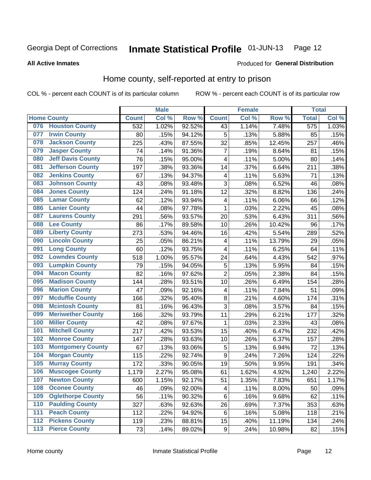#### Inmate Statistical Profile 01-JUN-13 Page 12

**All Active Inmates** 

#### Produced for General Distribution

### Home county, self-reported at entry to prison

COL % - percent each COUNT is of its particular column

|                  |                          |              | <b>Male</b> |                  |                         | <b>Female</b> |        | <b>Total</b> |       |
|------------------|--------------------------|--------------|-------------|------------------|-------------------------|---------------|--------|--------------|-------|
|                  | <b>Home County</b>       | <b>Count</b> | Col %       | Row <sup>%</sup> | <b>Count</b>            | Col %         | Row %  | <b>Total</b> | Col % |
| 076              | <b>Houston County</b>    | 532          | 1.02%       | 92.52%           | 43                      | 1.14%         | 7.48%  | 575          | 1.03% |
| 077              | <b>Irwin County</b>      | 80           | .15%        | 94.12%           | 5                       | .13%          | 5.88%  | 85           | .15%  |
| 078              | <b>Jackson County</b>    | 225          | .43%        | 87.55%           | 32                      | .85%          | 12.45% | 257          | .46%  |
| 079              | <b>Jasper County</b>     | 74           | .14%        | 91.36%           | $\overline{7}$          | .19%          | 8.64%  | 81           | .15%  |
| 080              | <b>Jeff Davis County</b> | 76           | .15%        | 95.00%           | $\overline{\mathbf{4}}$ | .11%          | 5.00%  | 80           | .14%  |
| 081              | <b>Jefferson County</b>  | 197          | .38%        | 93.36%           | 14                      | .37%          | 6.64%  | 211          | .38%  |
| 082              | <b>Jenkins County</b>    | 67           | .13%        | 94.37%           | $\overline{\mathbf{4}}$ | .11%          | 5.63%  | 71           | .13%  |
| 083              | <b>Johnson County</b>    | 43           | .08%        | 93.48%           | 3                       | .08%          | 6.52%  | 46           | .08%  |
| 084              | <b>Jones County</b>      | 124          | .24%        | 91.18%           | 12                      | .32%          | 8.82%  | 136          | .24%  |
| 085              | <b>Lamar County</b>      | 62           | .12%        | 93.94%           | 4                       | .11%          | 6.06%  | 66           | .12%  |
| 086              | <b>Lanier County</b>     | 44           | .08%        | 97.78%           | 1                       | .03%          | 2.22%  | 45           | .08%  |
| 087              | <b>Laurens County</b>    | 291          | .56%        | 93.57%           | 20                      | .53%          | 6.43%  | 311          | .56%  |
| 088              | <b>Lee County</b>        | 86           | .17%        | 89.58%           | 10                      | .26%          | 10.42% | 96           | .17%  |
| 089              | <b>Liberty County</b>    | 273          | .53%        | 94.46%           | 16                      | .42%          | 5.54%  | 289          | .52%  |
| 090              | <b>Lincoln County</b>    | 25           | .05%        | 86.21%           | $\overline{\mathbf{4}}$ | .11%          | 13.79% | 29           | .05%  |
| 091              | <b>Long County</b>       | 60           | .12%        | 93.75%           | 4                       | .11%          | 6.25%  | 64           | .11%  |
| 092              | <b>Lowndes County</b>    | 518          | 1.00%       | 95.57%           | 24                      | .64%          | 4.43%  | 542          | .97%  |
| 093              | <b>Lumpkin County</b>    | 79           | .15%        | 94.05%           | 5                       | .13%          | 5.95%  | 84           | .15%  |
| 094              | <b>Macon County</b>      | 82           | .16%        | 97.62%           | $\overline{2}$          | .05%          | 2.38%  | 84           | .15%  |
| 095              | <b>Madison County</b>    | 144          | .28%        | 93.51%           | 10                      | .26%          | 6.49%  | 154          | .28%  |
| 096              | <b>Marion County</b>     | 47           | .09%        | 92.16%           | 4                       | .11%          | 7.84%  | 51           | .09%  |
| 097              | <b>Mcduffie County</b>   | 166          | .32%        | 95.40%           | 8                       | .21%          | 4.60%  | 174          | .31%  |
| 098              | <b>Mcintosh County</b>   | 81           | .16%        | 96.43%           | 3                       | .08%          | 3.57%  | 84           | .15%  |
| 099              | <b>Meriwether County</b> | 166          | .32%        | 93.79%           | 11                      | .29%          | 6.21%  | 177          | .32%  |
| 100              | <b>Miller County</b>     | 42           | .08%        | 97.67%           | 1                       | .03%          | 2.33%  | 43           | .08%  |
| 101              | <b>Mitchell County</b>   | 217          | .42%        | 93.53%           | 15                      | .40%          | 6.47%  | 232          | .42%  |
| 102              | <b>Monroe County</b>     | 147          | .28%        | 93.63%           | 10                      | .26%          | 6.37%  | 157          | .28%  |
| 103              | <b>Montgomery County</b> | 67           | .13%        | 93.06%           | 5                       | .13%          | 6.94%  | 72           | .13%  |
| 104              | <b>Morgan County</b>     | 115          | .22%        | 92.74%           | 9                       | .24%          | 7.26%  | 124          | .22%  |
| 105              | <b>Murray County</b>     | 172          | .33%        | 90.05%           | 19                      | .50%          | 9.95%  | 191          | .34%  |
| 106              | <b>Muscogee County</b>   | 1,179        | 2.27%       | 95.08%           | 61                      | 1.62%         | 4.92%  | 1,240        | 2.22% |
| 107              | <b>Newton County</b>     | 600          | 1.15%       | 92.17%           | 51                      | 1.35%         | 7.83%  | 651          | 1.17% |
| 108              | <b>Oconee County</b>     | 46           | .09%        | 92.00%           | 4                       | .11%          | 8.00%  | 50           | .09%  |
| 109              | <b>Oglethorpe County</b> | 56           | .11%        | 90.32%           | 6                       | .16%          | 9.68%  | 62           | .11%  |
| 110              | <b>Paulding County</b>   | 327          | .63%        | 92.63%           | 26                      | .69%          | 7.37%  | 353          | .63%  |
| 111              | <b>Peach County</b>      | 112          | .22%        | 94.92%           | 6                       | .16%          | 5.08%  | 118          | .21%  |
| $\overline{112}$ | <b>Pickens County</b>    | 119          | .23%        | 88.81%           | 15                      | .40%          | 11.19% | 134          | .24%  |
| 113              | <b>Pierce County</b>     | 73           | .14%        | 89.02%           | $\boldsymbol{9}$        | .24%          | 10.98% | 82           | .15%  |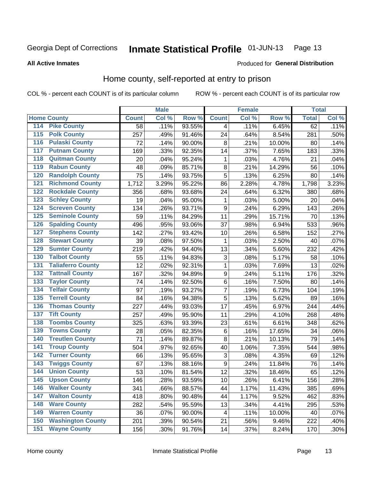#### Inmate Statistical Profile 01-JUN-13 Page 13

#### **All Active Inmates**

#### Produced for General Distribution

### Home county, self-reported at entry to prison

COL % - percent each COUNT is of its particular column

|                  |                          |              | <b>Male</b> |        |                  | <b>Female</b> |        | <b>Total</b> |         |
|------------------|--------------------------|--------------|-------------|--------|------------------|---------------|--------|--------------|---------|
|                  | <b>Home County</b>       | <b>Count</b> | Col %       | Row %  | <b>Count</b>     | Col %         | Row %  | <b>Total</b> | Col %   |
| 114              | <b>Pike County</b>       | 58           | .11%        | 93.55% | 4                | .11%          | 6.45%  | 62           | .11%    |
| 115              | <b>Polk County</b>       | 257          | .49%        | 91.46% | 24               | .64%          | 8.54%  | 281          | .50%    |
| 116              | <b>Pulaski County</b>    | 72           | .14%        | 90.00% | $\bf 8$          | .21%          | 10.00% | 80           | .14%    |
| 117              | <b>Putnam County</b>     | 169          | .33%        | 92.35% | 14               | .37%          | 7.65%  | 183          | .33%    |
| 118              | <b>Quitman County</b>    | 20           | .04%        | 95.24% | 1                | .03%          | 4.76%  | 21           | .04%    |
| 119              | <b>Rabun County</b>      | 48           | .09%        | 85.71% | 8                | .21%          | 14.29% | 56           | .10%    |
| 120              | <b>Randolph County</b>   | 75           | .14%        | 93.75% | 5                | .13%          | 6.25%  | 80           | .14%    |
| 121              | <b>Richmond County</b>   | 1,712        | 3.29%       | 95.22% | 86               | 2.28%         | 4.78%  | 1,798        | 3.23%   |
| 122              | <b>Rockdale County</b>   | 356          | .68%        | 93.68% | 24               | .64%          | 6.32%  | 380          | .68%    |
| 123              | <b>Schley County</b>     | 19           | .04%        | 95.00% | 1                | .03%          | 5.00%  | 20           | .04%    |
| 124              | <b>Screven County</b>    | 134          | .26%        | 93.71% | $\boldsymbol{9}$ | .24%          | 6.29%  | 143          | .26%    |
| 125              | <b>Seminole County</b>   | 59           | .11%        | 84.29% | 11               | .29%          | 15.71% | 70           | .13%    |
| 126              | <b>Spalding County</b>   | 496          | .95%        | 93.06% | 37               | .98%          | 6.94%  | 533          | .96%    |
| 127              | <b>Stephens County</b>   | 142          | .27%        | 93.42% | 10               | .26%          | 6.58%  | 152          | .27%    |
| 128              | <b>Stewart County</b>    | 39           | .08%        | 97.50% | 1                | .03%          | 2.50%  | 40           | .07%    |
| 129              | <b>Sumter County</b>     | 219          | .42%        | 94.40% | 13               | .34%          | 5.60%  | 232          | .42%    |
| 130              | <b>Talbot County</b>     | 55           | .11%        | 94.83% | 3                | .08%          | 5.17%  | 58           | .10%    |
| 131              | <b>Taliaferro County</b> | 12           | .02%        | 92.31% | $\mathbf{1}$     | .03%          | 7.69%  | 13           | .02%    |
| 132              | <b>Tattnall County</b>   | 167          | .32%        | 94.89% | $\boldsymbol{9}$ | .24%          | 5.11%  | 176          | .32%    |
| 133              | <b>Taylor County</b>     | 74           | .14%        | 92.50% | $\,6$            | .16%          | 7.50%  | 80           | .14%    |
| 134              | <b>Telfair County</b>    | 97           | .19%        | 93.27% | $\overline{7}$   | .19%          | 6.73%  | 104          | .19%    |
| 135              | <b>Terrell County</b>    | 84           | .16%        | 94.38% | 5                | .13%          | 5.62%  | 89           | .16%    |
| 136              | <b>Thomas County</b>     | 227          | .44%        | 93.03% | 17               | .45%          | 6.97%  | 244          | .44%    |
| 137              | <b>Tift County</b>       | 257          | .49%        | 95.90% | 11               | .29%          | 4.10%  | 268          | .48%    |
| 138              | <b>Toombs County</b>     | 325          | .63%        | 93.39% | 23               | .61%          | 6.61%  | 348          | .62%    |
| 139              | <b>Towns County</b>      | 28           | .05%        | 82.35% | $\,6$            | .16%          | 17.65% | 34           | .06%    |
| 140              | <b>Treutlen County</b>   | 71           | .14%        | 89.87% | $\bf 8$          | .21%          | 10.13% | 79           | .14%    |
| 141              | <b>Troup County</b>      | 504          | .97%        | 92.65% | 40               | 1.06%         | 7.35%  | 544          | .98%    |
| $\overline{142}$ | <b>Turner County</b>     | 66           | .13%        | 95.65% | 3                | .08%          | 4.35%  | 69           | .12%    |
| 143              | <b>Twiggs County</b>     | 67           | .13%        | 88.16% | $\boldsymbol{9}$ | .24%          | 11.84% | 76           | .14%    |
| 144              | <b>Union County</b>      | 53           | .10%        | 81.54% | 12               | .32%          | 18.46% | 65           | .12%    |
| 145              | <b>Upson County</b>      | 146          | .28%        | 93.59% | 10               | .26%          | 6.41%  | 156          | .28%    |
| 146              | <b>Walker County</b>     | 341          | .66%        | 88.57% | 44               | 1.17%         | 11.43% | 385          | .69%    |
| 147              | <b>Walton County</b>     | 418          | .80%        | 90.48% | 44               | 1.17%         | 9.52%  | 462          | .83%    |
| 148              | <b>Ware County</b>       | 282          | .54%        | 95.59% | 13               | .34%          | 4.41%  | 295          | .53%    |
| 149              | <b>Warren County</b>     | 36           | .07%        | 90.00% | 4                | .11%          | 10.00% | 40           | .07%    |
| 150              | <b>Washington County</b> | 201          | .39%        | 90.54% | 21               | .56%          | 9.46%  | 222          | .40%    |
| 151              | <b>Wayne County</b>      | 156          | .30%        | 91.76% | 14               | .37%          | 8.24%  | 170          | $.30\%$ |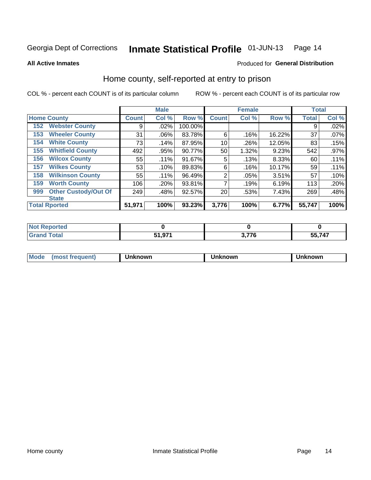#### Inmate Statistical Profile 01-JUN-13 Page 14

**All Active Inmates** 

#### Produced for General Distribution

### Home county, self-reported at entry to prison

COL % - percent each COUNT is of its particular column

|     |                             |              | <b>Male</b> |         |              | <b>Female</b> |        | <b>Total</b> |         |
|-----|-----------------------------|--------------|-------------|---------|--------------|---------------|--------|--------------|---------|
|     | <b>Home County</b>          | <b>Count</b> | Col %       | Row %   | <b>Count</b> | Col %         | Row %  | <b>Total</b> | Col %   |
| 152 | <b>Webster County</b>       | 9            | .02%        | 100.00% |              |               |        | 9            | .02%    |
| 153 | <b>Wheeler County</b>       | 31           | .06%        | 83.78%  | 6            | .16%          | 16.22% | 37           | .07%    |
| 154 | <b>White County</b>         | 73           | .14%        | 87.95%  | 10           | .26%          | 12.05% | 83           | .15%    |
| 155 | <b>Whitfield County</b>     | 492          | .95%        | 90.77%  | 50           | 1.32%         | 9.23%  | 542          | $.97\%$ |
| 156 | <b>Wilcox County</b>        | 55           | .11%        | 91.67%  | 5            | .13%          | 8.33%  | 60           | .11%    |
| 157 | <b>Wilkes County</b>        | 53           | .10%        | 89.83%  | 6            | .16%          | 10.17% | 59           | .11%    |
| 158 | <b>Wilkinson County</b>     | 55           | .11%        | 96.49%  | 2            | .05%          | 3.51%  | 57           | .10%    |
| 159 | <b>Worth County</b>         | 106          | .20%        | 93.81%  | 7            | .19%          | 6.19%  | 113          | .20%    |
| 999 | <b>Other Custody/Out Of</b> | 249          | .48%        | 92.57%  | 20           | .53%          | 7.43%  | 269          | .48%    |
|     | <b>State</b>                |              |             |         |              |               |        |              |         |
|     | <b>Total Rported</b>        | 51,971       | 100%        | 93.23%  | 3,776        | 100%          | 6.77%  | 55,747       | 100%    |

| oortea      |                |          |        |
|-------------|----------------|----------|--------|
| <b>otal</b> | 074<br>E4<br>. | ---<br>ю | 55 747 |

| Mode<br><b>Tequent)</b><br>ns | nown | mown | เทown |
|-------------------------------|------|------|-------|
|                               |      |      |       |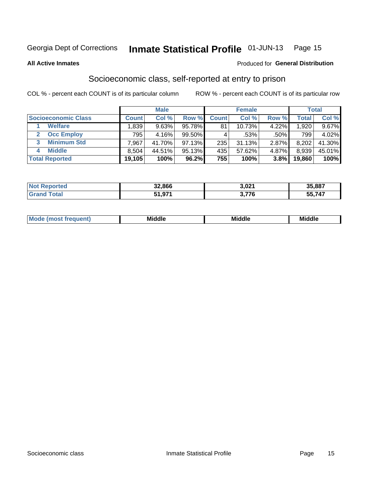#### Inmate Statistical Profile 01-JUN-13 Page 15

#### **All Active Inmates**

#### **Produced for General Distribution**

## Socioeconomic class, self-reported at entry to prison

COL % - percent each COUNT is of its particular column

|                       |                | <b>Male</b> |           |              | <b>Female</b> |       |        | <b>Total</b> |
|-----------------------|----------------|-------------|-----------|--------------|---------------|-------|--------|--------------|
| Socioeconomic Class   | <b>Count</b> l | Col %       | Row %     | <b>Count</b> | Col %         | Row % | Total  | Col %        |
| <b>Welfare</b>        | .839           | 9.63%       | 95.78%    | 81           | 10.73%        | 4.22% | 1.920  | 9.67%        |
| <b>Occ Employ</b>     | 795            | 4.16%       | $99.50\%$ |              | .53%          | .50%  | 799    | 4.02%        |
| <b>Minimum Std</b>    | .967           | 41.70%      | 97.13%    | 235          | 31.13%        | 2.87% | 8,202  | 41.30%       |
| <b>Middle</b>         | 8.504          | 44.51%      | 95.13%    | 435          | 57.62%        | 4.87% | 8,939  | 45.01%       |
| <b>Total Reported</b> | 19,105         | 100%        | 96.2%     | 755          | 100%          | 3.8%  | 19,860 | 100%         |

| Not F<br>orted | 32,866 | 3,021 | 35,887 |
|----------------|--------|-------|--------|
|                | 51,971 | 77C   | 747    |

| ____<br>____ |
|--------------|
|--------------|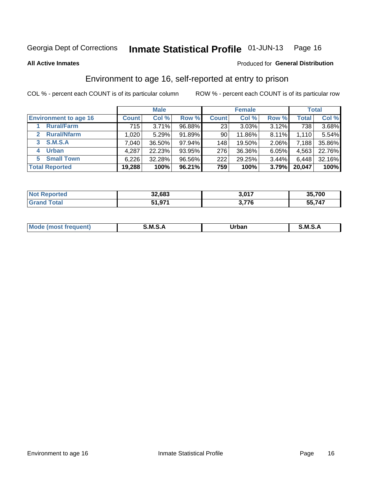## Inmate Statistical Profile 01-JUN-13 Page 16

**All Active Inmates** 

#### Produced for General Distribution

## Environment to age 16, self-reported at entry to prison

COL % - percent each COUNT is of its particular column

|                                    |              | <b>Male</b> |        |                 | <b>Female</b> |          |              | <b>Total</b> |
|------------------------------------|--------------|-------------|--------|-----------------|---------------|----------|--------------|--------------|
| <b>Environment to age 16</b>       | <b>Count</b> | Col %       | Row %  | <b>Count</b>    | Col %         | Row %    | <b>Total</b> | Col %        |
| <b>Rural/Farm</b>                  | 715          | 3.71%       | 96.88% | 23 <sub>1</sub> | 3.03%         | 3.12%    | 738          | 3.68%        |
| <b>Rural/Nfarm</b><br>$\mathbf{2}$ | 1,020        | 5.29%       | 91.89% | 90              | 11.86%        | $8.11\%$ | 1.110        | 5.54%        |
| 3 S.M.S.A                          | 7,040        | 36.50%      | 97.94% | 148             | 19.50%        | 2.06%    | 7,188        | 35.86%       |
| <b>Urban</b><br>4                  | 4,287        | 22.23%      | 93.95% | 276             | 36.36%        | 6.05%    | 4,563        | 22.76%       |
| 5 Small Town                       | 6,226        | 32.28%      | 96.56% | 222             | 29.25%        | 3.44%    | 6,448        | 32.16%       |
| <b>Total Reported</b>              | 19,288       | 100%        | 96.21% | 759             | 100%          | 3.79%    | 20,047       | 100%         |

| <b>Not Reported</b> | 32,683 | 3,017 | 35,700 |
|---------------------|--------|-------|--------|
| <b>Grand Total</b>  | 51,971 | 3,776 | 55,747 |

| Mo | M | ----- | M |
|----|---|-------|---|
|    |   | _____ |   |
|    |   |       |   |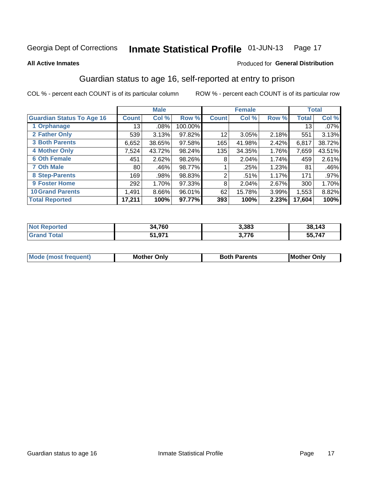#### Inmate Statistical Profile 01-JUN-13 Page 17

#### **All Active Inmates**

#### Produced for General Distribution

## Guardian status to age 16, self-reported at entry to prison

COL % - percent each COUNT is of its particular column

|                                  |              | <b>Male</b> |         |              | <b>Female</b> |       |        | <b>Total</b> |
|----------------------------------|--------------|-------------|---------|--------------|---------------|-------|--------|--------------|
| <b>Guardian Status To Age 16</b> | <b>Count</b> | Col %       | Row %   | <b>Count</b> | Col %         | Row % | Total  | Col %        |
| 1 Orphanage                      | 13           | $.08\%$     | 100.00% |              |               |       | 13     | $.07\%$      |
| 2 Father Only                    | 539          | 3.13%       | 97.82%  | 12           | 3.05%         | 2.18% | 551    | 3.13%        |
| <b>3 Both Parents</b>            | 6,652        | 38.65%      | 97.58%  | 165          | 41.98%        | 2.42% | 6,817  | 38.72%       |
| <b>4 Mother Only</b>             | 7,524        | 43.72%      | 98.24%  | 135          | 34.35%        | 1.76% | 7,659  | 43.51%       |
| <b>6 Oth Female</b>              | 451          | 2.62%       | 98.26%  | 8            | 2.04%         | 1.74% | 459    | 2.61%        |
| <b>7 Oth Male</b>                | 80           | .46%        | 98.77%  |              | .25%          | 1.23% | 81     | .46%         |
| 8 Step-Parents                   | 169          | .98%        | 98.83%  | 2            | .51%          | 1.17% | 171    | $.97\%$      |
| 9 Foster Home                    | 292          | 1.70%       | 97.33%  | 8            | 2.04%         | 2.67% | 300    | 1.70%        |
| <b>10 Grand Parents</b>          | 1,491        | 8.66%       | 96.01%  | 62           | 15.78%        | 3.99% | 1,553  | 8.82%        |
| <b>Total Reported</b>            | 17,211       | 100%        | 97.77%  | 393          | 100%          | 2.23% | 17,604 | 100%         |

| <b>orteg</b><br><b>NOT</b> | 34,760 | 3,383                  | 38,143       |
|----------------------------|--------|------------------------|--------------|
| .Gr                        | 51,971 | 77c<br>ა. <i>í í</i> o | 5,747<br>-55 |

| <b>Mode (most frequent)</b> | วทIv<br>- -<br>MΩ | <b>Roth</b><br>ີ <sup>ລ</sup> າrents | l Mc<br>Only<br>- - |
|-----------------------------|-------------------|--------------------------------------|---------------------|
|                             |                   |                                      |                     |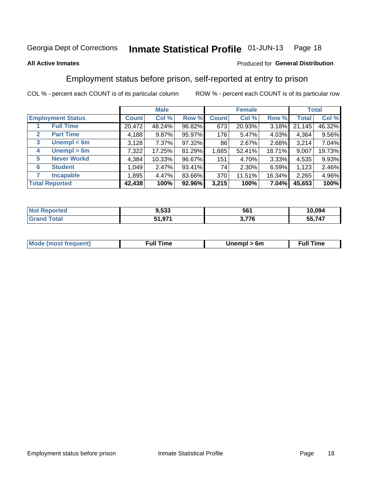#### Inmate Statistical Profile 01-JUN-13 Page 18

#### **All Active Inmates**

#### Produced for General Distribution

## Employment status before prison, self-reported at entry to prison

COL % - percent each COUNT is of its particular column

|                                  |              | <b>Male</b> |        |              | <b>Female</b> |          |        | <b>Total</b> |
|----------------------------------|--------------|-------------|--------|--------------|---------------|----------|--------|--------------|
| <b>Employment Status</b>         | <b>Count</b> | Col %       | Row %  | <b>Count</b> | Col %         | Row %    | Total  | Col %        |
| <b>Full Time</b>                 | 20,472       | 48.24%      | 96.82% | 673          | 20.93%        | $3.18\%$ | 21,145 | 46.32%       |
| <b>Part Time</b><br>$\mathbf{2}$ | 4,188        | 9.87%       | 95.97% | 176          | 5.47%         | 4.03%    | 4,364  | 9.56%        |
| Unempl $<$ 6m<br>3               | 3,128        | 7.37%       | 97.32% | 86           | 2.67%         | 2.68%    | 3,214  | 7.04%        |
| Unempl > 6m<br>4                 | 7,322        | 17.25%      | 81.29% | 1,685        | 52.41%        | 18.71%   | 9,007  | 19.73%       |
| <b>Never Workd</b><br>5          | 4,384        | 10.33%      | 96.67% | 151          | 4.70%         | $3.33\%$ | 4,535  | 9.93%        |
| <b>Student</b><br>6              | 1,049        | 2.47%       | 93.41% | 74           | 2.30%         | 6.59%    | 1,123  | 2.46%        |
| <b>Incapable</b>                 | 1,895        | 4.47%       | 83.66% | 370          | 11.51%        | 16.34%   | 2,265  | 4.96%        |
| <b>Total Reported</b>            | 42,438       | 100%        | 92.96% | 3,215        | 100%          | 7.04%    | 45,653 | 100%         |

| <b>orted</b><br>NO | 9,533  | 561   | 10.094 |
|--------------------|--------|-------|--------|
| $F$ ntal           | 51,971 | 2.77C | 55,747 |

| <b>Moo.</b><br><b>THOST</b> | the contract of the contract of the contract of the contract of the contract of the contract of the contract of | 6m | ıme |
|-----------------------------|-----------------------------------------------------------------------------------------------------------------|----|-----|
|                             |                                                                                                                 |    |     |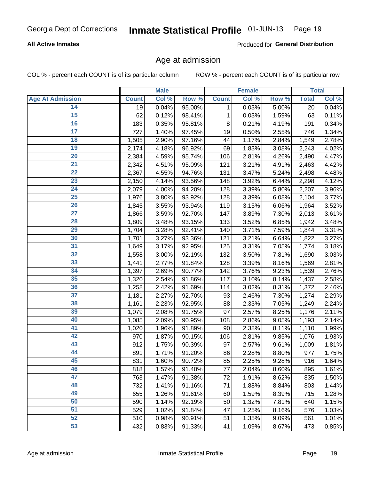#### **All Active Inmates**

Produced for General Distribution

### Age at admission

COL % - percent each COUNT is of its particular column

|                         |              | <b>Male</b> |        |              | <b>Female</b> |       |              | <b>Total</b> |
|-------------------------|--------------|-------------|--------|--------------|---------------|-------|--------------|--------------|
| <b>Age At Admission</b> | <b>Count</b> | Col %       | Row %  | <b>Count</b> | Col %         | Row % | <b>Total</b> | Col %        |
| 14                      | 19           | 0.04%       | 95.00% | 1            | 0.03%         | 5.00% | 20           | 0.04%        |
| 15                      | 62           | 0.12%       | 98.41% | 1            | 0.03%         | 1.59% | 63           | 0.11%        |
| 16                      | 183          | 0.35%       | 95.81% | 8            | 0.21%         | 4.19% | 191          | 0.34%        |
| $\overline{17}$         | 727          | 1.40%       | 97.45% | 19           | 0.50%         | 2.55% | 746          | 1.34%        |
| $\overline{18}$         | 1,505        | 2.90%       | 97.16% | 44           | 1.17%         | 2.84% | 1,549        | 2.78%        |
| 19                      | 2,174        | 4.18%       | 96.92% | 69           | 1.83%         | 3.08% | 2,243        | 4.02%        |
| 20                      | 2,384        | 4.59%       | 95.74% | 106          | 2.81%         | 4.26% | 2,490        | 4.47%        |
| $\overline{21}$         | 2,342        | 4.51%       | 95.09% | 121          | 3.21%         | 4.91% | 2,463        | 4.42%        |
| $\overline{22}$         | 2,367        | 4.55%       | 94.76% | 131          | 3.47%         | 5.24% | 2,498        | 4.48%        |
| 23                      | 2,150        | 4.14%       | 93.56% | 148          | 3.92%         | 6.44% | 2,298        | 4.12%        |
| 24                      | 2,079        | 4.00%       | 94.20% | 128          | 3.39%         | 5.80% | 2,207        | 3.96%        |
| $\overline{25}$         | 1,976        | 3.80%       | 93.92% | 128          | 3.39%         | 6.08% | 2,104        | 3.77%        |
| $\overline{26}$         | 1,845        | 3.55%       | 93.94% | 119          | 3.15%         | 6.06% | 1,964        | 3.52%        |
| $\overline{27}$         | 1,866        | 3.59%       | 92.70% | 147          | 3.89%         | 7.30% | 2,013        | 3.61%        |
| 28                      | 1,809        | 3.48%       | 93.15% | 133          | 3.52%         | 6.85% | 1,942        | 3.48%        |
| 29                      | 1,704        | 3.28%       | 92.41% | 140          | 3.71%         | 7.59% | 1,844        | 3.31%        |
| 30                      | 1,701        | 3.27%       | 93.36% | 121          | 3.21%         | 6.64% | 1,822        | 3.27%        |
| 31                      | 1,649        | 3.17%       | 92.95% | 125          | 3.31%         | 7.05% | 1,774        | 3.18%        |
| 32                      | 1,558        | 3.00%       | 92.19% | 132          | 3.50%         | 7.81% | 1,690        | 3.03%        |
| 33                      | 1,441        | 2.77%       | 91.84% | 128          | 3.39%         | 8.16% | 1,569        | 2.81%        |
| 34                      | 1,397        | 2.69%       | 90.77% | 142          | 3.76%         | 9.23% | 1,539        | 2.76%        |
| 35                      | 1,320        | 2.54%       | 91.86% | 117          | 3.10%         | 8.14% | 1,437        | 2.58%        |
| 36                      | 1,258        | 2.42%       | 91.69% | 114          | 3.02%         | 8.31% | 1,372        | 2.46%        |
| $\overline{37}$         | 1,181        | 2.27%       | 92.70% | 93           | 2.46%         | 7.30% | 1,274        | 2.29%        |
| 38                      | 1,161        | 2.23%       | 92.95% | 88           | 2.33%         | 7.05% | 1,249        | 2.24%        |
| 39                      | 1,079        | 2.08%       | 91.75% | 97           | 2.57%         | 8.25% | 1,176        | 2.11%        |
| 40                      | 1,085        | 2.09%       | 90.95% | 108          | 2.86%         | 9.05% | 1,193        | 2.14%        |
| 41                      | 1,020        | 1.96%       | 91.89% | 90           | 2.38%         | 8.11% | 1,110        | 1.99%        |
| 42                      | 970          | 1.87%       | 90.15% | 106          | 2.81%         | 9.85% | 1,076        | 1.93%        |
| 43                      | 912          | 1.75%       | 90.39% | 97           | 2.57%         | 9.61% | 1,009        | 1.81%        |
| 44                      | 891          | 1.71%       | 91.20% | 86           | 2.28%         | 8.80% | 977          | 1.75%        |
| 45                      | 831          | 1.60%       | 90.72% | 85           | 2.25%         | 9.28% | 916          | 1.64%        |
| 46                      | 818          | 1.57%       | 91.40% | 77           | 2.04%         | 8.60% | 895          | 1.61%        |
| 47                      | 763          | 1.47%       | 91.38% | 72           | 1.91%         | 8.62% | 835          | 1.50%        |
| 48                      | 732          | 1.41%       | 91.16% | 71           | 1.88%         | 8.84% | 803          | 1.44%        |
| 49                      | 655          | 1.26%       | 91.61% | 60           | 1.59%         | 8.39% | 715          | 1.28%        |
| 50                      | 590          | 1.14%       | 92.19% | 50           | 1.32%         | 7.81% | 640          | 1.15%        |
| 51                      | 529          | 1.02%       | 91.84% | 47           | 1.25%         | 8.16% | 576          | 1.03%        |
| 52                      | 510          | 0.98%       | 90.91% | 51           | 1.35%         | 9.09% | 561          | 1.01%        |
| 53                      | 432          | 0.83%       | 91.33% | 41           | 1.09%         | 8.67% | 473          | 0.85%        |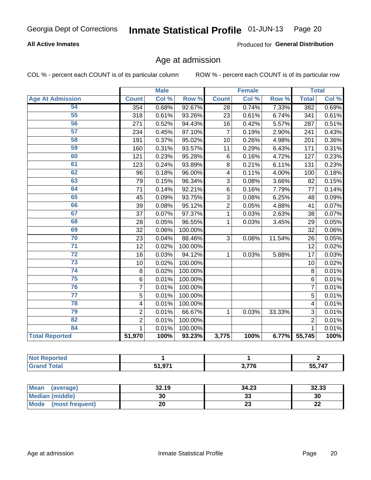#### **All Active Inmates**

Produced for General Distribution

## Age at admission

COL % - percent each COUNT is of its particular column

|                         |                         | <b>Male</b> |         |                | <b>Female</b> |        |                 | <b>Total</b> |
|-------------------------|-------------------------|-------------|---------|----------------|---------------|--------|-----------------|--------------|
| <b>Age At Admission</b> | <b>Count</b>            | Col %       | Row %   | <b>Count</b>   | Col %         | Row %  | <b>Total</b>    | Col %        |
| 54                      | 354                     | 0.68%       | 92.67%  | 28             | 0.74%         | 7.33%  | 382             | 0.69%        |
| 55                      | 318                     | 0.61%       | 93.26%  | 23             | 0.61%         | 6.74%  | 341             | 0.61%        |
| 56                      | 271                     | 0.52%       | 94.43%  | 16             | 0.42%         | 5.57%  | 287             | 0.51%        |
| 57                      | 234                     | 0.45%       | 97.10%  | $\overline{7}$ | 0.19%         | 2.90%  | 241             | 0.43%        |
| 58                      | 191                     | 0.37%       | 95.02%  | 10             | 0.26%         | 4.98%  | 201             | 0.36%        |
| 59                      | 160                     | 0.31%       | 93.57%  | 11             | 0.29%         | 6.43%  | 171             | 0.31%        |
| 60                      | 121                     | 0.23%       | 95.28%  | 6              | 0.16%         | 4.72%  | 127             | 0.23%        |
| 61                      | 123                     | 0.24%       | 93.89%  | 8              | 0.21%         | 6.11%  | 131             | 0.23%        |
| 62                      | 96                      | 0.18%       | 96.00%  | 4              | 0.11%         | 4.00%  | 100             | 0.18%        |
| 63                      | 79                      | 0.15%       | 96.34%  | 3              | 0.08%         | 3.66%  | 82              | 0.15%        |
| 64                      | 71                      | 0.14%       | 92.21%  | $6\phantom{1}$ | 0.16%         | 7.79%  | 77              | 0.14%        |
| 65                      | 45                      | 0.09%       | 93.75%  | 3              | 0.08%         | 6.25%  | 48              | 0.09%        |
| 66                      | 39                      | 0.08%       | 95.12%  | $\overline{2}$ | 0.05%         | 4.88%  | 41              | 0.07%        |
| 67                      | 37                      | 0.07%       | 97.37%  | 1              | 0.03%         | 2.63%  | 38              | 0.07%        |
| 68                      | 28                      | 0.05%       | 96.55%  | 1              | 0.03%         | 3.45%  | 29              | 0.05%        |
| 69                      | 32                      | 0.06%       | 100.00% |                |               |        | $\overline{32}$ | 0.06%        |
| 70                      | 23                      | 0.04%       | 88.46%  | 3              | 0.08%         | 11.54% | 26              | 0.05%        |
| $\overline{71}$         | 12                      | 0.02%       | 100.00% |                |               |        | 12              | 0.02%        |
| $\overline{72}$         | 16                      | 0.03%       | 94.12%  | 1              | 0.03%         | 5.88%  | 17              | 0.03%        |
| $\overline{73}$         | 10                      | 0.02%       | 100.00% |                |               |        | 10              | 0.02%        |
| $\overline{74}$         | $\bf 8$                 | 0.02%       | 100.00% |                |               |        | 8               | 0.01%        |
| 75                      | 6                       | 0.01%       | 100.00% |                |               |        | $6\phantom{1}$  | 0.01%        |
| 76                      | $\overline{7}$          | 0.01%       | 100.00% |                |               |        | 7               | 0.01%        |
| $\overline{77}$         | 5                       | 0.01%       | 100.00% |                |               |        | $\overline{5}$  | 0.01%        |
| 78                      | $\overline{\mathbf{4}}$ | 0.01%       | 100.00% |                |               |        | 4               | 0.01%        |
| 79                      | $\overline{2}$          | 0.01%       | 66.67%  | 1              | 0.03%         | 33.33% | 3               | 0.01%        |
| 82                      | $\overline{2}$          | 0.01%       | 100.00% |                |               |        | $\overline{2}$  | 0.01%        |
| 84                      | $\mathbf 1$             | 0.01%       | 100.00% |                |               |        | $\mathbf{1}$    | 0.01%        |
| <b>Total Reported</b>   | 51,970                  | 100%        | 93.23%  | 3,775          | 100%          | 6.77%  | 55,745          | 100%         |

| m |                     |            |                        |
|---|---------------------|------------|------------------------|
|   | <b>54.074</b><br>-- | 277<br>1 C | $F = 7.47$<br>-4.<br>. |

| Mean<br>(average)       | 32.19 | 34.23    | 32.33     |
|-------------------------|-------|----------|-----------|
| Median (middle)         | 30    | ົ<br>აა  | 30        |
| Mode<br>(most frequent) | 20    | ^^<br>25 | ne.<br>LL |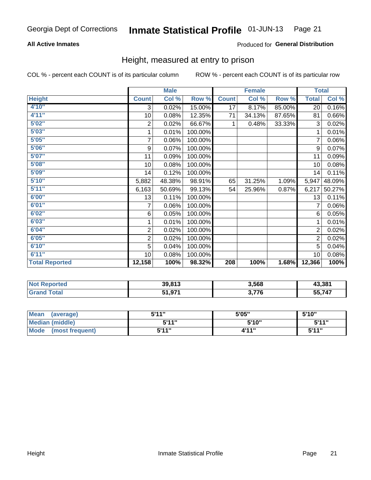#### **All Active Inmates**

#### Produced for General Distribution

### Height, measured at entry to prison

COL % - percent each COUNT is of its particular column

|                       |                         | <b>Male</b>               |         |              | <b>Female</b> |        | <b>Total</b>   |        |
|-----------------------|-------------------------|---------------------------|---------|--------------|---------------|--------|----------------|--------|
| <b>Height</b>         | <b>Count</b>            | $\overline{\text{Col}}$ % | Row %   | <b>Count</b> | Col %         | Row %  | <b>Total</b>   | Col %  |
| 4'10''                | 3                       | 0.02%                     | 15.00%  | 17           | 8.17%         | 85.00% | 20             | 0.16%  |
| 4'11''                | 10                      | 0.08%                     | 12.35%  | 71           | 34.13%        | 87.65% | 81             | 0.66%  |
| 5'02''                | 2                       | 0.02%                     | 66.67%  | 1            | 0.48%         | 33.33% | 3              | 0.02%  |
| 5'03"                 | 1                       | 0.01%                     | 100.00% |              |               |        | 1              | 0.01%  |
| 5'05''                | $\overline{7}$          | 0.06%                     | 100.00% |              |               |        | 7              | 0.06%  |
| 5'06''                | 9                       | 0.07%                     | 100.00% |              |               |        | 9              | 0.07%  |
| 5'07''                | 11                      | 0.09%                     | 100.00% |              |               |        | 11             | 0.09%  |
| 5'08''                | 10                      | 0.08%                     | 100.00% |              |               |        | 10             | 0.08%  |
| 5'09''                | 14                      | 0.12%                     | 100.00% |              |               |        | 14             | 0.11%  |
| 5'10''                | 5,882                   | 48.38%                    | 98.91%  | 65           | 31.25%        | 1.09%  | 5,947          | 48.09% |
| 5'11''                | 6,163                   | 50.69%                    | 99.13%  | 54           | 25.96%        | 0.87%  | 6,217          | 50.27% |
| 6'00''                | 13                      | 0.11%                     | 100.00% |              |               |        | 13             | 0.11%  |
| 6'01''                | 7                       | 0.06%                     | 100.00% |              |               |        |                | 0.06%  |
| 6'02"                 | 6                       | 0.05%                     | 100.00% |              |               |        | 6              | 0.05%  |
| 6'03''                | 1                       | 0.01%                     | 100.00% |              |               |        | 1              | 0.01%  |
| 6'04''                | $\overline{\mathbf{c}}$ | 0.02%                     | 100.00% |              |               |        | $\overline{c}$ | 0.02%  |
| 6'05''                | $\overline{2}$          | 0.02%                     | 100.00% |              |               |        | $\overline{2}$ | 0.02%  |
| 6'10''                | 5                       | 0.04%                     | 100.00% |              |               |        | 5              | 0.04%  |
| 6'11''                | 10                      | 0.08%                     | 100.00% |              |               |        | 10             | 0.08%  |
| <b>Total Reported</b> | 12,158                  | 100%                      | 98.32%  | 208          | 100%          | 1.68%  | 12,366         | 100%   |

| <b>Not</b><br>Reported | 39,813       | 3,568 | 43,381        |
|------------------------|--------------|-------|---------------|
| ™otaı                  | Q71<br>,,,,, | 770 י | 55 747<br>55, |

| <b>Mean</b><br>(average) | 5'11" | 5'05" | 5'10" |
|--------------------------|-------|-------|-------|
| Median (middle)          | 544"  | 5'10" | 5'11" |
| Mode<br>(most frequent)  | 544"  | 4'11" | 544"  |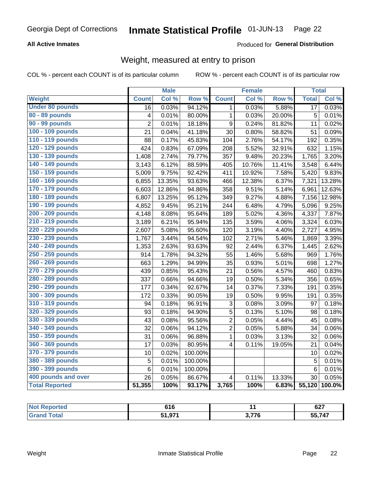#### **All Active Inmates**

#### Produced for General Distribution

## Weight, measured at entry to prison

COL % - percent each COUNT is of its particular column

|                        |                         | <b>Male</b> |                  |                         | <b>Female</b> |                  | <b>Total</b> |        |
|------------------------|-------------------------|-------------|------------------|-------------------------|---------------|------------------|--------------|--------|
| Weight                 | <b>Count</b>            | Col %       | Row <sup>%</sup> | <b>Count</b>            | Col %         | Row <sup>%</sup> | <b>Total</b> | Col %  |
| <b>Under 80 pounds</b> | 16                      | 0.03%       | 94.12%           | 1.                      | 0.03%         | 5.88%            | 17           | 0.03%  |
| 80 - 89 pounds         | $\overline{\mathbf{4}}$ | 0.01%       | 80.00%           | $\mathbf{1}$            | 0.03%         | 20.00%           | 5            | 0.01%  |
| 90 - 99 pounds         | $\overline{2}$          | 0.01%       | 18.18%           | 9                       | 0.24%         | 81.82%           | 11           | 0.02%  |
| 100 - 109 pounds       | 21                      | 0.04%       | 41.18%           | 30                      | 0.80%         | 58.82%           | 51           | 0.09%  |
| 110 - 119 pounds       | 88                      | 0.17%       | 45.83%           | 104                     | 2.76%         | 54.17%           | 192          | 0.35%  |
| 120 - 129 pounds       | 424                     | 0.83%       | 67.09%           | 208                     | 5.52%         | 32.91%           | 632          | 1.15%  |
| 130 - 139 pounds       | 1,408                   | 2.74%       | 79.77%           | 357                     | 9.48%         | 20.23%           | 1,765        | 3.20%  |
| 140 - 149 pounds       | 3,143                   | 6.12%       | 88.59%           | 405                     | 10.76%        | 11.41%           | 3,548        | 6.44%  |
| 150 - 159 pounds       | 5,009                   | 9.75%       | 92.42%           | 411                     | 10.92%        | 7.58%            | 5,420        | 9.83%  |
| 160 - 169 pounds       | 6,855                   | 13.35%      | 93.63%           | 466                     | 12.38%        | 6.37%            | 7,321        | 13.28% |
| 170 - 179 pounds       | 6,603                   | 12.86%      | 94.86%           | 358                     | 9.51%         | 5.14%            | 6,961        | 12.63% |
| 180 - 189 pounds       | 6,807                   | 13.25%      | 95.12%           | 349                     | 9.27%         | 4.88%            | 7,156        | 12.98% |
| 190 - 199 pounds       | 4,852                   | 9.45%       | 95.21%           | 244                     | 6.48%         | 4.79%            | 5,096        | 9.25%  |
| 200 - 209 pounds       | 4,148                   | 8.08%       | 95.64%           | 189                     | 5.02%         | 4.36%            | 4,337        | 7.87%  |
| 210 - 219 pounds       | 3,189                   | 6.21%       | 95.94%           | 135                     | 3.59%         | 4.06%            | 3,324        | 6.03%  |
| 220 - 229 pounds       | 2,607                   | 5.08%       | 95.60%           | 120                     | 3.19%         | 4.40%            | 2,727        | 4.95%  |
| 230 - 239 pounds       | 1,767                   | 3.44%       | 94.54%           | 102                     | 2.71%         | 5.46%            | 1,869        | 3.39%  |
| 240 - 249 pounds       | 1,353                   | 2.63%       | 93.63%           | 92                      | 2.44%         | 6.37%            | 1,445        | 2.62%  |
| 250 - 259 pounds       | 914                     | 1.78%       | 94.32%           | 55                      | 1.46%         | 5.68%            | 969          | 1.76%  |
| 260 - 269 pounds       | 663                     | 1.29%       | 94.99%           | 35                      | 0.93%         | 5.01%            | 698          | 1.27%  |
| 270 - 279 pounds       | 439                     | 0.85%       | 95.43%           | 21                      | 0.56%         | 4.57%            | 460          | 0.83%  |
| 280 - 289 pounds       | 337                     | 0.66%       | 94.66%           | 19                      | 0.50%         | 5.34%            | 356          | 0.65%  |
| 290 - 299 pounds       | 177                     | 0.34%       | 92.67%           | 14                      | 0.37%         | 7.33%            | 191          | 0.35%  |
| 300 - 309 pounds       | 172                     | 0.33%       | 90.05%           | 19                      | 0.50%         | 9.95%            | 191          | 0.35%  |
| 310 - 319 pounds       | 94                      | 0.18%       | 96.91%           | 3                       | 0.08%         | 3.09%            | 97           | 0.18%  |
| 320 - 329 pounds       | 93                      | 0.18%       | 94.90%           | $\overline{5}$          | 0.13%         | 5.10%            | 98           | 0.18%  |
| 330 - 339 pounds       | 43                      | 0.08%       | 95.56%           | $\overline{2}$          | 0.05%         | 4.44%            | 45           | 0.08%  |
| 340 - 349 pounds       | 32                      | 0.06%       | 94.12%           | $\overline{2}$          | 0.05%         | 5.88%            | 34           | 0.06%  |
| 350 - 359 pounds       | 31                      | 0.06%       | 96.88%           | $\mathbf{1}$            | 0.03%         | 3.13%            | 32           | 0.06%  |
| 360 - 369 pounds       | 17                      | 0.03%       | 80.95%           | $\overline{\mathbf{4}}$ | 0.11%         | 19.05%           | 21           | 0.04%  |
| 370 - 379 pounds       | 10                      | 0.02%       | 100.00%          |                         |               |                  | 10           | 0.02%  |
| 380 - 389 pounds       | 5                       | 0.01%       | 100.00%          |                         |               |                  | 5            | 0.01%  |
| 390 - 399 pounds       | 6                       | 0.01%       | 100.00%          |                         |               |                  | $\,6$        | 0.01%  |
| 400 pounds and over    | 26                      | 0.05%       | 86.67%           | 4                       | 0.11%         | 13.33%           | 30           | 0.05%  |
| <b>Total Reported</b>  | 51,355                  | 100%        | 93.17%           | 3,765                   | 100%          | 6.83%            | 55,120       | 100.0% |

| тео<br>N | 616                   |       | $\sim$<br>021     |
|----------|-----------------------|-------|-------------------|
| `ota.    | <b>FA 674</b><br>,,,, | ייד ה | 55 747<br>JJ.I 41 |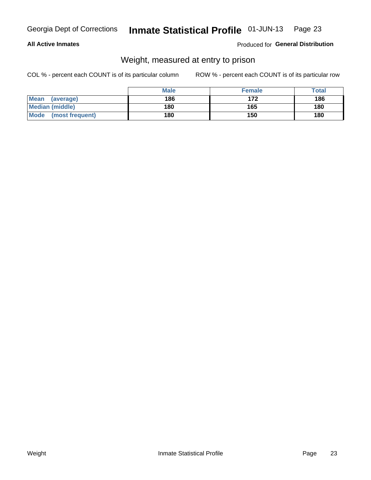#### **All Active Inmates**

#### Produced for General Distribution

## Weight, measured at entry to prison

COL % - percent each COUNT is of its particular column

|                                | <b>Male</b> | <b>Female</b> | Total |
|--------------------------------|-------------|---------------|-------|
| Mean<br>(average)              | 186         | 172           | 186   |
| <b>Median (middle)</b>         | 180         | 165           | 180   |
| <b>Mode</b><br>(most frequent) | 180         | 150           | 180   |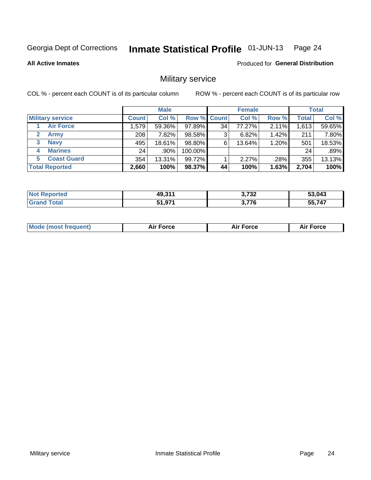#### Inmate Statistical Profile 01-JUN-13 Page 24

**All Active Inmates** 

**Produced for General Distribution** 

## Military service

COL % - percent each COUNT is of its particular column

|                               | <b>Male</b>  |         |             | <b>Female</b> |        |          | <b>Total</b> |        |
|-------------------------------|--------------|---------|-------------|---------------|--------|----------|--------------|--------|
| <b>Military service</b>       | <b>Count</b> | Col %   | Row % Count |               | Col %  | Row %    | <b>Total</b> | Col %  |
| <b>Air Force</b>              | 1,579        | 59.36%  | 97.89%      | 34            | 77.27% | 2.11%    | 1,613        | 59.65% |
| $\mathbf{2}^-$<br><b>Army</b> | 208          | 7.82%   | 98.58%      | 3             | 6.82%  | 1.42%    | 211          | 7.80%  |
| <b>Navy</b><br>3              | 495          | 18.61%  | 98.80%      | 6             | 13.64% | $1.20\%$ | 501          | 18.53% |
| <b>Marines</b><br>4           | 24           | $.90\%$ | 100.00%     |               |        |          | 24           | .89%   |
| <b>Coast Guard</b><br>5.      | 354          | 13.31%  | 99.72%      |               | 2.27%  | .28%     | 355          | 13.13% |
| <b>Total Reported</b>         | 2,660        | 100%    | 98.37%      | 44            | 100%   | 1.63%    | 2,704        | 100%   |

| <b>Not Reported</b> | 49,311 | 3,732        | 53,043 |
|---------------------|--------|--------------|--------|
| ™otal               | 51,971 | <b>3.776</b> | 55,747 |

| Mo | <br>ъc | . |
|----|--------|---|
|    |        |   |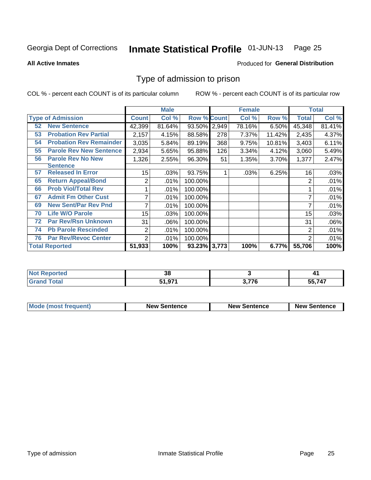#### Inmate Statistical Profile 01-JUN-13 Page 25

**All Active Inmates** 

#### Produced for General Distribution

## Type of admission to prison

COL % - percent each COUNT is of its particular column

|    |                                |                | <b>Male</b> |                    |     | <b>Female</b> |        | <b>Total</b> |        |
|----|--------------------------------|----------------|-------------|--------------------|-----|---------------|--------|--------------|--------|
|    | <b>Type of Admission</b>       | <b>Count</b>   | Col %       | <b>Row % Count</b> |     | Col %         | Row %  | <b>Total</b> | Col %  |
| 52 | <b>New Sentence</b>            | 42,399         | 81.64%      | 93.50% 2,949       |     | 78.16%        | 6.50%  | 45,348       | 81.41% |
| 53 | <b>Probation Rev Partial</b>   | 2,157          | 4.15%       | 88.58%             | 278 | 7.37%         | 11.42% | 2,435        | 4.37%  |
| 54 | <b>Probation Rev Remainder</b> | 3,035          | 5.84%       | 89.19%             | 368 | 9.75%         | 10.81% | 3,403        | 6.11%  |
| 55 | <b>Parole Rev New Sentence</b> | 2,934          | 5.65%       | 95.88%             | 126 | 3.34%         | 4.12%  | 3,060        | 5.49%  |
| 56 | <b>Parole Rev No New</b>       | 1,326          | 2.55%       | 96.30%             | 51  | 1.35%         | 3.70%  | 1,377        | 2.47%  |
|    | <b>Sentence</b>                |                |             |                    |     |               |        |              |        |
| 57 | <b>Released In Error</b>       | 15             | .03%        | 93.75%             |     | .03%          | 6.25%  | 16           | .03%   |
| 65 | <b>Return Appeal/Bond</b>      | 2              | .01%        | 100.00%            |     |               |        | 2            | .01%   |
| 66 | <b>Prob Viol/Total Rev</b>     |                | .01%        | 100.00%            |     |               |        |              | .01%   |
| 67 | <b>Admit Fm Other Cust</b>     | 7              | .01%        | 100.00%            |     |               |        | 7            | .01%   |
| 69 | <b>New Sent/Par Rev Pnd</b>    | 7              | .01%        | 100.00%            |     |               |        |              | .01%   |
| 70 | <b>Life W/O Parole</b>         | 15             | .03%        | 100.00%            |     |               |        | 15           | .03%   |
| 72 | <b>Par Rev/Rsn Unknown</b>     | 31             | .06%        | 100.00%            |     |               |        | 31           | .06%   |
| 74 | <b>Pb Parole Rescinded</b>     | $\overline{2}$ | .01%        | 100.00%            |     |               |        | 2            | .01%   |
| 76 | <b>Par Rev/Revoc Center</b>    | $\overline{2}$ | .01%        | 100.00%            |     |               |        | 2            | .01%   |
|    | <b>Total Reported</b>          | 51,933         | 100%        | 93.23% 3,773       |     | 100%          | 6.77%  | 55,706       | 100%   |

| لمنتقب للمستحدث<br>neo<br>NO | o c<br>vu        |     | T 1              |
|------------------------------|------------------|-----|------------------|
| $f$ oto $f$                  | 51 071<br>ו טויט | フフハ | 55,747<br>$\sim$ |

| <b>Mode (most frequent)</b> | <b>New Sentence</b> | <b>New Sentence</b> | <b>New Sentence</b> |
|-----------------------------|---------------------|---------------------|---------------------|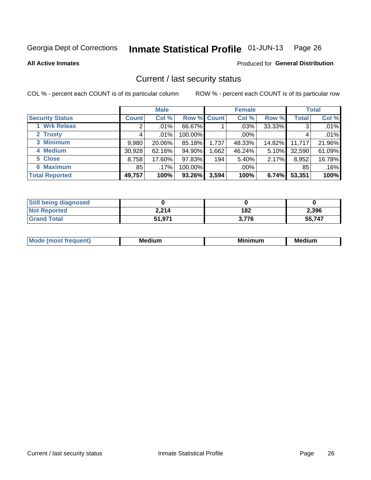#### Inmate Statistical Profile 01-JUN-13 Page 26

**All Active Inmates** 

#### **Produced for General Distribution**

## Current / last security status

COL % - percent each COUNT is of its particular column

|                        |              | <b>Male</b> |             |       | <b>Female</b> |          |              | <b>Total</b> |
|------------------------|--------------|-------------|-------------|-------|---------------|----------|--------------|--------------|
| <b>Security Status</b> | <b>Count</b> | Col %       | Row % Count |       | Col %         | Row %    | <b>Total</b> | Col %        |
| 1 Wrk Releas           | 2            | .01%        | 66.67%      |       | $.03\%$       | 33.33%   | 3            | .01%         |
| 2 Trusty               |              | $.01\%$     | 100.00%     |       | $.00\%$       |          | 4            | .01%         |
| 3 Minimum              | 9,980        | 20.06%      | 85.18%      | 1,737 | 48.33%        | 14.82%   | 11,717       | 21.96%       |
| 4 Medium               | 30,928       | 62.16%      | 94.90%      | .662  | 46.24%        | $5.10\%$ | 32,590       | 61.09%       |
| 5 Close                | 8,758        | 17.60%      | 97.83%      | 194   | 5.40%         | $2.17\%$ | 8,952        | 16.78%       |
| 6 Maximum              | 85           | .17%        | 100.00%     |       | $.00\%$       |          | 85           | .16%         |
| <b>Total Reported</b>  | 49,757       | 100%        | 93.26%      | 3,594 | 100%          | 6.74%    | 53,351       | 100%         |

| <b>Still being diagnosed</b> |        |       |        |
|------------------------------|--------|-------|--------|
| <b>Not Reported</b>          | 2,214  | 182   | 2,396  |
| <b>Grand Total</b>           | 51,971 | 3.776 | 55,747 |

| M | NЛ<br><br>dilim<br>_____ | ---<br>-- | . .<br>Medium<br>Me |
|---|--------------------------|-----------|---------------------|
|   |                          |           |                     |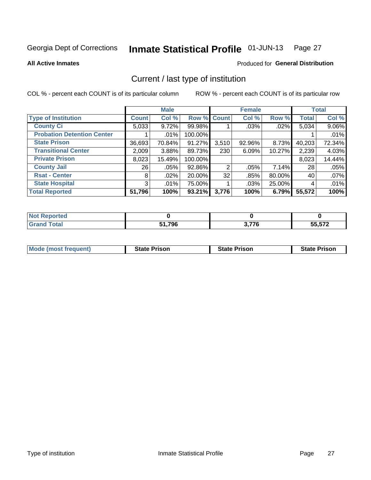#### Inmate Statistical Profile 01-JUN-13 Page 27

**All Active Inmates** 

#### Produced for General Distribution

## Current / last type of institution

COL % - percent each COUNT is of its particular column

|                                   |                | <b>Male</b> |             |                | <b>Female</b> |        |              | <b>Total</b> |
|-----------------------------------|----------------|-------------|-------------|----------------|---------------|--------|--------------|--------------|
| <b>Type of Institution</b>        | <b>Count</b>   | Col %       | Row % Count |                | Col %         | Row %  | <b>Total</b> | Col %        |
| <b>County Ci</b>                  | 5,033          | 9.72%       | 99.98%      |                | .03%          | .02%   | 5,034        | 9.06%        |
| <b>Probation Detention Center</b> |                | .01%        | 100.00%     |                |               |        |              | .01%         |
| <b>State Prison</b>               | 36,693         | 70.84%      | 91.27%      | 3,510          | 92.96%        | 8.73%  | 40,203       | 72.34%       |
| <b>Transitional Center</b>        | 2,009          | 3.88%       | 89.73%      | 230            | 6.09%         | 10.27% | 2,239        | 4.03%        |
| <b>Private Prison</b>             | 8,023          | 15.49%      | 100.00%     |                |               |        | 8,023        | 14.44%       |
| <b>County Jail</b>                | 26             | .05%        | 92.86%      | $\overline{2}$ | $.05\%$       | 7.14%  | 28           | .05%         |
| <b>Rsat - Center</b>              | 8 <sup>1</sup> | .02%        | 20.00%      | 32             | .85%          | 80.00% | 40           | .07%         |
| <b>State Hospital</b>             | 3 <sup>1</sup> | .01%        | 75.00%      |                | .03%          | 25.00% | 4            | .01%         |
| <b>Total Reported</b>             | 51,796         | 100%        | 93.21%      | 3,776          | 100%          | 6.79%  | 55,572       | 100%         |

| Reported     |        |                    |        |
|--------------|--------|--------------------|--------|
| <b>Total</b> | 51,796 | s 77e<br>70<br>v., | 55,572 |

| Mode (most frequent) | <b>State Prison</b> | <b>State Prison</b> | <b>State Prison</b> |
|----------------------|---------------------|---------------------|---------------------|
|                      |                     |                     |                     |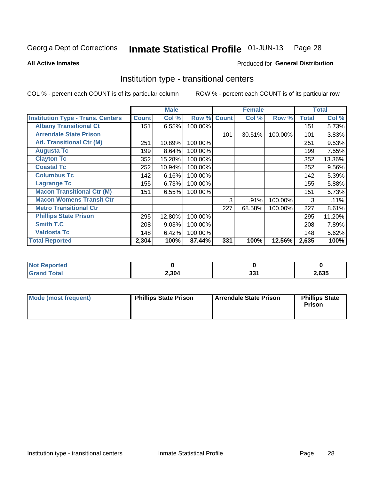#### Inmate Statistical Profile 01-JUN-13 Page 28

Produced for General Distribution

#### **All Active Inmates**

## Institution type - transitional centers

COL % - percent each COUNT is of its particular column

|                                          |              | <b>Male</b> |         |              | <b>Female</b> |         |              | <b>Total</b> |
|------------------------------------------|--------------|-------------|---------|--------------|---------------|---------|--------------|--------------|
| <b>Institution Type - Trans. Centers</b> | <b>Count</b> | Col %       | Row %   | <b>Count</b> | Col %         | Row %   | <b>Total</b> | Col %        |
| <b>Albany Transitional Ct</b>            | 151          | 6.55%       | 100.00% |              |               |         | 151          | 5.73%        |
| <b>Arrendale State Prison</b>            |              |             |         | 101          | 30.51%        | 100.00% | 101          | 3.83%        |
| <b>Atl. Transitional Ctr (M)</b>         | 251          | 10.89%      | 100.00% |              |               |         | 251          | 9.53%        |
| <b>Augusta Tc</b>                        | 199          | 8.64%       | 100.00% |              |               |         | 199          | 7.55%        |
| <b>Clayton Tc</b>                        | 352          | 15.28%      | 100.00% |              |               |         | 352          | 13.36%       |
| <b>Coastal Tc</b>                        | 252          | 10.94%      | 100.00% |              |               |         | 252          | 9.56%        |
| <b>Columbus Tc</b>                       | 142          | 6.16%       | 100.00% |              |               |         | 142          | 5.39%        |
| <b>Lagrange Tc</b>                       | 155          | 6.73%       | 100.00% |              |               |         | 155          | 5.88%        |
| <b>Macon Transitional Ctr (M)</b>        | 151          | 6.55%       | 100.00% |              |               |         | 151          | 5.73%        |
| <b>Macon Womens Transit Ctr</b>          |              |             |         | 3            | .91%          | 100.00% | 3            | .11%         |
| <b>Metro Transitional Ctr</b>            |              |             |         | 227          | 68.58%        | 100.00% | 227          | 8.61%        |
| <b>Phillips State Prison</b>             | 295          | 12.80%      | 100.00% |              |               |         | 295          | 11.20%       |
| Smith T.C                                | 208          | 9.03%       | 100.00% |              |               |         | 208          | 7.89%        |
| <b>Valdosta Tc</b>                       | 148          | 6.42%       | 100.00% |              |               |         | 148          | 5.62%        |
| <b>Total Reported</b>                    | 2,304        | 100%        | 87.44%  | 331          | 100%          | 12.56%  | 2,635        | 100%         |

| <b>orted</b><br>$\sim$ |       |              |       |
|------------------------|-------|--------------|-------|
| <b>ota</b>             | 2,304 | י פי<br>JJ I | .,635 |

| Mode (most frequent) | <b>Phillips State Prison</b> | Arrendale State Prison | <b>Phillips State</b><br>Prison |
|----------------------|------------------------------|------------------------|---------------------------------|
|                      |                              |                        |                                 |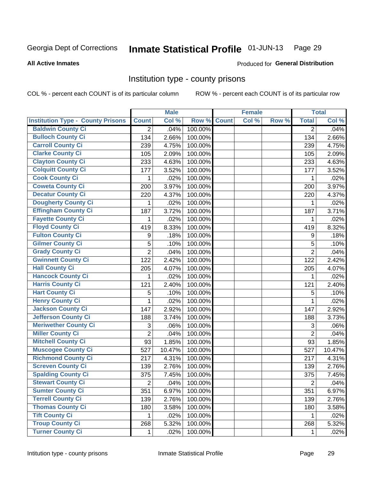#### Inmate Statistical Profile 01-JUN-13 Page 29

#### **All Active Inmates**

## Produced for General Distribution

#### Institution type - county prisons

COL % - percent each COUNT is of its particular column

|                                          |                | <b>Male</b> |         |              | <b>Female</b> |       |                | <b>Total</b> |
|------------------------------------------|----------------|-------------|---------|--------------|---------------|-------|----------------|--------------|
| <b>Institution Type - County Prisons</b> | <b>Count</b>   | Col %       | Row %   | <b>Count</b> | Col %         | Row % | <b>Total</b>   | Col %        |
| <b>Baldwin County Ci</b>                 | 2              | .04%        | 100.00% |              |               |       | $\overline{2}$ | .04%         |
| <b>Bulloch County Ci</b>                 | 134            | 2.66%       | 100.00% |              |               |       | 134            | 2.66%        |
| <b>Carroll County Ci</b>                 | 239            | 4.75%       | 100.00% |              |               |       | 239            | 4.75%        |
| <b>Clarke County Ci</b>                  | 105            | 2.09%       | 100.00% |              |               |       | 105            | 2.09%        |
| <b>Clayton County Ci</b>                 | 233            | 4.63%       | 100.00% |              |               |       | 233            | 4.63%        |
| <b>Colquitt County Ci</b>                | 177            | 3.52%       | 100.00% |              |               |       | 177            | 3.52%        |
| <b>Cook County Ci</b>                    | 1              | .02%        | 100.00% |              |               |       | 1              | .02%         |
| <b>Coweta County Ci</b>                  | 200            | 3.97%       | 100.00% |              |               |       | 200            | 3.97%        |
| <b>Decatur County Ci</b>                 | 220            | 4.37%       | 100.00% |              |               |       | 220            | 4.37%        |
| Dougherty County Ci                      | 1              | .02%        | 100.00% |              |               |       | 1              | .02%         |
| <b>Effingham County Ci</b>               | 187            | 3.72%       | 100.00% |              |               |       | 187            | 3.71%        |
| <b>Fayette County Ci</b>                 | 1              | .02%        | 100.00% |              |               |       | 1              | .02%         |
| <b>Floyd County Ci</b>                   | 419            | 8.33%       | 100.00% |              |               |       | 419            | 8.32%        |
| <b>Fulton County Ci</b>                  | 9              | .18%        | 100.00% |              |               |       | 9              | .18%         |
| <b>Gilmer County Ci</b>                  | 5              | .10%        | 100.00% |              |               |       | 5              | .10%         |
| <b>Grady County Ci</b>                   | $\overline{2}$ | .04%        | 100.00% |              |               |       | $\overline{2}$ | .04%         |
| <b>Gwinnett County Ci</b>                | 122            | 2.42%       | 100.00% |              |               |       | 122            | 2.42%        |
| <b>Hall County Ci</b>                    | 205            | 4.07%       | 100.00% |              |               |       | 205            | 4.07%        |
| <b>Hancock County Ci</b>                 | 1              | .02%        | 100.00% |              |               |       | 1              | .02%         |
| <b>Harris County Ci</b>                  | 121            | 2.40%       | 100.00% |              |               |       | 121            | 2.40%        |
| <b>Hart County Ci</b>                    | 5              | .10%        | 100.00% |              |               |       | 5              | .10%         |
| <b>Henry County Ci</b>                   | 1              | .02%        | 100.00% |              |               |       | $\mathbf{1}$   | .02%         |
| <b>Jackson County Ci</b>                 | 147            | 2.92%       | 100.00% |              |               |       | 147            | 2.92%        |
| <b>Jefferson County Ci</b>               | 188            | 3.74%       | 100.00% |              |               |       | 188            | 3.73%        |
| <b>Meriwether County Ci</b>              | 3              | .06%        | 100.00% |              |               |       | 3              | .06%         |
| <b>Miller County Ci</b>                  | $\overline{2}$ | .04%        | 100.00% |              |               |       | $\overline{2}$ | .04%         |
| <b>Mitchell County Ci</b>                | 93             | 1.85%       | 100.00% |              |               |       | 93             | 1.85%        |
| <b>Muscogee County Ci</b>                | 527            | 10.47%      | 100.00% |              |               |       | 527            | 10.47%       |
| <b>Richmond County Ci</b>                | 217            | 4.31%       | 100.00% |              |               |       | 217            | 4.31%        |
| <b>Screven County Ci</b>                 | 139            | 2.76%       | 100.00% |              |               |       | 139            | 2.76%        |
| <b>Spalding County Ci</b>                | 375            | 7.45%       | 100.00% |              |               |       | 375            | 7.45%        |
| <b>Stewart County Ci</b>                 | 2              | .04%        | 100.00% |              |               |       | $\overline{c}$ | .04%         |
| <b>Sumter County Ci</b>                  | 351            | 6.97%       | 100.00% |              |               |       | 351            | 6.97%        |
| <b>Terrell County Ci</b>                 | 139            | 2.76%       | 100.00% |              |               |       | 139            | 2.76%        |
| <b>Thomas County Ci</b>                  | 180            | 3.58%       | 100.00% |              |               |       | 180            | 3.58%        |
| <b>Tift County Ci</b>                    | $\mathbf 1$    | .02%        | 100.00% |              |               |       | 1              | .02%         |
| <b>Troup County Ci</b>                   | 268            | 5.32%       | 100.00% |              |               |       | 268            | 5.32%        |
| <b>Turner County Ci</b>                  | $\mathbf{1}$   | .02%        | 100.00% |              |               |       | 1              | .02%         |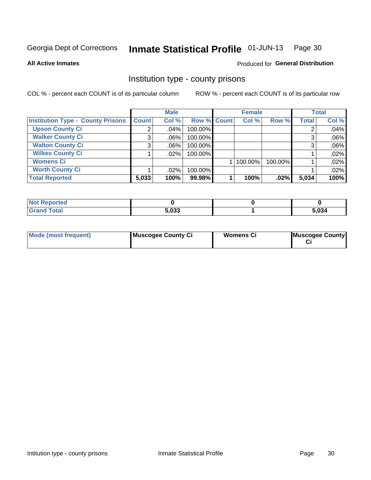#### Inmate Statistical Profile 01-JUN-13 Page 30

**All Active Inmates** 

#### Produced for General Distribution

#### Institution type - county prisons

COL % - percent each COUNT is of its particular column

|                                          |              | <b>Male</b> |             | <b>Female</b> |         |              | <b>Total</b> |
|------------------------------------------|--------------|-------------|-------------|---------------|---------|--------------|--------------|
| <b>Institution Type - County Prisons</b> | <b>Count</b> | Col %       | Row % Count | Col %         | Row %   | <b>Total</b> | Col %        |
| <b>Upson County Ci</b>                   | 2            | $.04\%$     | 100.00%     |               |         |              | .04%         |
| <b>Walker County Ci</b>                  | 3            | $.06\%$     | 100.00%     |               |         |              | .06%         |
| <b>Walton County Ci</b>                  | 3            | $.06\%$     | 100.00%     |               |         |              | .06%         |
| <b>Wilkes County Ci</b>                  |              | $.02\%$     | 100.00%     |               |         |              | .02%         |
| <b>Womens Ci</b>                         |              |             |             | 100.00%       | 100.00% |              | .02%         |
| <b>Worth County Ci</b>                   |              | $.02\%$     | 100.00%     |               |         |              | .02%         |
| <b>Total Reported</b>                    | 5,033        | 100%        | 99.98%      | 100%          | .02%    | 5,034        | 100%         |

| Reported |       |       |
|----------|-------|-------|
| Total    | 5.033 | 5,034 |

| <b>Mode (most frequent)</b> | Muscogee County Ci | <b>Womens Ci</b> | Muscogee County |
|-----------------------------|--------------------|------------------|-----------------|
|-----------------------------|--------------------|------------------|-----------------|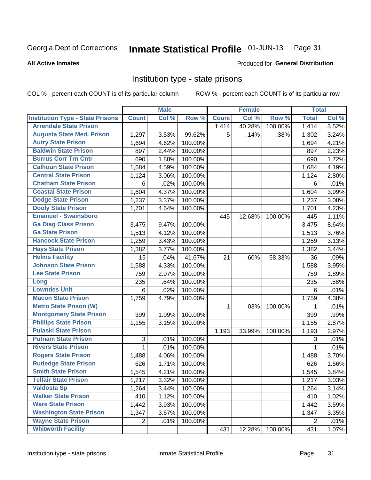#### Inmate Statistical Profile 01-JUN-13 Page 31

#### **All Active Inmates**

## Produced for General Distribution

### Institution type - state prisons

COL % - percent each COUNT is of its particular column

|                                         |              | <b>Male</b> |         |              | <b>Female</b> |         | <b>Total</b> |       |
|-----------------------------------------|--------------|-------------|---------|--------------|---------------|---------|--------------|-------|
| <b>Institution Type - State Prisons</b> | <b>Count</b> | Col %       | Row %   | <b>Count</b> | Col %         | Row %   | <b>Total</b> | Col % |
| <b>Arrendale State Prison</b>           |              |             |         | 1,414        | 40.28%        | 100.00% | 1,414        | 3.52% |
| <b>Augusta State Med. Prison</b>        | 1,297        | 3.53%       | 99.62%  | 5            | .14%          | .38%    | 1,302        | 3.24% |
| <b>Autry State Prison</b>               | 1,694        | 4.62%       | 100.00% |              |               |         | 1,694        | 4.21% |
| <b>Baldwin State Prison</b>             | 897          | 2.44%       | 100.00% |              |               |         | 897          | 2.23% |
| <b>Burrus Corr Trn Cntr</b>             | 690          | 1.88%       | 100.00% |              |               |         | 690          | 1.72% |
| <b>Calhoun State Prison</b>             | 1,684        | 4.59%       | 100.00% |              |               |         | 1,684        | 4.19% |
| <b>Central State Prison</b>             | 1,124        | 3.06%       | 100.00% |              |               |         | 1,124        | 2.80% |
| <b>Chatham State Prison</b>             | 6            | .02%        | 100.00% |              |               |         | 6            | .01%  |
| <b>Coastal State Prison</b>             | 1,604        | 4.37%       | 100.00% |              |               |         | 1,604        | 3.99% |
| <b>Dodge State Prison</b>               | 1,237        | 3.37%       | 100.00% |              |               |         | 1,237        | 3.08% |
| <b>Dooly State Prison</b>               | 1,701        | 4.64%       | 100.00% |              |               |         | 1,701        | 4.23% |
| <b>Emanuel - Swainsboro</b>             |              |             |         | 445          | 12.68%        | 100.00% | 445          | 1.11% |
| <b>Ga Diag Class Prison</b>             | 3,475        | 9.47%       | 100.00% |              |               |         | 3,475        | 8.64% |
| <b>Ga State Prison</b>                  | 1,513        | 4.12%       | 100.00% |              |               |         | 1,513        | 3.76% |
| <b>Hancock State Prison</b>             | 1,259        | 3.43%       | 100.00% |              |               |         | 1,259        | 3.13% |
| <b>Hays State Prison</b>                | 1,382        | 3.77%       | 100.00% |              |               |         | 1,382        | 3.44% |
| <b>Helms Facility</b>                   | 15           | .04%        | 41.67%  | 21           | .60%          | 58.33%  | 36           | .09%  |
| <b>Johnson State Prison</b>             | 1,588        | 4.33%       | 100.00% |              |               |         | 1,588        | 3.95% |
| <b>Lee State Prison</b>                 | 759          | 2.07%       | 100.00% |              |               |         | 759          | 1.89% |
| Long                                    | 235          | .64%        | 100.00% |              |               |         | 235          | .58%  |
| <b>Lowndes Unit</b>                     | 6            | .02%        | 100.00% |              |               |         | 6            | .01%  |
| <b>Macon State Prison</b>               | 1,759        | 4.79%       | 100.00% |              |               |         | 1,759        | 4.38% |
| <b>Metro State Prison (W)</b>           |              |             |         | 1            | .03%          | 100.00% | 1            | .01%  |
| <b>Montgomery State Prison</b>          | 399          | 1.09%       | 100.00% |              |               |         | 399          | .99%  |
| <b>Phillips State Prison</b>            | 1,155        | 3.15%       | 100.00% |              |               |         | 1,155        | 2.87% |
| <b>Pulaski State Prison</b>             |              |             |         | 1,193        | 33.99%        | 100.00% | 1,193        | 2.97% |
| <b>Putnam State Prison</b>              | 3            | .01%        | 100.00% |              |               |         | 3            | .01%  |
| <b>Rivers State Prison</b>              | 1            | .01%        | 100.00% |              |               |         | 1            | .01%  |
| <b>Rogers State Prison</b>              | 1,488        | 4.06%       | 100.00% |              |               |         | 1,488        | 3.70% |
| <b>Rutledge State Prison</b>            | 626          | 1.71%       | 100.00% |              |               |         | 626          | 1.56% |
| <b>Smith State Prison</b>               | 1,545        | 4.21%       | 100.00% |              |               |         | 1,545        | 3.84% |
| <b>Telfair State Prison</b>             | 1,217        | 3.32%       | 100.00% |              |               |         | 1,217        | 3.03% |
| <b>Valdosta Sp</b>                      | 1,264        | 3.44%       | 100.00% |              |               |         | 1,264        | 3.14% |
| <b>Walker State Prison</b>              | 410          | 1.12%       | 100.00% |              |               |         | 410          | 1.02% |
| <b>Ware State Prison</b>                | 1,442        | 3.93%       | 100.00% |              |               |         | 1,442        | 3.59% |
| <b>Washington State Prison</b>          | 1,347        | 3.67%       | 100.00% |              |               |         | 1,347        | 3.35% |
| <b>Wayne State Prison</b>               | 2            | .01%        | 100.00% |              |               |         | 2            | .01%  |
| <b>Whitworth Facility</b>               |              |             |         | 431          | 12.28%        | 100.00% | 431          | 1.07% |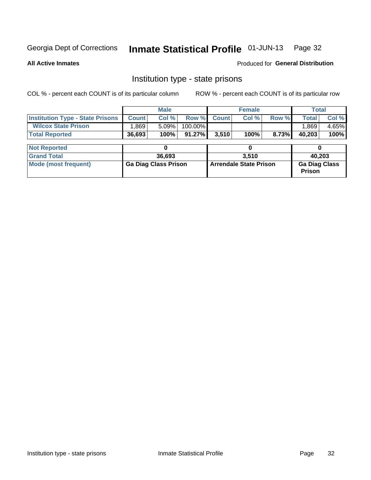## Inmate Statistical Profile 01-JUN-13 Page 32

**All Active Inmates** 

**Produced for General Distribution** 

### Institution type - state prisons

COL % - percent each COUNT is of its particular column ROW % - percent each COUNT is of its particular row

|                                         |              | <b>Male</b>                 |           |                               | <b>Female</b> |       | <b>Total</b>                          |       |
|-----------------------------------------|--------------|-----------------------------|-----------|-------------------------------|---------------|-------|---------------------------------------|-------|
| <b>Institution Type - State Prisons</b> | <b>Count</b> | Col %                       | Row %     | <b>Count</b>                  | Col %         | Row % | <b>Total</b>                          | Col % |
| <b>Wilcox State Prison</b>              | ,869         | 5.09%                       | 100.00%   |                               |               |       | 1,869                                 | 4.65% |
| <b>Total Reported</b>                   | 36,693       | 100%                        | $91.27\%$ | 3,510                         | 100%          | 8.73% | 40,203                                | 100%  |
| <b>Not Reported</b>                     |              |                             |           |                               | 0             |       |                                       |       |
| <b>Grand Total</b>                      |              | 36.693                      |           |                               | 3.510         |       | 40,203                                |       |
| <b>Mode (most frequent)</b>             |              | <b>Ga Diag Class Prison</b> |           | <b>Arrendale State Prison</b> |               |       | <b>Ga Diag Class</b><br><b>Prison</b> |       |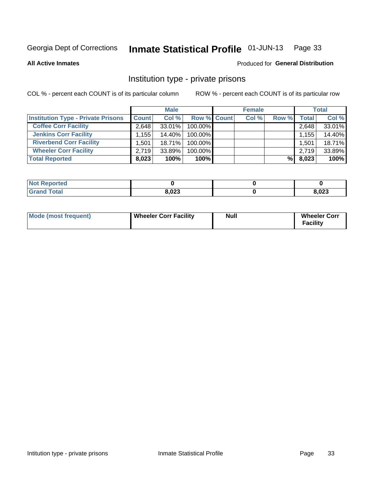#### Inmate Statistical Profile 01-JUN-13 Page 33

**All Active Inmates** 

#### Produced for General Distribution

## Institution type - private prisons

COL % - percent each COUNT is of its particular column

|                                           | <b>Male</b>       |           |                    | <b>Female</b> |       |                    | <b>Total</b> |  |
|-------------------------------------------|-------------------|-----------|--------------------|---------------|-------|--------------------|--------------|--|
| <b>Institution Type - Private Prisons</b> | <b>Count</b>      | Col %     | <b>Row % Count</b> | Col %         | Row % | Total <sub>1</sub> | Col %        |  |
| <b>Coffee Corr Facility</b>               | 2.648             | 33.01%    | 100.00%            |               |       | 2,648              | 33.01%       |  |
| <b>Jenkins Corr Facility</b>              | .155 <sup>1</sup> | $14.40\%$ | $100.00\%$         |               |       | 1,155              | 14.40%       |  |
| <b>Riverbend Corr Facility</b>            | 1.501             | 18.71%    | $100.00\%$         |               |       | 1,501              | 18.71%       |  |
| <b>Wheeler Corr Facility</b>              | 2.719             | 33.89%    | 100.00%            |               |       | 2,719              | 33.89%       |  |
| <b>Total Reported</b>                     | 8,023             | 100%      | 100%               |               | %     | 8,023              | 100%         |  |

| <b>Not</b><br><b>Reported</b> |       |               |
|-------------------------------|-------|---------------|
| <b>otal</b>                   | 8,023 | פרח ם<br>,uza |

| Mode (most frequent) | Wheeler Corr Facility | Null | <b>Wheeler Corr</b><br>Facility |
|----------------------|-----------------------|------|---------------------------------|
|----------------------|-----------------------|------|---------------------------------|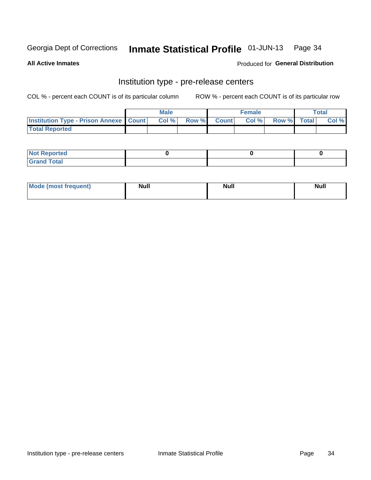## Inmate Statistical Profile 01-JUN-13 Page 34

**All Active Inmates** 

Produced for General Distribution

## Institution type - pre-release centers

COL % - percent each COUNT is of its particular column

|                                                   | <b>Male</b> |       |  | <b>Female</b> |       |             | <b>Total</b> |       |
|---------------------------------------------------|-------------|-------|--|---------------|-------|-------------|--------------|-------|
| <b>Institution Type - Prison Annexe   Count  </b> |             | Col % |  | Row % Count   | Col % | Row % Total |              | Col % |
| <b>Total Reported</b>                             |             |       |  |               |       |             |              |       |

| <b>Reported</b><br>I NOT                      |  |  |
|-----------------------------------------------|--|--|
| <b>Total</b><br>Carar<br>$\sim$ . When $\sim$ |  |  |

| $^{\circ}$ Mo<br>frequent)<br>⊥(most | <b>Null</b> | Noll<br><b>vull</b> | <b>Null</b> |
|--------------------------------------|-------------|---------------------|-------------|
|                                      |             |                     |             |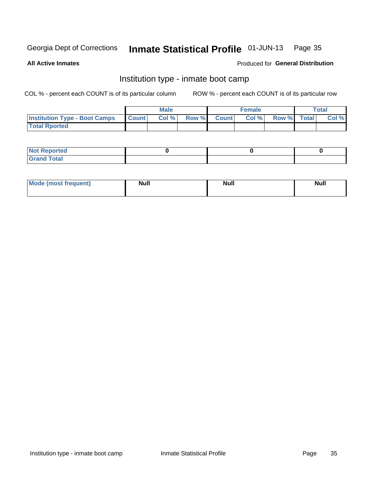#### Inmate Statistical Profile 01-JUN-13 Page 35

**All Active Inmates** 

#### Produced for General Distribution

## Institution type - inmate boot camp

COL % - percent each COUNT is of its particular column

|                                      |                  | <b>Male</b> |              |              | <b>Female</b> |             | <b>Total</b> |
|--------------------------------------|------------------|-------------|--------------|--------------|---------------|-------------|--------------|
| <b>Institution Type - Boot Camps</b> | <b>I</b> Count I | Col %       | <b>Row %</b> | <b>Count</b> | Col %         | Row % Total | Col %        |
| <b>Total Rported</b>                 |                  |             |              |              |               |             |              |

| <b>Not Reported</b><br>, , , , , |  |  |
|----------------------------------|--|--|
| Total<br><b>C</b> <sub>He</sub>  |  |  |

| <b>AhoM</b>       | <b>Null</b> | <b>Null</b> | Ab d' |
|-------------------|-------------|-------------|-------|
| <b>"requent</b> ) |             |             | _____ |
|                   |             |             |       |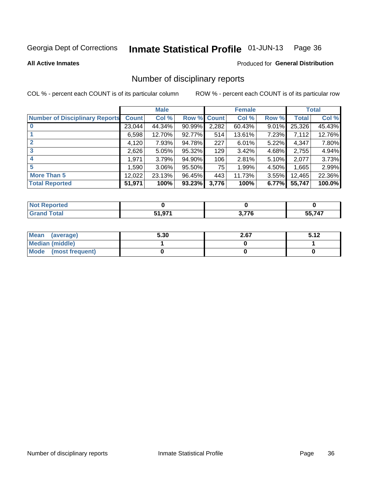#### Inmate Statistical Profile 01-JUN-13 Page 36

#### **All Active Inmates**

#### Produced for General Distribution

## Number of disciplinary reports

COL % - percent each COUNT is of its particular column

|                                       |              | <b>Male</b> |        |              | <b>Female</b> |          |              | <b>Total</b> |
|---------------------------------------|--------------|-------------|--------|--------------|---------------|----------|--------------|--------------|
| <b>Number of Disciplinary Reports</b> | <b>Count</b> | Col %       | Row %  | <b>Count</b> | Col %         | Row %    | <b>Total</b> | Col %        |
|                                       | 23,044       | 44.34%      | 90.99% | 2,282        | 60.43%        | 9.01%    | 25,326       | 45.43%       |
|                                       | 6,598        | 12.70%      | 92.77% | 514          | 13.61%        | 7.23%    | 7,112        | 12.76%       |
| $\mathbf{2}$                          | 4,120        | 7.93%       | 94.78% | 227          | 6.01%         | $5.22\%$ | 4,347        | 7.80%        |
| 3                                     | 2,626        | 5.05%       | 95.32% | 129          | 3.42%         | 4.68%    | 2,755        | 4.94%        |
|                                       | 1,971        | 3.79%       | 94.90% | 106          | 2.81%         | 5.10%    | 2,077        | 3.73%        |
| 5                                     | 1,590        | $3.06\%$    | 95.50% | 75           | 1.99%         | 4.50%    | 1,665        | 2.99%        |
| <b>More Than 5</b>                    | 12,022       | 23.13%      | 96.45% | 443          | 11.73%        | $3.55\%$ | 12,465       | 22.36%       |
| <b>Total Reported</b>                 | 51,971       | 100%        | 93.23% | 3,776        | 100%          | 6.77%    | 55,747       | 100.0%       |

| orted<br>NO  |        |       |        |
|--------------|--------|-------|--------|
| <b>Total</b> | 51 Q71 | מדד מ | 55 747 |
|              | .      |       | $\sim$ |

| Mean (average)       | 5.30 | 2.67 | 5.12 |
|----------------------|------|------|------|
| Median (middle)      |      |      |      |
| Mode (most frequent) |      |      |      |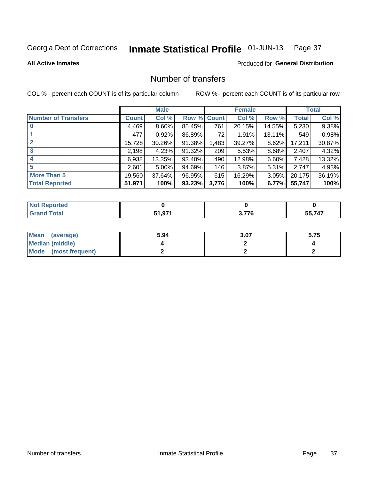#### Inmate Statistical Profile 01-JUN-13 Page 37

**All Active Inmates** 

### **Produced for General Distribution**

# Number of transfers

COL % - percent each COUNT is of its particular column

|                            |              | <b>Male</b> |             |       | <b>Female</b> |        |        | <b>Total</b> |
|----------------------------|--------------|-------------|-------------|-------|---------------|--------|--------|--------------|
| <b>Number of Transfers</b> | <b>Count</b> | Col %       | Row % Count |       | Col %         | Row %  | Total  | Col %        |
| $\bf{0}$                   | 4,469        | 8.60%       | 85.45%      | 761   | 20.15%        | 14.55% | 5,230  | 9.38%        |
|                            | 477          | 0.92%       | 86.89%      | 72    | 1.91%         | 13.11% | 549    | 0.98%        |
| $\mathbf{2}$               | 15,728       | 30.26%      | 91.38%      | 1,483 | 39.27%        | 8.62%  | 17,211 | 30.87%       |
| 3                          | 2,198        | 4.23%       | 91.32%      | 209   | 5.53%         | 8.68%  | 2,407  | 4.32%        |
|                            | 6,938        | 13.35%      | 93.40%      | 490   | 12.98%        | 6.60%  | 7,428  | 13.32%       |
| 5                          | 2,601        | 5.00%       | 94.69%      | 146   | 3.87%         | 5.31%  | 2,747  | 4.93%        |
| <b>More Than 5</b>         | 19,560       | 37.64%      | 96.95%      | 615   | 16.29%        | 3.05%  | 20,175 | 36.19%       |
| <b>Total Reported</b>      | 51,971       | 100%        | 93.23%      | 3,776 | 100%          | 6.77%  | 55,747 | 100%         |

| Reported<br>NOT I<br>$\sim$ |        |       |        |
|-----------------------------|--------|-------|--------|
| Total                       | 54.074 | מדד מ | 55,747 |
|                             | JI.JI  |       | הה     |

| Mean (average)       | 5.94 | 3.07 | 5.75 |
|----------------------|------|------|------|
| Median (middle)      |      |      |      |
| Mode (most frequent) |      |      |      |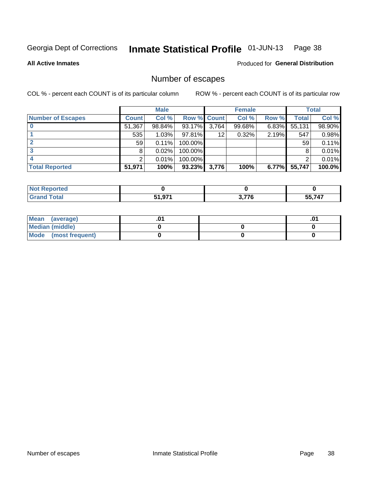#### Inmate Statistical Profile 01-JUN-13 Page 38

**All Active Inmates** 

**Produced for General Distribution** 

# Number of escapes

COL % - percent each COUNT is of its particular column

|                          |              | <b>Male</b> |                    |       | <b>Female</b> |          |        | <b>Total</b> |
|--------------------------|--------------|-------------|--------------------|-------|---------------|----------|--------|--------------|
| <b>Number of Escapes</b> | <b>Count</b> | Col %       | <b>Row % Count</b> |       | Col %         | Row %    | Total  | Col %        |
|                          | 51,367       | 98.84%      | 93.17%             | 3,764 | 99.68%        | 6.83%    | 55,131 | 98.90%       |
|                          | 535          | 1.03%       | 97.81%             | 12    | 0.32%         | 2.19%    | 547    | 0.98%        |
|                          | 59           | 0.11%       | 100.00%            |       |               |          | 59     | 0.11%        |
|                          | 8            | 0.02%       | 100.00%            |       |               |          |        | 0.01%        |
|                          |              | 0.01%       | 100.00%            |       |               |          |        | 0.01%        |
| <b>Total Reported</b>    | 51,971       | 100%        | $93.23\%$          | 3,776 | 100%          | $6.77\%$ | 55,747 | 100.0%       |

| Reported<br><b>NOT RE</b> |                    |      |         |
|---------------------------|--------------------|------|---------|
| <b>Total</b>              | 54 074<br>J I .J I | ・フフヘ | 55 7.47 |

| Mean (average)         |  | .ט |
|------------------------|--|----|
| <b>Median (middle)</b> |  |    |
| Mode (most frequent)   |  |    |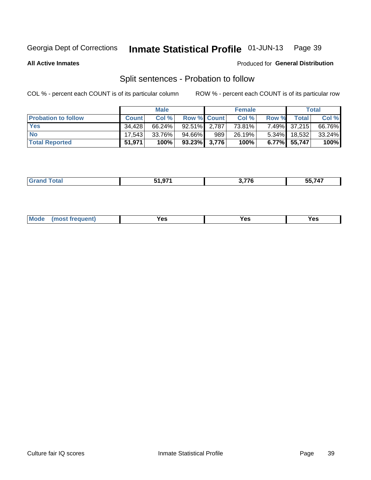#### Inmate Statistical Profile 01-JUN-13 Page 39

**All Active Inmates** 

#### Produced for General Distribution

# Split sentences - Probation to follow

COL % - percent each COUNT is of its particular column

|                            |              | <b>Male</b> |                    |     | <b>Female</b> |          |              | <b>Total</b> |
|----------------------------|--------------|-------------|--------------------|-----|---------------|----------|--------------|--------------|
| <b>Probation to follow</b> | <b>Count</b> | Col %       | <b>Row % Count</b> |     | Col %         | Row %    | <b>Total</b> | Col %        |
| <b>Yes</b>                 | 34.428       | 66.24%      | $92.51\%$ 2.787    |     | 73.81%        |          | 7.49% 37,215 | 66.76%       |
| <b>No</b>                  | 17.543       | 33.76%      | 94.66%             | 989 | 26.19%        | $5.34\%$ | 18,532       | $33.24\%$    |
| <b>Total Reported</b>      | 51.971       | 100%        | $93.23\%$ 3,776    |     | 100%          |          | 6.77% 55,747 | 100%         |

| ------<br> | . --- | $- - - - -$<br><i><b>70</b></i><br>-55. |
|------------|-------|-----------------------------------------|
|            |       |                                         |

| M<br>reauent)<br>/٥<br>$\sim$<br>v.,<br>.<br>w<br>$\cdot$ - $\cdot$ |
|---------------------------------------------------------------------|
|---------------------------------------------------------------------|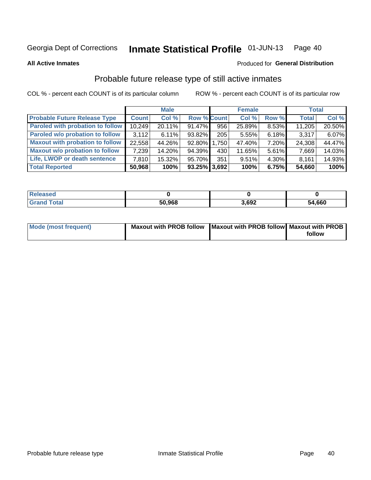#### Inmate Statistical Profile 01-JUN-13 Page 40

**All Active Inmates** 

#### Produced for General Distribution

# Probable future release type of still active inmates

COL % - percent each COUNT is of its particular column

|                                         |              | <b>Male</b> |                    |     | <b>Female</b> |          | <b>Total</b> |        |
|-----------------------------------------|--------------|-------------|--------------------|-----|---------------|----------|--------------|--------|
| <b>Probable Future Release Type</b>     | <b>Count</b> | Col %       | <b>Row % Count</b> |     | Col %         | Row %    | <b>Total</b> | Col %  |
| <b>Paroled with probation to follow</b> | 10,249       | 20.11%      | 91.47%             | 956 | 25.89%        | 8.53%    | 11,205       | 20.50% |
| Paroled w/o probation to follow         | 3.112        | 6.11%       | 93.82%             | 205 | 5.55%         | 6.18%    | 3,317        | 6.07%  |
| <b>Maxout with probation to follow</b>  | 22,558       | 44.26%      | 92.80% 1,750       |     | 47.40%        | 7.20%    | 24,308       | 44.47% |
| <b>Maxout w/o probation to follow</b>   | 7,239        | 14.20%      | 94.39%             | 430 | 11.65%        | 5.61%    | 7,669        | 14.03% |
| Life, LWOP or death sentence            | 7.810        | 15.32%      | 95.70%             | 351 | 9.51%         | $4.30\%$ | 8,161        | 14.93% |
| <b>Total Reported</b>                   | 50,968       | 100%        | $93.25\%$ 3,692    |     | 100%          | 6.75%    | 54,660       | 100%   |

| 'eleased              |        |       |        |
|-----------------------|--------|-------|--------|
| <i>i</i> otal<br>C.re | 50,968 | 3,692 | 54,660 |

| Mode (most frequent) | Maxout with PROB follow   Maxout with PROB follow   Maxout with PROB |        |
|----------------------|----------------------------------------------------------------------|--------|
|                      |                                                                      | follow |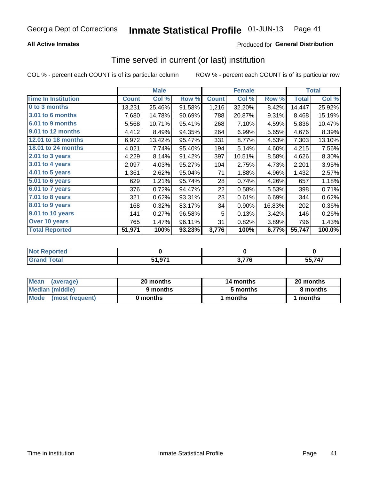### **All Active Inmates**

## **Produced for General Distribution**

# Time served in current (or last) institution

COL % - percent each COUNT is of its particular column

|                            |              | <b>Male</b> |        |              | <b>Female</b> |        |              | <b>Total</b> |
|----------------------------|--------------|-------------|--------|--------------|---------------|--------|--------------|--------------|
| <b>Time In Institution</b> | <b>Count</b> | Col %       | Row %  | <b>Count</b> | Col %         | Row %  | <b>Total</b> | Col %        |
| 0 to 3 months              | 13,231       | 25.46%      | 91.58% | 1,216        | 32.20%        | 8.42%  | 14,447       | 25.92%       |
| <b>3.01 to 6 months</b>    | 7,680        | 14.78%      | 90.69% | 788          | 20.87%        | 9.31%  | 8,468        | 15.19%       |
| 6.01 to 9 months           | 5,568        | 10.71%      | 95.41% | 268          | 7.10%         | 4.59%  | 5,836        | 10.47%       |
| 9.01 to 12 months          | 4,412        | 8.49%       | 94.35% | 264          | 6.99%         | 5.65%  | 4,676        | 8.39%        |
| 12.01 to 18 months         | 6,972        | 13.42%      | 95.47% | 331          | 8.77%         | 4.53%  | 7,303        | 13.10%       |
| <b>18.01 to 24 months</b>  | 4,021        | 7.74%       | 95.40% | 194          | 5.14%         | 4.60%  | 4,215        | 7.56%        |
| $2.01$ to 3 years          | 4,229        | 8.14%       | 91.42% | 397          | 10.51%        | 8.58%  | 4,626        | 8.30%        |
| $3.01$ to 4 years          | 2,097        | 4.03%       | 95.27% | 104          | 2.75%         | 4.73%  | 2,201        | 3.95%        |
| $4.01$ to 5 years          | 1,361        | 2.62%       | 95.04% | 71           | 1.88%         | 4.96%  | 1,432        | 2.57%        |
| 5.01 to 6 years            | 629          | 1.21%       | 95.74% | 28           | 0.74%         | 4.26%  | 657          | 1.18%        |
| $6.01$ to 7 years          | 376          | 0.72%       | 94.47% | 22           | 0.58%         | 5.53%  | 398          | 0.71%        |
| 7.01 to 8 years            | 321          | 0.62%       | 93.31% | 23           | 0.61%         | 6.69%  | 344          | 0.62%        |
| $8.01$ to 9 years          | 168          | 0.32%       | 83.17% | 34           | 0.90%         | 16.83% | 202          | 0.36%        |
| 9.01 to 10 years           | 141          | 0.27%       | 96.58% | 5            | 0.13%         | 3.42%  | 146          | 0.26%        |
| Over 10 years              | 765          | 1.47%       | 96.11% | 31           | 0.82%         | 3.89%  | 796          | 1.43%        |
| <b>Total Reported</b>      | 51,971       | 100%        | 93.23% | 3,776        | 100%          | 6.77%  | 55,747       | 100.0%       |

| neo<br>NO |            |     |       |
|-----------|------------|-----|-------|
|           | Q71<br>Г4. | 770 | 55747 |

| <b>Mean</b><br>(average) | 20 months | 14 months | 20 months |
|--------------------------|-----------|-----------|-----------|
| Median (middle)          | 9 months  | 5 months  | 8 months  |
| Mode (most frequent)     | 0 months  | months    | 1 months  |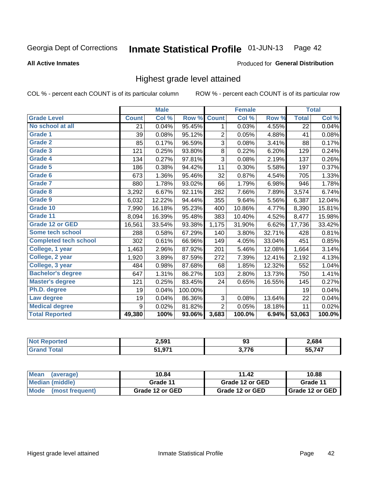#### Inmate Statistical Profile 01-JUN-13 Page 42

**All Active Inmates** 

#### Produced for General Distribution

# Highest grade level attained

COL % - percent each COUNT is of its particular column

|                              |              | <b>Male</b> |         |                | <b>Female</b> |        |              | <b>Total</b> |
|------------------------------|--------------|-------------|---------|----------------|---------------|--------|--------------|--------------|
| <b>Grade Level</b>           | <b>Count</b> | Col %       | Row %   | <b>Count</b>   | Col %         | Row %  | <b>Total</b> | Col %        |
| No school at all             | 21           | 0.04%       | 95.45%  | 1              | 0.03%         | 4.55%  | 22           | 0.04%        |
| <b>Grade 1</b>               | 39           | 0.08%       | 95.12%  | 2              | 0.05%         | 4.88%  | 41           | 0.08%        |
| <b>Grade 2</b>               | 85           | 0.17%       | 96.59%  | 3              | 0.08%         | 3.41%  | 88           | 0.17%        |
| Grade 3                      | 121          | 0.25%       | 93.80%  | $\bf 8$        | 0.22%         | 6.20%  | 129          | 0.24%        |
| Grade 4                      | 134          | 0.27%       | 97.81%  | $\overline{3}$ | 0.08%         | 2.19%  | 137          | 0.26%        |
| Grade 5                      | 186          | 0.38%       | 94.42%  | 11             | 0.30%         | 5.58%  | 197          | 0.37%        |
| Grade 6                      | 673          | 1.36%       | 95.46%  | 32             | 0.87%         | 4.54%  | 705          | 1.33%        |
| <b>Grade 7</b>               | 880          | 1.78%       | 93.02%  | 66             | 1.79%         | 6.98%  | 946          | 1.78%        |
| Grade 8                      | 3,292        | 6.67%       | 92.11%  | 282            | 7.66%         | 7.89%  | 3,574        | 6.74%        |
| <b>Grade 9</b>               | 6,032        | 12.22%      | 94.44%  | 355            | 9.64%         | 5.56%  | 6,387        | 12.04%       |
| Grade 10                     | 7,990        | 16.18%      | 95.23%  | 400            | 10.86%        | 4.77%  | 8,390        | 15.81%       |
| Grade 11                     | 8,094        | 16.39%      | 95.48%  | 383            | 10.40%        | 4.52%  | 8,477        | 15.98%       |
| <b>Grade 12 or GED</b>       | 16,561       | 33.54%      | 93.38%  | 1,175          | 31.90%        | 6.62%  | 17,736       | 33.42%       |
| Some tech school             | 288          | 0.58%       | 67.29%  | 140            | 3.80%         | 32.71% | 428          | 0.81%        |
| <b>Completed tech school</b> | 302          | 0.61%       | 66.96%  | 149            | 4.05%         | 33.04% | 451          | 0.85%        |
| College, 1 year              | 1,463        | 2.96%       | 87.92%  | 201            | 5.46%         | 12.08% | 1,664        | 3.14%        |
| College, 2 year              | 1,920        | 3.89%       | 87.59%  | 272            | 7.39%         | 12.41% | 2,192        | 4.13%        |
| College, 3 year              | 484          | 0.98%       | 87.68%  | 68             | 1.85%         | 12.32% | 552          | 1.04%        |
| <b>Bachelor's degree</b>     | 647          | 1.31%       | 86.27%  | 103            | 2.80%         | 13.73% | 750          | 1.41%        |
| <b>Master's degree</b>       | 121          | 0.25%       | 83.45%  | 24             | 0.65%         | 16.55% | 145          | 0.27%        |
| Ph.D. degree                 | 19           | 0.04%       | 100.00% |                |               |        | 19           | 0.04%        |
| Law degree                   | 19           | 0.04%       | 86.36%  | 3              | 0.08%         | 13.64% | 22           | 0.04%        |
| <b>Medical degree</b>        | 9            | 0.02%       | 81.82%  | $\overline{2}$ | 0.05%         | 18.18% | 11           | 0.02%        |
| <b>Total Reported</b>        | 49,380       | 100%        | 93.06%  | 3,683          | 100.0%        | 6.94%  | 53,063       | 100.0%       |

| teto. | 2.591       | $\sim$<br><br>ಀಀ | 2,684 |
|-------|-------------|------------------|-------|
|       | 54 074<br>. | <b>2.77C</b>     | 55747 |

| Mean<br>(average)              | 10.84           | 11.42           | 10.88                    |
|--------------------------------|-----------------|-----------------|--------------------------|
| Median (middle)                | Grade 11        | Grade 12 or GED | Grade 11                 |
| <b>Mode</b><br>(most frequent) | Grade 12 or GED | Grade 12 or GED | <b>I</b> Grade 12 or GED |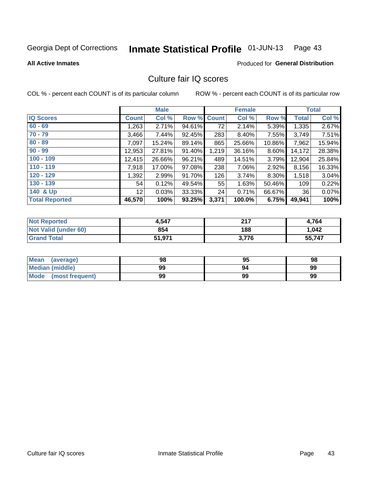#### Inmate Statistical Profile 01-JUN-13 Page 43

#### **All Active Inmates**

# Produced for General Distribution

# Culture fair IQ scores

COL % - percent each COUNT is of its particular column

|                       |                 | <b>Male</b> |        |              | <b>Female</b> |        |              | <b>Total</b> |
|-----------------------|-----------------|-------------|--------|--------------|---------------|--------|--------------|--------------|
| <b>IQ Scores</b>      | <b>Count</b>    | Col %       | Row %  | <b>Count</b> | Col %         | Row %  | <b>Total</b> | Col %        |
| $60 - 69$             | 1,263           | 2.71%       | 94.61% | 72           | 2.14%         | 5.39%  | 1,335        | 2.67%        |
| $70 - 79$             | 3,466           | 7.44%       | 92.45% | 283          | 8.40%         | 7.55%  | 3,749        | 7.51%        |
| $80 - 89$             | 7,097           | 15.24%      | 89.14% | 865          | 25.66%        | 10.86% | 7,962        | 15.94%       |
| $90 - 99$             | 12,953          | 27.81%      | 91.40% | 1,219        | 36.16%        | 8.60%  | 14,172       | 28.38%       |
| $100 - 109$           | 12,415          | 26.66%      | 96.21% | 489          | 14.51%        | 3.79%  | 12,904       | 25.84%       |
| $110 - 119$           | 7,918           | 17.00%      | 97.08% | 238          | 7.06%         | 2.92%  | 8,156        | 16.33%       |
| $120 - 129$           | 1,392           | 2.99%       | 91.70% | 126          | 3.74%         | 8.30%  | 1,518        | 3.04%        |
| $130 - 139$           | 54              | 0.12%       | 49.54% | 55           | 1.63%         | 50.46% | 109          | 0.22%        |
| 140 & Up              | 12 <sub>2</sub> | 0.03%       | 33.33% | 24           | 0.71%         | 66.67% | 36           | 0.07%        |
| <b>Total Reported</b> | 46,570          | 100%        | 93.25% | 3,371        | 100.0%        | 6.75%  | 49,941       | 100%         |

| <b>Not Reported</b>         | 4,547  | つイフ   | 4,764  |
|-----------------------------|--------|-------|--------|
| <b>Not Valid (under 60)</b> | 854    | 188   | 1,042  |
| <b>Grand Total</b>          | 51,971 | 3,776 | 55,747 |

| <b>Mean</b><br>(average) | 98 | 95 | 98 |
|--------------------------|----|----|----|
| Median (middle)          | 99 | 94 | 99 |
| Mode<br>(most frequent)  | 99 | 99 | 99 |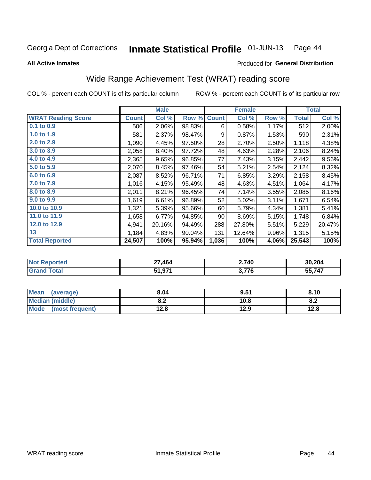#### Inmate Statistical Profile 01-JUN-13 Page 44

**All Active Inmates** 

### Produced for General Distribution

# Wide Range Achievement Test (WRAT) reading score

COL % - percent each COUNT is of its particular column

|                           |              | <b>Male</b> |        |              | <b>Female</b> |       |              | <b>Total</b> |
|---------------------------|--------------|-------------|--------|--------------|---------------|-------|--------------|--------------|
| <b>WRAT Reading Score</b> | <b>Count</b> | Col %       | Row %  | <b>Count</b> | Col %         | Row % | <b>Total</b> | Col %        |
| $0.1$ to $0.9$            | 506          | 2.06%       | 98.83% | 6            | 0.58%         | 1.17% | 512          | 2.00%        |
| 1.0 to 1.9                | 581          | 2.37%       | 98.47% | 9            | 0.87%         | 1.53% | 590          | 2.31%        |
| 2.0 to 2.9                | 1,090        | 4.45%       | 97.50% | 28           | 2.70%         | 2.50% | 1,118        | 4.38%        |
| 3.0 to 3.9                | 2,058        | 8.40%       | 97.72% | 48           | 4.63%         | 2.28% | 2,106        | 8.24%        |
| 4.0 to 4.9                | 2,365        | 9.65%       | 96.85% | 77           | 7.43%         | 3.15% | 2,442        | 9.56%        |
| 5.0 to 5.9                | 2,070        | 8.45%       | 97.46% | 54           | 5.21%         | 2.54% | 2,124        | 8.32%        |
| 6.0 to 6.9                | 2,087        | 8.52%       | 96.71% | 71           | 6.85%         | 3.29% | 2,158        | 8.45%        |
| 7.0 to 7.9                | 1,016        | 4.15%       | 95.49% | 48           | 4.63%         | 4.51% | 1,064        | 4.17%        |
| 8.0 to 8.9                | 2,011        | 8.21%       | 96.45% | 74           | 7.14%         | 3.55% | 2,085        | 8.16%        |
| 9.0 to 9.9                | 1,619        | 6.61%       | 96.89% | 52           | 5.02%         | 3.11% | 1,671        | 6.54%        |
| 10.0 to 10.9              | 1,321        | 5.39%       | 95.66% | 60           | 5.79%         | 4.34% | 1,381        | 5.41%        |
| 11.0 to 11.9              | 1,658        | 6.77%       | 94.85% | 90           | 8.69%         | 5.15% | 1,748        | 6.84%        |
| 12.0 to 12.9              | 4,941        | 20.16%      | 94.49% | 288          | 27.80%        | 5.51% | 5,229        | 20.47%       |
| 13                        | 1,184        | 4.83%       | 90.04% | 131          | 12.64%        | 9.96% | 1,315        | 5.15%        |
| <b>Total Reported</b>     | 24,507       | 100%        | 95.94% | 1,036        | 100%          | 4.06% | 25,543       | 100%         |

| <b>Not Reported</b>   | 27,464 | 2,740           | 30,204 |
|-----------------------|--------|-----------------|--------|
| Гоtal<br><b>Grand</b> | 51,971 | 77C<br>J. I I V | 55,747 |

| <b>Mean</b><br>(average)       | 8.04         | 9.51 | 8.10 |
|--------------------------------|--------------|------|------|
| Median (middle)                | י ה<br>O.A   | 10.8 | o.z  |
| <b>Mode</b><br>(most frequent) | 19 Q<br>14.O | 12.9 | 12.8 |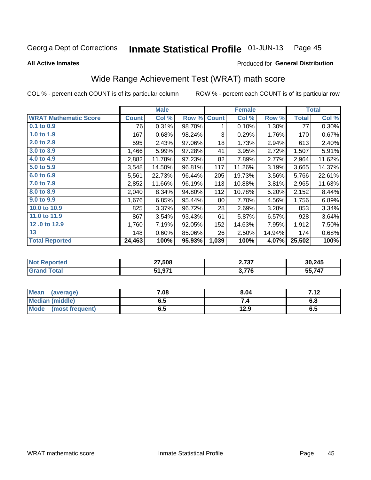#### Inmate Statistical Profile 01-JUN-13 Page 45

**All Active Inmates** 

#### Produced for General Distribution

# Wide Range Achievement Test (WRAT) math score

COL % - percent each COUNT is of its particular column

|                              |              | <b>Male</b> |        |              | <b>Female</b> |        |              | <b>Total</b> |
|------------------------------|--------------|-------------|--------|--------------|---------------|--------|--------------|--------------|
| <b>WRAT Mathematic Score</b> | <b>Count</b> | Col %       | Row %  | <b>Count</b> | Col %         | Row %  | <b>Total</b> | Col %        |
| $0.1$ to $0.9$               | 76           | 0.31%       | 98.70% | 1            | 0.10%         | 1.30%  | 77           | 0.30%        |
| 1.0 to 1.9                   | 167          | 0.68%       | 98.24% | 3            | 0.29%         | 1.76%  | 170          | 0.67%        |
| 2.0 to 2.9                   | 595          | 2.43%       | 97.06% | 18           | 1.73%         | 2.94%  | 613          | 2.40%        |
| 3.0 to 3.9                   | 1,466        | 5.99%       | 97.28% | 41           | 3.95%         | 2.72%  | 1,507        | 5.91%        |
| 4.0 to 4.9                   | 2,882        | 11.78%      | 97.23% | 82           | 7.89%         | 2.77%  | 2,964        | 11.62%       |
| 5.0 to 5.9                   | 3,548        | 14.50%      | 96.81% | 117          | 11.26%        | 3.19%  | 3,665        | 14.37%       |
| 6.0 to 6.9                   | 5,561        | 22.73%      | 96.44% | 205          | 19.73%        | 3.56%  | 5,766        | 22.61%       |
| 7.0 to 7.9                   | 2,852        | 11.66%      | 96.19% | 113          | 10.88%        | 3.81%  | 2,965        | 11.63%       |
| 8.0 to 8.9                   | 2,040        | 8.34%       | 94.80% | 112          | 10.78%        | 5.20%  | 2,152        | 8.44%        |
| 9.0 to 9.9                   | 1,676        | 6.85%       | 95.44% | 80           | 7.70%         | 4.56%  | 1,756        | 6.89%        |
| 10.0 to 10.9                 | 825          | 3.37%       | 96.72% | 28           | 2.69%         | 3.28%  | 853          | 3.34%        |
| 11.0 to 11.9                 | 867          | 3.54%       | 93.43% | 61           | 5.87%         | 6.57%  | 928          | 3.64%        |
| 12.0 to 12.9                 | 1,760        | 7.19%       | 92.05% | 152          | 14.63%        | 7.95%  | 1,912        | 7.50%        |
| 13                           | 148          | 0.60%       | 85.06% | 26           | 2.50%         | 14.94% | 174          | 0.68%        |
| <b>Total Reported</b>        | 24,463       | 100%        | 95.93% | 1,039        | 100%          | 4.07%  | 25,502       | 100%         |
|                              |              |             |        |              |               |        |              |              |

| <b>Not Reported</b> | 27,508 | דמד נ<br>2,731 | 30,245 |
|---------------------|--------|----------------|--------|
| <b>Total</b>        | 51,971 | 3,776          | 55,747 |

| Mean (average)         | 7.08 | 8.04 | 712<br>7. IZ |
|------------------------|------|------|--------------|
| <b>Median (middle)</b> | ง. ว | 54   | o.o          |
| Mode (most frequent)   | ხ.მ  | 12.9 | 6.5          |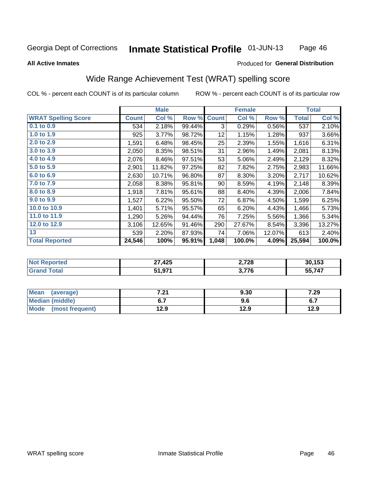#### Inmate Statistical Profile 01-JUN-13 Page 46

#### **All Active Inmates**

#### Produced for General Distribution

# Wide Range Achievement Test (WRAT) spelling score

COL % - percent each COUNT is of its particular column

|                            |              | <b>Male</b> |        |                 | <b>Female</b> |        |              | <b>Total</b> |
|----------------------------|--------------|-------------|--------|-----------------|---------------|--------|--------------|--------------|
| <b>WRAT Spelling Score</b> | <b>Count</b> | Col %       | Row %  | <b>Count</b>    | Col %         | Row %  | <b>Total</b> | Col %        |
| $0.1$ to $0.9$             | 534          | 2.18%       | 99.44% | 3               | 0.29%         | 0.56%  | 537          | 2.10%        |
| 1.0 to 1.9                 | 925          | 3.77%       | 98.72% | 12 <sub>2</sub> | 1.15%         | 1.28%  | 937          | 3.66%        |
| 2.0 to 2.9                 | 1,591        | 6.48%       | 98.45% | 25              | 2.39%         | 1.55%  | 1,616        | 6.31%        |
| 3.0 to 3.9                 | 2,050        | 8.35%       | 98.51% | 31              | 2.96%         | 1.49%  | 2,081        | 8.13%        |
| 4.0 to 4.9                 | 2,076        | 8.46%       | 97.51% | 53              | 5.06%         | 2.49%  | 2,129        | 8.32%        |
| 5.0 to 5.9                 | 2,901        | 11.82%      | 97.25% | 82              | 7.82%         | 2.75%  | 2,983        | 11.66%       |
| 6.0 to 6.9                 | 2,630        | 10.71%      | 96.80% | 87              | 8.30%         | 3.20%  | 2,717        | 10.62%       |
| 7.0 to 7.9                 | 2,058        | 8.38%       | 95.81% | 90              | 8.59%         | 4.19%  | 2,148        | 8.39%        |
| 8.0 to 8.9                 | 1,918        | 7.81%       | 95.61% | 88              | 8.40%         | 4.39%  | 2,006        | 7.84%        |
| 9.0 to 9.9                 | 1,527        | 6.22%       | 95.50% | 72              | 6.87%         | 4.50%  | 1,599        | 6.25%        |
| 10.0 to 10.9               | 1,401        | 5.71%       | 95.57% | 65              | 6.20%         | 4.43%  | 1,466        | 5.73%        |
| 11.0 to 11.9               | 1,290        | 5.26%       | 94.44% | 76              | 7.25%         | 5.56%  | 1,366        | 5.34%        |
| 12.0 to 12.9               | 3,106        | 12.65%      | 91.46% | 290             | 27.67%        | 8.54%  | 3,396        | 13.27%       |
| 13                         | 539          | 2.20%       | 87.93% | 74              | 7.06%         | 12.07% | 613          | 2.40%        |
| <b>Total Reported</b>      | 24,546       | 100%        | 95.91% | 1,048           | 100.0%        | 4.09%  | 25,594       | 100.0%       |

| . <eportea<br>' NOI</eportea<br> | 27,425 | 2,728 | 30,153 |
|----------------------------------|--------|-------|--------|
| <b>cotal</b>                     | 51,971 | 2 77C | 55,747 |

| <b>Mean</b><br>(average) | 7.04<br>.Z I | 9.30 | 7.29 |
|--------------------------|--------------|------|------|
| Median (middle)          |              | 9.6  | ν.,  |
| Mode<br>(most frequent)  | 12.9         | 12.9 | 12.9 |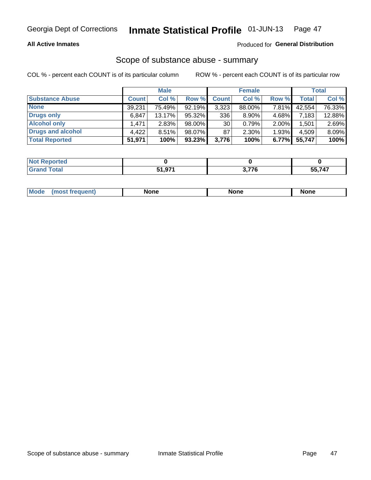### **All Active Inmates**

### Produced for General Distribution

## Scope of substance abuse - summary

COL % - percent each COUNT is of its particular column

|                        |              | <b>Male</b> |           |              | <b>Female</b> |          |              | <b>Total</b> |
|------------------------|--------------|-------------|-----------|--------------|---------------|----------|--------------|--------------|
| <b>Substance Abuse</b> | <b>Count</b> | Col %       | Row %     | <b>Count</b> | Col %         | Row %    | <b>Total</b> | Col %        |
| <b>None</b>            | 39,231       | 75.49%      | 92.19%    | 3,323        | 88.00%        | 7.81%    | 42,554       | 76.33%       |
| Drugs only             | 6,847        | $13.17\%$   | 95.32%    | 336          | $8.90\%$      | 4.68%    | 7,183        | 12.88%       |
| <b>Alcohol only</b>    | .471         | 2.83%       | 98.00%    | 30           | 0.79%         | $2.00\%$ | .501         | 2.69%        |
| Drugs and alcohol      | 4,422        | 8.51%       | 98.07%    | 87           | $2.30\%$      | 1.93%    | 4,509        | 8.09%        |
| <b>Total Reported</b>  | 51,971       | 100%        | $93.23\%$ | 3,776        | 100%          | 6.77%    | 55,747       | 100%         |

| <b>Not</b><br>Reported |                                   |             |       |
|------------------------|-----------------------------------|-------------|-------|
| <b>Grand Total</b>     | <sup>-</sup> 1 071<br><b>JIJI</b> | -770<br>1 C | 55747 |

| Mode<br>None<br><b>None</b><br>None<br>most<br>quenti<br>___ |
|--------------------------------------------------------------|
|--------------------------------------------------------------|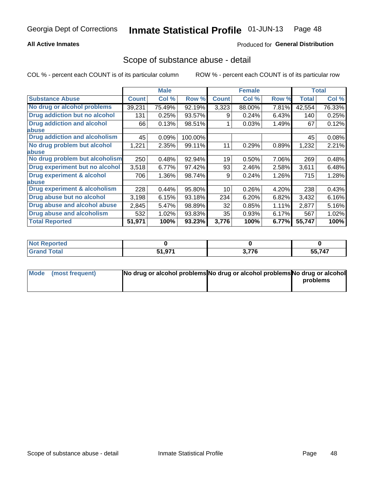### **All Active Inmates**

## **Produced for General Distribution**

## Scope of substance abuse - detail

COL % - percent each COUNT is of its particular column

|                                      |              | <b>Male</b> |         |              | <b>Female</b> |       |              | <b>Total</b> |
|--------------------------------------|--------------|-------------|---------|--------------|---------------|-------|--------------|--------------|
| <b>Substance Abuse</b>               | <b>Count</b> | Col %       | Row %   | <b>Count</b> | Col %         | Row % | <b>Total</b> | Col %        |
| No drug or alcohol problems          | 39,231       | 75.49%      | 92.19%  | 3,323        | 88.00%        | 7.81% | 42,554       | 76.33%       |
| Drug addiction but no alcohol        | 131          | 0.25%       | 93.57%  | 9            | 0.24%         | 6.43% | 140          | 0.25%        |
| <b>Drug addiction and alcohol</b>    | 66           | 0.13%       | 98.51%  |              | 0.03%         | 1.49% | 67           | 0.12%        |
| <b>labuse</b>                        |              |             |         |              |               |       |              |              |
| <b>Drug addiction and alcoholism</b> | 45           | 0.09%       | 100.00% |              |               |       | 45           | 0.08%        |
| No drug problem but alcohol          | 1,221        | 2.35%       | 99.11%  | 11           | 0.29%         | 0.89% | 1,232        | 2.21%        |
| <b>labuse</b>                        |              |             |         |              |               |       |              |              |
| No drug problem but alcoholism       | 250          | 0.48%       | 92.94%  | 19           | 0.50%         | 7.06% | 269          | 0.48%        |
| Drug experiment but no alcohol       | 3,518        | 6.77%       | 97.42%  | 93           | 2.46%         | 2.58% | 3,611        | 6.48%        |
| <b>Drug experiment &amp; alcohol</b> | 706          | 1.36%       | 98.74%  | 9            | 0.24%         | 1.26% | 715          | 1.28%        |
| <b>labuse</b>                        |              |             |         |              |               |       |              |              |
| Drug experiment & alcoholism         | 228          | 0.44%       | 95.80%  | 10           | 0.26%         | 4.20% | 238          | 0.43%        |
| Drug abuse but no alcohol            | 3,198        | 6.15%       | 93.18%  | 234          | 6.20%         | 6.82% | 3,432        | 6.16%        |
| Drug abuse and alcohol abuse         | 2,845        | 5.47%       | 98.89%  | 32           | 0.85%         | 1.11% | 2,877        | 5.16%        |
| <b>Drug abuse and alcoholism</b>     | 532          | 1.02%       | 93.83%  | 35           | 0.93%         | 6.17% | 567          | 1.02%        |
| <b>Total Reported</b>                | 51,971       | 100%        | 93.23%  | 3,776        | 100%          | 6.77% | 55,747       | 100%         |

| ported<br>NOT |        |            |        |
|---------------|--------|------------|--------|
| <b>otal</b>   | 51,971 | 270<br>r u | 55,747 |

| Mode (most frequent) | No drug or alcohol problems No drug or alcohol problems No drug or alcohol |          |
|----------------------|----------------------------------------------------------------------------|----------|
|                      |                                                                            | problems |
|                      |                                                                            |          |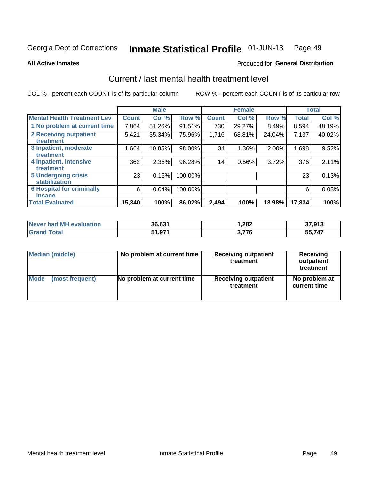#### Inmate Statistical Profile 01-JUN-13 Page 49

**All Active Inmates** 

### **Produced for General Distribution**

# Current / last mental health treatment level

COL % - percent each COUNT is of its particular column

|                                    |              | <b>Male</b> |         |              | <b>Female</b> |          |        | <b>Total</b> |
|------------------------------------|--------------|-------------|---------|--------------|---------------|----------|--------|--------------|
| <b>Mental Health Treatment Lev</b> | <b>Count</b> | Col %       | Row %   | <b>Count</b> | Col %         | Row %    | Total  | Col %        |
| 1 No problem at current time       | 7,864        | 51.26%      | 91.51%  | 730          | 29.27%        | 8.49%    | 8,594  | 48.19%       |
| 2 Receiving outpatient             | 5,421        | 35.34%      | 75.96%  | 1,716        | 68.81%        | 24.04%   | 7,137  | 40.02%       |
| <b>Treatment</b>                   |              |             |         |              |               |          |        |              |
| 3 Inpatient, moderate              | 1,664        | 10.85%      | 98.00%  | 34           | 1.36%         | $2.00\%$ | 1,698  | 9.52%        |
| <b>Treatment</b>                   |              |             |         |              |               |          |        |              |
| 4 Inpatient, intensive             | 362          | 2.36%       | 96.28%  | 14           | 0.56%         | 3.72%    | 376    | 2.11%        |
| <b>Treatment</b>                   |              |             |         |              |               |          |        |              |
| 5 Undergoing crisis                | 23           | 0.15%       | 100.00% |              |               |          | 23     | 0.13%        |
| <b>stabilization</b>               |              |             |         |              |               |          |        |              |
| <b>6 Hospital for criminally</b>   | 6            | 0.04%       | 100.00% |              |               |          | 6      | 0.03%        |
| Tnsane                             |              |             |         |              |               |          |        |              |
| <b>Total Evaluated</b>             | 15,340       | 100%        | 86.02%  | 2,494        | 100%          | 13.98%   | 17,834 | 100%         |

| <b>Never had MH evaluation</b> | 36,631 | 282. ا | 37,913       |
|--------------------------------|--------|--------|--------------|
| $\tau$ otal                    | 51,971 | 3,776  | 55,747<br>55 |

| Median (middle) | No problem at current time | <b>Receiving outpatient</b><br>treatment | <b>Receiving</b><br>outpatient<br>treatment |
|-----------------|----------------------------|------------------------------------------|---------------------------------------------|
| <b>Mode</b>     | No problem at current time | <b>Receiving outpatient</b>              | No problem at                               |
| (most frequent) |                            | treatment                                | current time                                |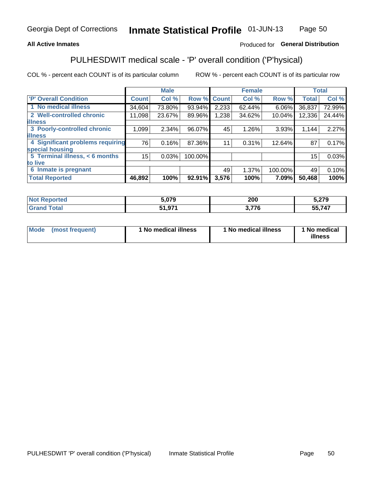### **All Active Inmates**

### Produced for General Distribution

# PULHESDWIT medical scale - 'P' overall condition ('P'hysical)

COL % - percent each COUNT is of its particular column

|                                  |              | <b>Male</b> |         |              | <b>Female</b> |         |              | <b>Total</b> |
|----------------------------------|--------------|-------------|---------|--------------|---------------|---------|--------------|--------------|
| <b>'P' Overall Condition</b>     | <b>Count</b> | Col %       | Row %   | <b>Count</b> | Col %         | Row %   | <b>Total</b> | Col %        |
| 1 No medical illness             | 34,604       | 73.80%      | 93.94%  | 2,233        | 62.44%        | 6.06%   | 36,837       | 72.99%       |
| 2 Well-controlled chronic        | 11,098       | 23.67%      | 89.96%  | 1,238        | 34.62%        | 10.04%  | 12,336       | 24.44%       |
| <b>lillness</b>                  |              |             |         |              |               |         |              |              |
| 3 Poorly-controlled chronic      | 1,099        | 2.34%       | 96.07%  | 45           | 1.26%         | 3.93%   | 1,144        | 2.27%        |
| <b>illness</b>                   |              |             |         |              |               |         |              |              |
| 4 Significant problems requiring | 76           | 0.16%       | 87.36%  | 11           | 0.31%         | 12.64%  | 87           | 0.17%        |
| special housing                  |              |             |         |              |               |         |              |              |
| 5 Terminal illness, < 6 months   | 15           | 0.03%       | 100.00% |              |               |         | 15           | 0.03%        |
| to live                          |              |             |         |              |               |         |              |              |
| 6 Inmate is pregnant             |              |             |         | 49           | 1.37%         | 100.00% | 49           | 0.10%        |
| <b>Total Reported</b>            | 46,892       | 100%        | 92.91%  | 3,576        | 100%          | 7.09%   | 50,468       | 100%         |

| τeα | 5.079            | 000<br>ZUU | ^־מ<br>ت اے ل |
|-----|------------------|------------|---------------|
|     | 071<br><u>т.</u> | 77c<br>.u  | 55,747        |

| Mode | (most frequent) | 1 No medical illness | 1 No medical illness | 1 No medical<br>illness |
|------|-----------------|----------------------|----------------------|-------------------------|
|------|-----------------|----------------------|----------------------|-------------------------|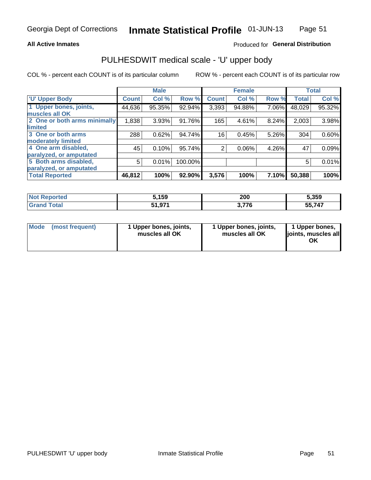#### **All Active Inmates**

### Produced for General Distribution

# PULHESDWIT medical scale - 'U' upper body

COL % - percent each COUNT is of its particular column

|                              |              | <b>Male</b> |         |              | <b>Female</b> |       |              | <b>Total</b> |
|------------------------------|--------------|-------------|---------|--------------|---------------|-------|--------------|--------------|
| <b>U' Upper Body</b>         | <b>Count</b> | Col %       | Row %   | <b>Count</b> | Col %         | Row % | <b>Total</b> | Col %        |
| 1 Upper bones, joints,       | 44,636       | 95.35%      | 92.94%  | 3,393        | 94.88%        | 7.06% | 48,029       | 95.32%       |
| muscles all OK               |              |             |         |              |               |       |              |              |
| 2 One or both arms minimally | 1,838        | 3.93%       | 91.76%  | 165          | 4.61%         | 8.24% | 2,003        | 3.98%        |
| limited                      |              |             |         |              |               |       |              |              |
| 3 One or both arms           | 288          | 0.62%       | 94.74%  | 16           | 0.45%         | 5.26% | 304          | 0.60%        |
| <b>moderately limited</b>    |              |             |         |              |               |       |              |              |
| 4 One arm disabled,          | 45           | 0.10%       | 95.74%  | 2            | 0.06%         | 4.26% | 47           | 0.09%        |
| paralyzed, or amputated      |              |             |         |              |               |       |              |              |
| 5 Both arms disabled,        | 5            | 0.01%       | 100.00% |              |               |       | 5            | 0.01%        |
| paralyzed, or amputated      |              |             |         |              |               |       |              |              |
| <b>Total Reported</b>        | 46,812       | 100%        | 92.90%  | 3,576        | 100%          | 7.10% | 50,388       | 100%         |

| <b>Not Reported</b> | 5,159                | 200          | 5,359  |
|---------------------|----------------------|--------------|--------|
| <b>Grand Total</b>  | 071<br>E4<br>JI.JI . | フファ<br>3.770 | 55,747 |

| Mode<br>(most frequent) | 1 Upper bones, joints,<br>muscles all OK | 1 Upper bones, joints,<br>muscles all OK | 1 Upper bones,<br>joints, muscles all<br>ΟK |
|-------------------------|------------------------------------------|------------------------------------------|---------------------------------------------|
|-------------------------|------------------------------------------|------------------------------------------|---------------------------------------------|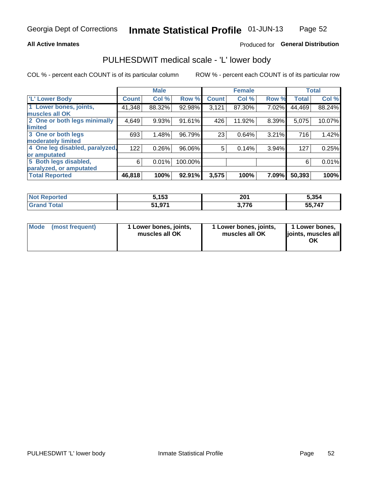#### **All Active Inmates**

## Produced for General Distribution

# PULHESDWIT medical scale - 'L' lower body

COL % - percent each COUNT is of its particular column

|                                |              | <b>Male</b> |         |              | <b>Female</b> |       |              | <b>Total</b> |
|--------------------------------|--------------|-------------|---------|--------------|---------------|-------|--------------|--------------|
| 'L' Lower Body                 | <b>Count</b> | Col %       | Row %   | <b>Count</b> | Col %         | Row % | <b>Total</b> | Col %        |
| 1 Lower bones, joints,         | 41,348       | 88.32%      | 92.98%  | 3,121        | 87.30%        | 7.02% | 44,469       | 88.24%       |
| muscles all OK                 |              |             |         |              |               |       |              |              |
| 2 One or both legs minimally   | 4,649        | 9.93%       | 91.61%  | 426          | 11.92%        | 8.39% | 5,075        | 10.07%       |
| limited                        |              |             |         |              |               |       |              |              |
| 3 One or both legs             | 693          | 1.48%       | 96.79%  | 23           | 0.64%         | 3.21% | 716          | 1.42%        |
| moderately limited             |              |             |         |              |               |       |              |              |
| 4 One leg disabled, paralyzed, | 122          | 0.26%       | 96.06%  | 5            | 0.14%         | 3.94% | 127          | 0.25%        |
| or amputated                   |              |             |         |              |               |       |              |              |
| 5 Both legs disabled,          | 6            | 0.01%       | 100.00% |              |               |       | 6            | 0.01%        |
| paralyzed, or amputated        |              |             |         |              |               |       |              |              |
| <b>Total Reported</b>          | 46,818       | 100%        | 92.91%  | 3,575        | 100%          | 7.09% | 50,393       | 100%         |

| <b>Not Reported</b> | 5,153  | 201   | 5,354  |
|---------------------|--------|-------|--------|
| <b>Grand Total</b>  | 51,971 | 3,776 | 55,747 |

|  | Mode (most frequent) | 1 Lower bones, joints,<br>muscles all OK | 1 Lower bones, joints,<br>muscles all OK | 1 Lower bones,<br>joints, muscles all<br>ΟK |
|--|----------------------|------------------------------------------|------------------------------------------|---------------------------------------------|
|--|----------------------|------------------------------------------|------------------------------------------|---------------------------------------------|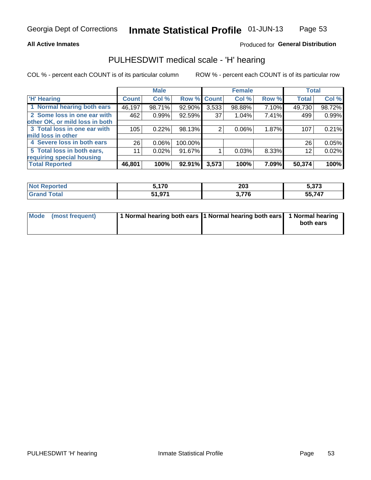### **All Active Inmates**

### Produced for General Distribution

# PULHESDWIT medical scale - 'H' hearing

COL % - percent each COUNT is of its particular column

|                                |              | <b>Male</b> |             |       | <b>Female</b> |       | <b>Total</b> |        |
|--------------------------------|--------------|-------------|-------------|-------|---------------|-------|--------------|--------|
| <b>'H' Hearing</b>             | <b>Count</b> | Col %       | Row % Count |       | Col %         | Row % | <b>Total</b> | Col %  |
| 1 Normal hearing both ears     | 46,197       | 98.71%      | 92.90%      | 3,533 | 98.88%        | 7.10% | 49,730       | 98.72% |
| 2 Some loss in one ear with    | 462          | 0.99%       | 92.59%      | 37    | 1.04%         | 7.41% | 499          | 0.99%  |
| other OK, or mild loss in both |              |             |             |       |               |       |              |        |
| 3 Total loss in one ear with   | 105          | 0.22%       | 98.13%      | 2     | 0.06%         | 1.87% | 107          | 0.21%  |
| mild loss in other             |              |             |             |       |               |       |              |        |
| 4 Severe loss in both ears     | 26           | 0.06%       | 100.00%     |       |               |       | 26           | 0.05%  |
| 5 Total loss in both ears,     | 11           | 0.02%       | 91.67%      |       | 0.03%         | 8.33% | 12           | 0.02%  |
| requiring special housing      |              |             |             |       |               |       |              |        |
| <b>Total Reported</b>          | 46,801       | 100%        | 92.91%      | 3,573 | 100%          | 7.09% | 50,374       | 100%   |

| ∵nrted ∴<br><b>NOT RADO</b> | 5,170             | 203 | : っつっ<br>3.J/J |
|-----------------------------|-------------------|-----|----------------|
| <b>Total</b>                | 51 Q71<br>J I J I | 77c | --<br>55.747   |

| Mode (most frequent) | 1 Normal hearing both ears 11 Normal hearing both ears 1 Normal hearing | both ears |
|----------------------|-------------------------------------------------------------------------|-----------|
|                      |                                                                         |           |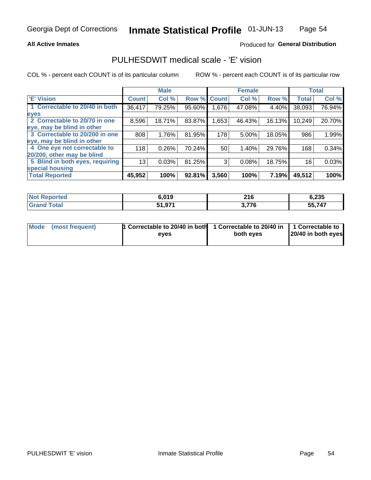### **All Active Inmates**

### Produced for General Distribution

# PULHESDWIT medical scale - 'E' vision

COL % - percent each COUNT is of its particular column

|                                 |              | <b>Male</b> |        |              | <b>Female</b> |        |              | <b>Total</b> |
|---------------------------------|--------------|-------------|--------|--------------|---------------|--------|--------------|--------------|
| 'E' Vision                      | <b>Count</b> | Col %       | Row %  | <b>Count</b> | Col %         | Row %  | <b>Total</b> | Col %        |
| 1 Correctable to 20/40 in both  | 36,417       | 79.25%      | 95.60% | ا 676.       | 47.08%        | 4.40%  | 38,093       | 76.94%       |
| eyes                            |              |             |        |              |               |        |              |              |
| 2 Correctable to 20/70 in one   | 8,596        | 18.71%      | 83.87% | 1,653        | 46.43%        | 16.13% | 10,249       | 20.70%       |
| eye, may be blind in other      |              |             |        |              |               |        |              |              |
| 3 Correctable to 20/200 in one  | 808          | 1.76%       | 81.95% | 178          | 5.00%         | 18.05% | 986          | 1.99%        |
| eye, may be blind in other      |              |             |        |              |               |        |              |              |
| 4 One eye not correctable to    | 118          | 0.26%       | 70.24% | 50           | 1.40%         | 29.76% | 168          | 0.34%        |
| 20/200, other may be blind      |              |             |        |              |               |        |              |              |
| 5 Blind in both eyes, requiring | 13           | 0.03%       | 81.25% | 3            | 0.08%         | 18.75% | 16           | 0.03%        |
| special housing                 |              |             |        |              |               |        |              |              |
| <b>Total Reported</b>           | 45,952       | 100%        | 92.81% | 3,560        | 100%          | 7.19%  | 49,512       | 100%         |

| <b>Not Reported</b>     | 6,019  | 216   | 6,235  |
|-------------------------|--------|-------|--------|
| <b>Total</b><br>' Grand | 51,971 | 3,776 | 55,747 |

| Mode (most frequent) | 1 Correctable to 20/40 in both<br>eves | 1 Correctable to 20/40 in   1 Correctable to  <br>both eves | 20/40 in both eyes |
|----------------------|----------------------------------------|-------------------------------------------------------------|--------------------|
|                      |                                        |                                                             |                    |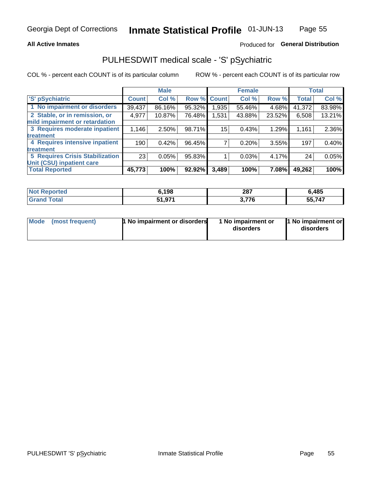### **All Active Inmates**

## Produced for General Distribution

# PULHESDWIT medical scale - 'S' pSychiatric

COL % - percent each COUNT is of its particular column

|                                        |              | <b>Male</b> |        |              | <b>Female</b> |        |              | <b>Total</b> |
|----------------------------------------|--------------|-------------|--------|--------------|---------------|--------|--------------|--------------|
| 'S' pSychiatric                        | <b>Count</b> | Col %       | Row %  | <b>Count</b> | Col %         | Row %  | <b>Total</b> | Col %        |
| 1 No impairment or disorders           | 39,437       | 86.16%      | 95.32% | .935         | 55.46%        | 4.68%  | 41,372       | 83.98%       |
| 2 Stable, or in remission, or          | 4,977        | 10.87%      | 76.48% | 1,531        | 43.88%        | 23.52% | 6,508        | 13.21%       |
| mild impairment or retardation         |              |             |        |              |               |        |              |              |
| 3 Requires moderate inpatient          | 1,146        | $2.50\%$    | 98.71% | 15           | 0.43%         | 1.29%  | 1,161        | 2.36%        |
| treatment                              |              |             |        |              |               |        |              |              |
| 4 Requires intensive inpatient         | 190          | 0.42%       | 96.45% |              | 0.20%         | 3.55%  | 197          | 0.40%        |
| treatment                              |              |             |        |              |               |        |              |              |
| <b>5 Requires Crisis Stabilization</b> | 23           | 0.05%       | 95.83% |              | 0.03%         | 4.17%  | 24           | 0.05%        |
| Unit (CSU) inpatient care              |              |             |        |              |               |        |              |              |
| <b>Total Reported</b>                  | 45,773       | 100%        | 92.92% | 3,489        | 100%          | 7.08%  | 49,262       | 100%         |

| <b>Not Reported</b> | 6,198  | 287   | 6,485  |
|---------------------|--------|-------|--------|
| <b>Grand Total</b>  | 51,971 | 3,776 | 55,747 |

| Mode | (most frequent) | 1 No impairment or disorders | 1 No impairment or<br>disorders | 11 No impairment or<br>disorders |
|------|-----------------|------------------------------|---------------------------------|----------------------------------|
|------|-----------------|------------------------------|---------------------------------|----------------------------------|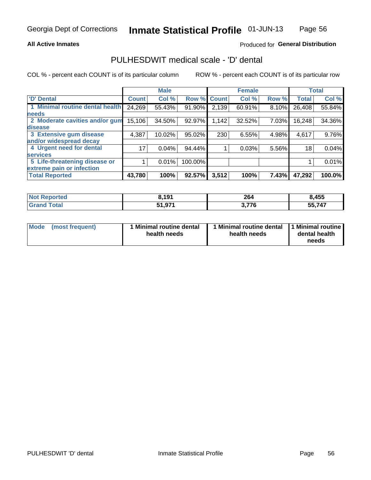### **All Active Inmates**

### Produced for General Distribution

# PULHESDWIT medical scale - 'D' dental

COL % - percent each COUNT is of its particular column

|                                 |              | <b>Male</b> |         |              | <b>Female</b> |       |              | <b>Total</b> |
|---------------------------------|--------------|-------------|---------|--------------|---------------|-------|--------------|--------------|
| <b>D'</b> Dental                | <b>Count</b> | Col %       | Row %   | <b>Count</b> | Col %         | Row % | <b>Total</b> | Col %        |
| 1 Minimal routine dental health | 24,269       | 55.43%      | 91.90%  | 2,139        | 60.91%        | 8.10% | 26,408       | 55.84%       |
| <b>needs</b>                    |              |             |         |              |               |       |              |              |
| 2 Moderate cavities and/or gum  | 15,106       | 34.50%      | 92.97%  | 1,142        | 32.52%        | 7.03% | 16,248       | 34.36%       |
| disease                         |              |             |         |              |               |       |              |              |
| 3 Extensive gum disease         | 4,387        | 10.02%      | 95.02%  | 230          | 6.55%         | 4.98% | 4,617        | 9.76%        |
| and/or widespread decay         |              |             |         |              |               |       |              |              |
| 4 Urgent need for dental        | 17           | 0.04%       | 94.44%  |              | 0.03%         | 5.56% | 18           | 0.04%        |
| <b>services</b>                 |              |             |         |              |               |       |              |              |
| 5 Life-threatening disease or   |              | 0.01%       | 100.00% |              |               |       |              | 0.01%        |
| extreme pain or infection       |              |             |         |              |               |       |              |              |
| <b>Total Reported</b>           | 43,780       | 100%        | 92.57%  | 3,512        | 100%          | 7.43% | 47,292       | 100.0%       |

| <b>Not Reported</b> | 8.191                         | 264   | 8,455      |
|---------------------|-------------------------------|-------|------------|
| <b>Total</b>        | <b>Q71</b><br>64.<br>. וט, ונ | 3.776 | 55,747<br> |

| 1 Minimal routine dental<br>Mode<br>(most frequent)<br>health needs | 1 Minimal routine dental 1 Minimal routine<br>health needs | dental health<br>needs |
|---------------------------------------------------------------------|------------------------------------------------------------|------------------------|
|---------------------------------------------------------------------|------------------------------------------------------------|------------------------|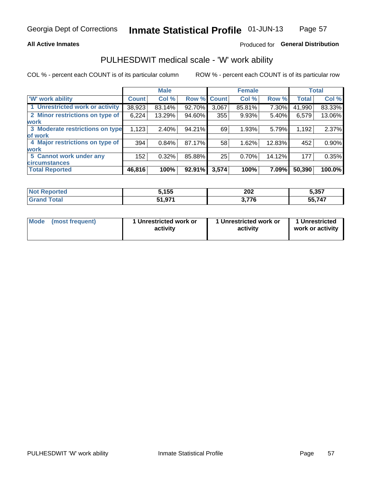### **All Active Inmates**

## Produced for General Distribution

# PULHESDWIT medical scale - 'W' work ability

COL % - percent each COUNT is of its particular column

|                                 |              | <b>Male</b> |        |             | <b>Female</b> |        |              | <b>Total</b> |
|---------------------------------|--------------|-------------|--------|-------------|---------------|--------|--------------|--------------|
| 'W' work ability                | <b>Count</b> | Col %       |        | Row % Count | Col %         | Row %  | <b>Total</b> | Col %        |
| 1 Unrestricted work or activity | 38,923       | 83.14%      | 92.70% | 3,067       | 85.81%        | 7.30%  | 41,990       | 83.33%       |
| 2 Minor restrictions on type of | 6,224        | 13.29%      | 94.60% | 355         | 9.93%         | 5.40%  | 6,579        | 13.06%       |
| <b>work</b>                     |              |             |        |             |               |        |              |              |
| 3 Moderate restrictions on type | 1,123        | $2.40\%$    | 94.21% | 69          | 1.93%         | 5.79%  | 1,192        | 2.37%        |
| lof work                        |              |             |        |             |               |        |              |              |
| 4 Major restrictions on type of | 394          | 0.84%       | 87.17% | 58          | 1.62%         | 12.83% | 452          | 0.90%        |
| <b>work</b>                     |              |             |        |             |               |        |              |              |
| 5 Cannot work under any         | 152          | 0.32%       | 85.88% | 25          | 0.70%         | 14.12% | 177          | 0.35%        |
| <b>circumstances</b>            |              |             |        |             |               |        |              |              |
| <b>Total Reported</b>           | 46,816       | 100%        | 92.91% | 3,574       | 100%          | 7.09%  | 50,390       | 100.0%       |

| <b>Not Reported</b> | , 155                  | 202        | 5,357       |
|---------------------|------------------------|------------|-------------|
| Total               | 071<br>:4<br>, , , , , | 7,776<br>. | 55747<br>יי |

| <b>Mode</b>     | 1 Unrestricted work or | 1 Unrestricted work or | 1 Unrestricted   |
|-----------------|------------------------|------------------------|------------------|
| (most frequent) | activity               | activity               | work or activity |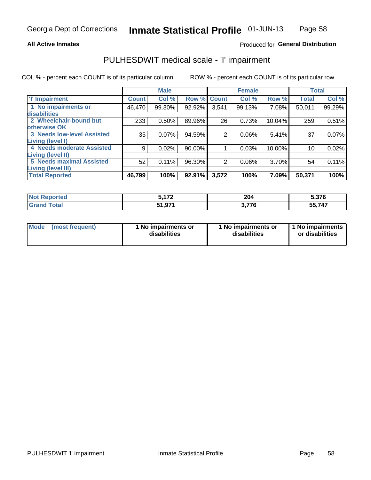#### **All Active Inmates**

### Produced for General Distribution

# PULHESDWIT medical scale - 'I' impairment

COL % - percent each COUNT is of its particular column

|                                                              |              | <b>Male</b> |        |             | <b>Female</b> |        |              | <b>Total</b> |
|--------------------------------------------------------------|--------------|-------------|--------|-------------|---------------|--------|--------------|--------------|
| <b>T' Impairment</b>                                         | <b>Count</b> | Col %       |        | Row % Count | Col %         | Row %  | <b>Total</b> | Col %        |
| 1 No impairments or<br>disabilities                          | 46,470       | 99.30%      | 92.92% | 3,541       | 99.13%        | 7.08%  | 50,011       | 99.29%       |
| 2 Wheelchair-bound but<br>otherwise OK                       | 233          | 0.50%       | 89.96% | 26          | 0.73%         | 10.04% | 259          | 0.51%        |
| <b>3 Needs low-level Assisted</b><br>Living (level I)        | 35           | 0.07%       | 94.59% | 2           | 0.06%         | 5.41%  | 37           | 0.07%        |
| 4 Needs moderate Assisted<br>Living (level II)               | 9            | 0.02%       | 90.00% |             | 0.03%         | 10.00% | 10           | 0.02%        |
| <b>5 Needs maximal Assisted</b><br><b>Living (level III)</b> | 52           | 0.11%       | 96.30% | 2           | 0.06%         | 3.70%  | 54           | 0.11%        |
| <b>Total Reported</b>                                        | 46,799       | 100%        | 92.91% | 3,572       | 100%          | 7.09%  | 50,371       | 100%         |

| <b>Not</b> | <b>-470</b>  | 204           | 5,376        |
|------------|--------------|---------------|--------------|
| Reported   | . <i>. .</i> | $\sim$ $\sim$ |              |
| Total      | 51,971       | 770<br>- 10   | ,747<br>55,7 |

| Mode | (most frequent) | 1 No impairments or<br>disabilities | 1 No impairments or<br>disabilities | 1 No impairments<br>or disabilities |
|------|-----------------|-------------------------------------|-------------------------------------|-------------------------------------|
|------|-----------------|-------------------------------------|-------------------------------------|-------------------------------------|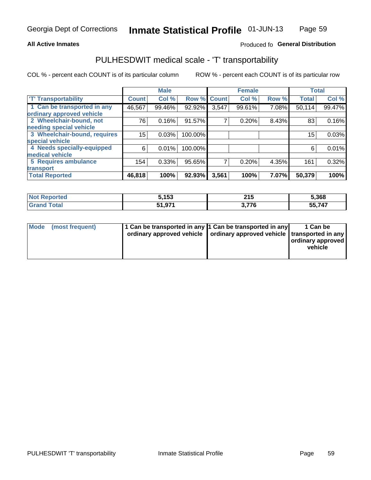### **All Active Inmates**

### Produced fo General Distribution

# PULHESDWIT medical scale - 'T' transportability

COL % - percent each COUNT is of its particular column

|                              |              | <b>Male</b> |         |              | <b>Female</b> |       | <b>Total</b> |        |
|------------------------------|--------------|-------------|---------|--------------|---------------|-------|--------------|--------|
| <b>T' Transportability</b>   | <b>Count</b> | Col %       | Row %   | <b>Count</b> | Col %         | Row % | <b>Total</b> | Col %  |
| 1 Can be transported in any  | 46,567       | 99.46%      | 92.92%  | 3,547        | 99.61%        | 7.08% | 50,114       | 99.47% |
| ordinary approved vehicle    |              |             |         |              |               |       |              |        |
| 2 Wheelchair-bound, not      | 76           | 0.16%       | 91.57%  | 7            | 0.20%         | 8.43% | 83           | 0.16%  |
| needing special vehicle      |              |             |         |              |               |       |              |        |
| 3 Wheelchair-bound, requires | 15           | 0.03%       | 100.00% |              |               |       | 15           | 0.03%  |
| special vehicle              |              |             |         |              |               |       |              |        |
| 4 Needs specially-equipped   | 6            | 0.01%       | 100.00% |              |               |       | 6            | 0.01%  |
| medical vehicle              |              |             |         |              |               |       |              |        |
| <b>5 Requires ambulance</b>  | 154          | 0.33%       | 95.65%  | 7            | 0.20%         | 4.35% | 161          | 0.32%  |
| transport                    |              |             |         |              |               |       |              |        |
| <b>Total Reported</b>        | 46,818       | 100%        | 92.93%  | 3,561        | 100%          | 7.07% | 50,379       | 100%   |

| <b>Not</b><br>Reported | 5,153  | 215<br>$\sim$ | 5,368  |
|------------------------|--------|---------------|--------|
| Total                  | 51,971 | 77C<br>770    | 55,747 |

|  | Mode (most frequent) | 1 Can be transported in any 1 Can be transported in any<br>ordinary approved vehicle   ordinary approved vehicle   transported in any |  | 1 Can be<br>  ordinary approved  <br>vehicle |
|--|----------------------|---------------------------------------------------------------------------------------------------------------------------------------|--|----------------------------------------------|
|--|----------------------|---------------------------------------------------------------------------------------------------------------------------------------|--|----------------------------------------------|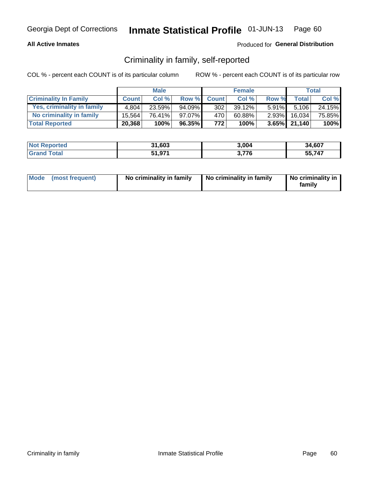### **All Active Inmates**

### Produced for General Distribution

## Criminality in family, self-reported

COL % - percent each COUNT is of its particular column

|                              |              | <b>Male</b> |        |              | <b>Female</b> |          |                   | Total  |
|------------------------------|--------------|-------------|--------|--------------|---------------|----------|-------------------|--------|
| <b>Criminality In Family</b> | <b>Count</b> | Col%        | Row %  | <b>Count</b> | Col %         | Row %    | <b>Total</b>      | Col %  |
| Yes, criminality in family   | 4.804        | $23.59\%$   | 94.09% | 302          | 39.12%        | $5.91\%$ | 5,106             | 24.15% |
| No criminality in family     | 15.564       | 76.41%      | 97.07% | 470          | 60.88%        | $2.93\%$ | 16.034            | 75.85% |
| <b>Total Reported</b>        | 20,368       | 100%        | 96.35% | 772          | 100%          |          | $3.65\%$   21,140 | 100%   |

| <b>Not Reported</b> | 31,603 | 3.004 | 34,607 |
|---------------------|--------|-------|--------|
| l Grand T<br>⊺otal  | 51,971 | 776   | 55 747 |

|  | Mode (most frequent) | No criminality in family | No criminality in family | No criminality in<br>family |
|--|----------------------|--------------------------|--------------------------|-----------------------------|
|--|----------------------|--------------------------|--------------------------|-----------------------------|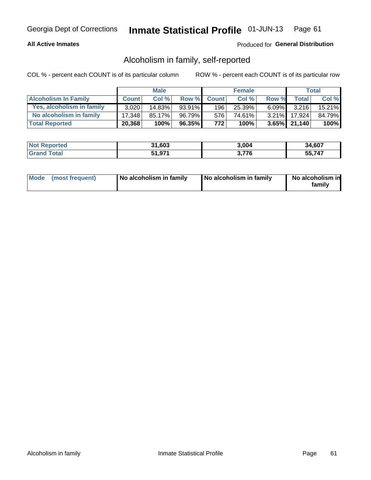### **All Active Inmates**

### Produced for General Distribution

## Alcoholism in family, self-reported

COL % - percent each COUNT is of its particular column

|                             |              | <b>Male</b> |        |              | <b>Female</b> |          |                 | Total   |
|-----------------------------|--------------|-------------|--------|--------------|---------------|----------|-----------------|---------|
| <b>Alcoholism In Family</b> | <b>Count</b> | Col%        | Row %  | <b>Count</b> | Col %         | Row %    | <b>Total</b>    | Col %   |
| Yes, alcoholism in family   | 3.020        | $14.83\%$   | 93.91% | 196          | 25.39%        | $6.09\%$ | 3.216           | 15.21%  |
| No alcoholism in family     | 17.348       | 85.17%      | 96.79% | 576          | 74.61%        | $3.21\%$ | 17.924          | 84.79%  |
| <b>Total Reported</b>       | 20,368       | 100%        | 96.35% | 772          | 100%          |          | $3.65\%$ 21,140 | $100\%$ |

| <b>Not Reported</b> | 31,603 | 3.004 | 34,607 |
|---------------------|--------|-------|--------|
| l Grand T<br>⊺otal  | 51,971 | 776   | 55 747 |

|  | Mode (most frequent) | No alcoholism in family | No alcoholism in family | No alcoholism in<br>family |
|--|----------------------|-------------------------|-------------------------|----------------------------|
|--|----------------------|-------------------------|-------------------------|----------------------------|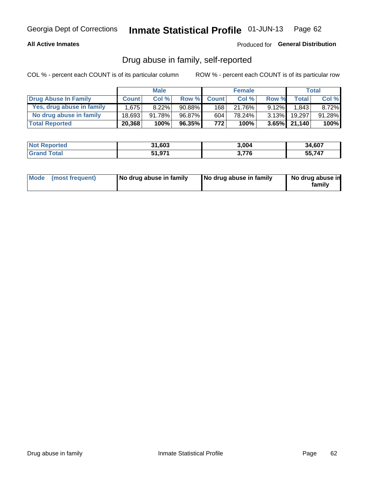### **All Active Inmates**

### Produced for General Distribution

## Drug abuse in family, self-reported

COL % - percent each COUNT is of its particular column

|                           |              | <b>Male</b> |           |              | <b>Female</b> |          |                   | Total   |
|---------------------------|--------------|-------------|-----------|--------------|---------------|----------|-------------------|---------|
| Drug Abuse In Family      | <b>Count</b> | Col %       | Row %     | <b>Count</b> | Col %         | Row %    | <b>Total</b>      | Col %   |
| Yes, drug abuse in family | 1.675        | $8.22\%$    | $90.88\%$ | 168          | 21.76%        | $9.12\%$ | 1,843             | 8.72%   |
| No drug abuse in family   | 18.693       | 91.78%      | 96.87%    | 604          | 78.24%        | $3.13\%$ | 19.297            | 91.28%  |
| <b>Total Reported</b>     | 20,368       | 100%        | 96.35%    | 772          | $100\%$       |          | $3.65\%$   21,140 | $100\%$ |

| <b>Not Reported</b> | 31,603 | 3.004 | 34,607 |
|---------------------|--------|-------|--------|
| l Grand T<br>⊺otal  | 51,971 | 776   | 55 747 |

|  | Mode (most frequent) | No drug abuse in family | No drug abuse in family | No drug abuse in<br>familv |
|--|----------------------|-------------------------|-------------------------|----------------------------|
|--|----------------------|-------------------------|-------------------------|----------------------------|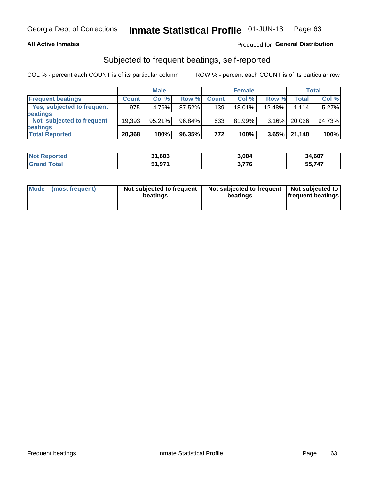### **All Active Inmates**

### Produced for General Distribution

# Subjected to frequent beatings, self-reported

COL % - percent each COUNT is of its particular column

|                            |              | <b>Male</b> |        |              | <b>Female</b> |          |              | Total  |
|----------------------------|--------------|-------------|--------|--------------|---------------|----------|--------------|--------|
| <b>Frequent beatings</b>   | <b>Count</b> | Col %       | Row %  | <b>Count</b> | Col %         | Row %    | <b>Total</b> | Col %  |
| Yes, subjected to frequent | 975          | 4.79%       | 87.52% | 139          | $18.01\%$     | 12.48%   | 1.114        | 5.27%  |
| beatings                   |              |             |        |              |               |          |              |        |
| Not subjected to frequent  | 19.393       | $95.21\%$   | 96.84% | 633          | $81.99\%$     | $3.16\%$ | 20,026       | 94.73% |
| beatings                   |              |             |        |              |               |          |              |        |
| <b>Total Reported</b>      | 20,368       | 100%        | 96.35% | 772          | 100%          | 3.65%    | 21,140       | 100%   |

| <b>Not</b><br>Reported | 31,603 | 3,004                  | 34,607 |
|------------------------|--------|------------------------|--------|
| 'Grand Total           | 51,971 | 77C<br>ა. <i>í í</i> o | 55,747 |

| Mode (most frequent) | Not subjected to frequent<br>beatings | Not subjected to frequent<br>beatings | Not subjected to<br><b>frequent beatings</b> |
|----------------------|---------------------------------------|---------------------------------------|----------------------------------------------|
|                      |                                       |                                       |                                              |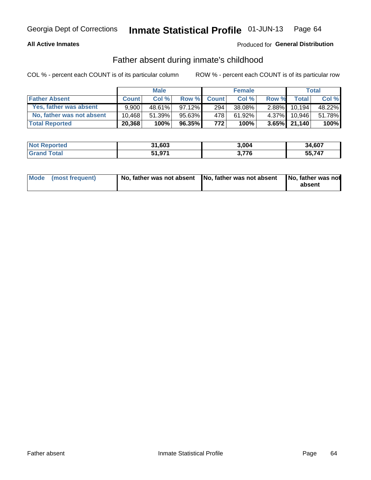### **All Active Inmates**

## Produced for General Distribution

## Father absent during inmate's childhood

COL % - percent each COUNT is of its particular column

|                           |              | <b>Male</b> |           |              | <b>Female</b> |          |              | Total  |
|---------------------------|--------------|-------------|-----------|--------------|---------------|----------|--------------|--------|
| <b>Father Absent</b>      | <b>Count</b> | Col%        | Row %     | <b>Count</b> | Col %         | Row %    | <b>Total</b> | Col %  |
| Yes, father was absent    | 9.900        | 48.61%      | $97.12\%$ | 294          | 38.08%        | $2.88\%$ | 10.194       | 48.22% |
| No, father was not absent | 10.468       | 51.39%      | 95.63%    | 478          | 61.92%        | $4.37\%$ | 10.946       | 51.78% |
| <b>Total Reported</b>     | 20,368       | 100%        | $96.35\%$ | 772          | 100%          |          | 3.65% 21,140 | 100%   |

| <b>Not Reported</b> | 31,603 | 3.004 | 34,607 |
|---------------------|--------|-------|--------|
| <b>Srand Total</b>  | 51,971 | 776   | 55,747 |

|  | Mode (most frequent) | No, father was not absent No, father was not absent |  | No, father was not<br>absent |
|--|----------------------|-----------------------------------------------------|--|------------------------------|
|--|----------------------|-----------------------------------------------------|--|------------------------------|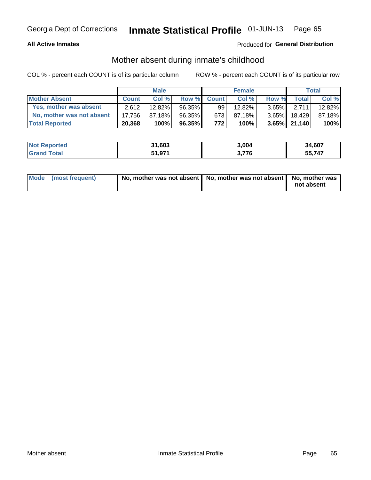### **All Active Inmates**

## Produced for General Distribution

## Mother absent during inmate's childhood

COL % - percent each COUNT is of its particular column

|                           |              | <b>Male</b> |           |              | <b>Female</b> |          |                 | Total  |
|---------------------------|--------------|-------------|-----------|--------------|---------------|----------|-----------------|--------|
| <b>Mother Absent</b>      | <b>Count</b> | Col%        | Row %     | <b>Count</b> | Col %         | Row %    | <b>Total</b>    | Col %  |
| Yes, mother was absent    | 2.612        | 12.82%      | $96.35\%$ | 99           | 12.82%        | $3.65\%$ | 2.7111          | 12.82% |
| No, mother was not absent | 17.756       | 87.18%      | 96.35%    | 673          | 87.18%        | $3.65\%$ | 18.429          | 87.18% |
| <b>Total Reported</b>     | 20,368       | 100%        | $96.35\%$ | 772          | 100%          |          | $3.65\%$ 21,140 | 100%   |

| <b>Not Reported</b> | 31,603 | 3.004 | 34,607 |
|---------------------|--------|-------|--------|
| Total               | 51,971 | 776   | 55.747 |

| Mode (most frequent) | No, mother was not absent   No, mother was not absent   No, mother was | not absent |
|----------------------|------------------------------------------------------------------------|------------|
|                      |                                                                        |            |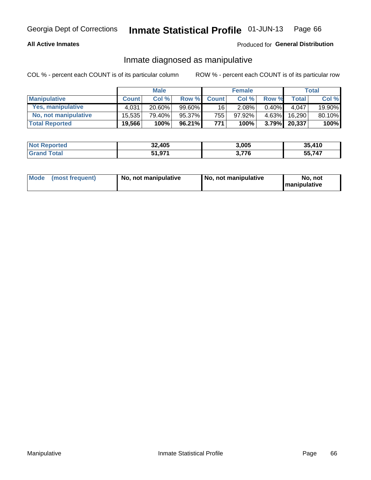### **All Active Inmates**

### Produced for General Distribution

## Inmate diagnosed as manipulative

COL % - percent each COUNT is of its particular column

|                       | <b>Male</b>  |        |        | <b>Female</b>   |        |          | Total        |        |
|-----------------------|--------------|--------|--------|-----------------|--------|----------|--------------|--------|
| <b>Manipulative</b>   | <b>Count</b> | Col %  | Row %  | <b>Count</b>    | Col%   | Row %    | <b>Total</b> | Col %  |
| Yes, manipulative     | 4,031        | 20.60% | 99.60% | 16 <sup>1</sup> | 2.08%  | 0.40%    | 4.047        | 19.90% |
| No, not manipulative  | 15.535       | 79.40% | 95.37% | 755             | 97.92% | $4.63\%$ | 16.290       | 80.10% |
| <b>Total Reported</b> | 19,566       | 100%   | 96.21% | 771             | 100%   | $3.79\%$ | 20,337       | 100%   |

| <b>Not Reported</b> | 32,405 | 3,005 | 35.410      |
|---------------------|--------|-------|-------------|
| <b>Srand Total</b>  | 51,971 | 2 77C | ,747<br>55, |

| Mode | (most frequent) | No, not manipulative | No, not manipulative | No. not<br><b>I</b> manipulative |
|------|-----------------|----------------------|----------------------|----------------------------------|
|------|-----------------|----------------------|----------------------|----------------------------------|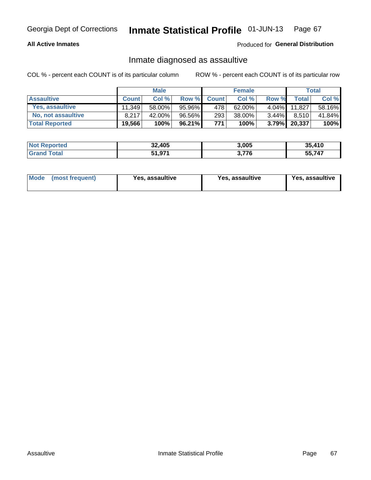### **All Active Inmates**

### Produced for General Distribution

## Inmate diagnosed as assaultive

COL % - percent each COUNT is of its particular column

|                       |              | <b>Male</b> |        |              | <b>Female</b> |          |        | Total  |
|-----------------------|--------------|-------------|--------|--------------|---------------|----------|--------|--------|
| <b>Assaultive</b>     | <b>Count</b> | Col%        | Row %  | <b>Count</b> | Col %         | Row %    | Total  | Col %  |
| Yes, assaultive       | 11.349       | 58.00%      | 95.96% | 478          | 62.00%        | $4.04\%$ | 11.827 | 58.16% |
| No, not assaultive    | 8.217        | 42.00%      | 96.56% | 293          | 38.00%        | $3.44\%$ | 8.510  | 41.84% |
| <b>Total Reported</b> | 19,566       | 100%        | 96.21% | 771          | 100%          | $3.79\%$ | 20,337 | 100%   |

| <b>Not Reported</b> | 32,405 | 3,005 | 35,410 |
|---------------------|--------|-------|--------|
| <b>Grand Total</b>  | 51,971 | 3,776 | 55,747 |

| Mode<br>(most frequent) | <b>Yes, assaultive</b> | Yes, assaultive | <b>Yes, assaultive</b> |
|-------------------------|------------------------|-----------------|------------------------|
|-------------------------|------------------------|-----------------|------------------------|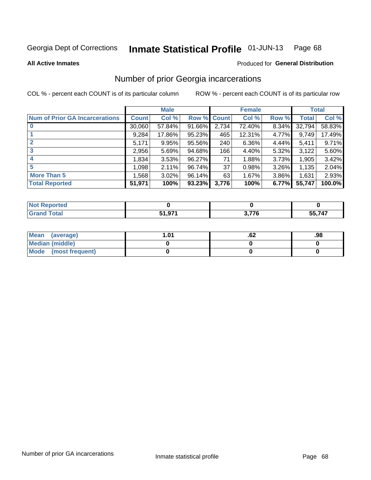#### Inmate Statistical Profile 01-JUN-13 Page 68

**All Active Inmates** 

#### Produced for General Distribution

# Number of prior Georgia incarcerations

COL % - percent each COUNT is of its particular column

|                                       |              | <b>Male</b> |                    |       | <b>Female</b> |          |        | <b>Total</b> |
|---------------------------------------|--------------|-------------|--------------------|-------|---------------|----------|--------|--------------|
| <b>Num of Prior GA Incarcerations</b> | <b>Count</b> | Col %       | <b>Row % Count</b> |       | Col %         | Row %    | Total  | Col %        |
| $\bf{0}$                              | 30,060       | 57.84%      | 91.66%             | 2,734 | 72.40%        | 8.34%    | 32,794 | 58.83%       |
|                                       | 9,284        | 17.86%      | 95.23%             | 465   | 12.31%        | 4.77%    | 9,749  | 17.49%       |
|                                       | 5,171        | 9.95%       | 95.56%             | 240   | 6.36%         | 4.44%    | 5,411  | 9.71%        |
| 3                                     | 2,956        | 5.69%       | 94.68%             | 166   | 4.40%         | 5.32%    | 3,122  | 5.60%        |
| 4                                     | 1,834        | 3.53%       | 96.27%             | 71    | 1.88%         | 3.73%    | 1,905  | 3.42%        |
| 5                                     | 1,098        | 2.11%       | 96.74%             | 37    | 0.98%         | $3.26\%$ | 1,135  | 2.04%        |
| <b>More Than 5</b>                    | 1,568        | 3.02%       | 96.14%             | 63    | 1.67%         | $3.86\%$ | 1,631  | 2.93%        |
| <b>Total Reported</b>                 | 51,971       | 100%        | 93.23%             | 3,776 | 100%          | 6.77%    | 55,747 | 100.0%       |

| <b>Not</b><br>Reported |        |       |              |
|------------------------|--------|-------|--------------|
| <sup>-</sup> otal      | 51 071 | 2 77C | 55,747<br>ჂჂ |

| Mean (average)       | l.01 | .oz | .98 |
|----------------------|------|-----|-----|
| Median (middle)      |      |     |     |
| Mode (most frequent) |      |     |     |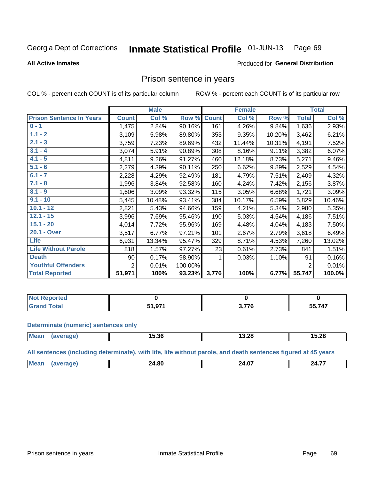#### **Inmate Statistical Profile 01-JUN-13** Page 69

**All Active Inmates** 

### Produced for General Distribution

## Prison sentence in years

COL % - percent each COUNT is of its particular column

ROW % - percent each COUNT is of its particular row

|                                 | <b>Male</b>    |        |         | <b>Female</b> |        |        | <b>Total</b>   |        |
|---------------------------------|----------------|--------|---------|---------------|--------|--------|----------------|--------|
| <b>Prison Sentence In Years</b> | <b>Count</b>   | Col %  | Row %   | <b>Count</b>  | Col %  | Row %  | <b>Total</b>   | Col %  |
| $0 - 1$                         | 1,475          | 2.84%  | 90.16%  | 161           | 4.26%  | 9.84%  | 1,636          | 2.93%  |
| $1.1 - 2$                       | 3,109          | 5.98%  | 89.80%  | 353           | 9.35%  | 10.20% | 3,462          | 6.21%  |
| $2.1 - 3$                       | 3,759          | 7.23%  | 89.69%  | 432           | 11.44% | 10.31% | 4,191          | 7.52%  |
| $3.1 - 4$                       | 3,074          | 5.91%  | 90.89%  | 308           | 8.16%  | 9.11%  | 3,382          | 6.07%  |
| $4.1 - 5$                       | 4,811          | 9.26%  | 91.27%  | 460           | 12.18% | 8.73%  | 5,271          | 9.46%  |
| $5.1 - 6$                       | 2,279          | 4.39%  | 90.11%  | 250           | 6.62%  | 9.89%  | 2,529          | 4.54%  |
| $6.1 - 7$                       | 2,228          | 4.29%  | 92.49%  | 181           | 4.79%  | 7.51%  | 2,409          | 4.32%  |
| $7.1 - 8$                       | 1,996          | 3.84%  | 92.58%  | 160           | 4.24%  | 7.42%  | 2,156          | 3.87%  |
| $8.1 - 9$                       | 1,606          | 3.09%  | 93.32%  | 115           | 3.05%  | 6.68%  | 1,721          | 3.09%  |
| $9.1 - 10$                      | 5,445          | 10.48% | 93.41%  | 384           | 10.17% | 6.59%  | 5,829          | 10.46% |
| $10.1 - 12$                     | 2,821          | 5.43%  | 94.66%  | 159           | 4.21%  | 5.34%  | 2,980          | 5.35%  |
| $12.1 - 15$                     | 3,996          | 7.69%  | 95.46%  | 190           | 5.03%  | 4.54%  | 4,186          | 7.51%  |
| $15.1 - 20$                     | 4,014          | 7.72%  | 95.96%  | 169           | 4.48%  | 4.04%  | 4,183          | 7.50%  |
| 20.1 - Over                     | 3,517          | 6.77%  | 97.21%  | 101           | 2.67%  | 2.79%  | 3,618          | 6.49%  |
| <b>Life</b>                     | 6,931          | 13.34% | 95.47%  | 329           | 8.71%  | 4.53%  | 7,260          | 13.02% |
| <b>Life Without Parole</b>      | 818            | 1.57%  | 97.27%  | 23            | 0.61%  | 2.73%  | 841            | 1.51%  |
| <b>Death</b>                    | 90             | 0.17%  | 98.90%  |               | 0.03%  | 1.10%  | 91             | 0.16%  |
| <b>Youthful Offenders</b>       | $\overline{2}$ | 0.01%  | 100.00% |               |        |        | $\overline{2}$ | 0.01%  |
| <b>Total Reported</b>           | 51,971         | 100%   | 93.23%  | 3,776         | 100%   | 6.77%  | 55,747         | 100.0% |

| Reported<br>I NOT |                |      |         |
|-------------------|----------------|------|---------|
|                   | 51 071<br>1.97 | ・ララペ | 747<br> |

#### **Determinate (numeric) sentences only**

| <b>Mean</b> | 15.36 | o o<br>13.ZC | 5.28<br>. . |
|-------------|-------|--------------|-------------|
|             |       |              |             |

All sentences (including determinate), with life, life without parole, and death sentences figured at 45 years

| IМ | 00<br>м<br>___ | .<br>. Л<br>______ | --<br>7Л<br><b>TIP</b> |
|----|----------------|--------------------|------------------------|
|    |                |                    |                        |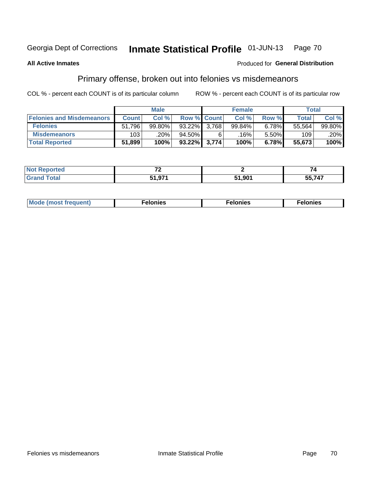#### Inmate Statistical Profile 01-JUN-13 Page 70

#### **All Active Inmates**

#### Produced for General Distribution

# Primary offense, broken out into felonies vs misdemeanors

COL % - percent each COUNT is of its particular column

|                                  | <b>Male</b>  |        |              | <b>Female</b>      |        |       | Total  |        |
|----------------------------------|--------------|--------|--------------|--------------------|--------|-------|--------|--------|
| <b>Felonies and Misdemeanors</b> | <b>Count</b> | Col %  |              | <b>Row % Count</b> | Col %  | Row % | Total, | Col %  |
| <b>Felonies</b>                  | 51,796       | 99.80% | 93.22%       | 3.768              | 99.84% | 6.78% | 55,564 | 99.80% |
| <b>Misdemeanors</b>              | 103          | .20%   | 94.50%       | 6                  | .16% ' | 5.50% | 109    | .20%   |
| <b>Total Reported</b>            | 51,899       | 100%   | 93.22% 3,774 |                    | 100%   | 6.78% | 55,673 | 100%   |

| <b>Not Reported</b>   | $\sim$ |        |        |
|-----------------------|--------|--------|--------|
| Total<br><b>Grand</b> | 51.97' | 51,901 | 55,747 |

| Mo | ____ | 11 C.S<br>. | onies<br>. |
|----|------|-------------|------------|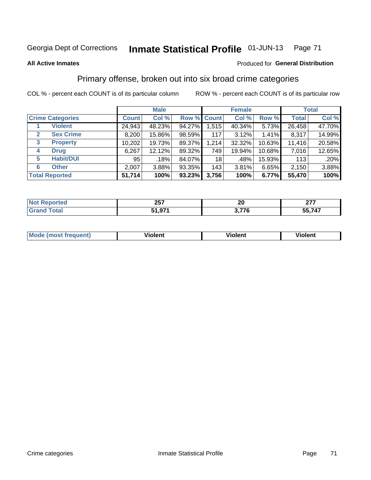# Georgia Dept of Corrections **Inmate Statistical Profile** 01-JUN-13 Page 71

#### **All Active Inmates**

### Produced for **General Distribution**

# Primary offense, broken out into six broad crime categories

COL % - percent each COUNT is of its particular column ROW % - percent each COUNT is of its particular row

|                                  | <b>Male</b>  |        |        | <b>Female</b> |        |        | <b>Total</b> |        |
|----------------------------------|--------------|--------|--------|---------------|--------|--------|--------------|--------|
| <b>Crime Categories</b>          | <b>Count</b> | Col %  |        | Row % Count   | Col %  | Row %  | <b>Total</b> | Col %  |
| <b>Violent</b>                   | 24,943       | 48.23% | 94.27% | 1,515         | 40.34% | 5.73%  | 26,458       | 47.70% |
| <b>Sex Crime</b><br>$\mathbf{2}$ | 8,200        | 15.86% | 98.59% | 117           | 3.12%  | 1.41%  | 8,317        | 14.99% |
| 3<br><b>Property</b>             | 10,202       | 19.73% | 89.37% | 1,214         | 32.32% | 10.63% | 11,416       | 20.58% |
| <b>Drug</b><br>4                 | 6,267        | 12.12% | 89.32% | 749           | 19.94% | 10.68% | 7,016        | 12.65% |
| <b>Habit/DUI</b><br>5            | 95           | .18%   | 84.07% | 18            | .48%   | 15.93% | 113          | .20%   |
| <b>Other</b><br>6                | 2,007        | 3.88%  | 93.35% | 143           | 3.81%  | 6.65%  | 2,150        | 3.88%  |
| <b>Total Reported</b>            | 51,714       | 100%   | 93.23% | 3,756         | 100%   | 6.77%  | 55,470       | 100%   |

| meo | クロフ<br>ZJ I          | 20  | $\sim$<br>---<br>--- |
|-----|----------------------|-----|----------------------|
|     | 074<br>cа<br>, , , , | --- | $-1-$<br>--<br>- 1   |

| Mode<br>freauent)<br>anst tr | .<br>/iolent | <br>Violent | .<br><b>Tiolent</b> |
|------------------------------|--------------|-------------|---------------------|
|                              |              |             |                     |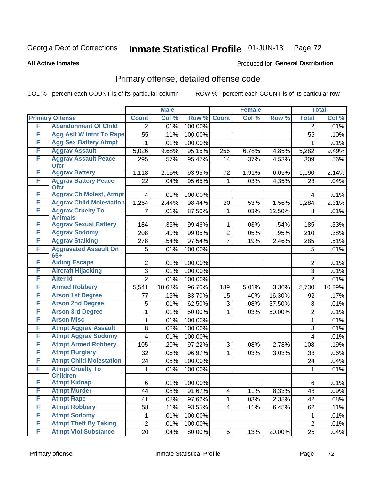# Georgia Dept of Corrections **Inmate Statistical Profile** 01-JUN-13 Page 72

**All Active Inmates**

#### Produced for **General Distribution**

# Primary offense, detailed offense code

COL % - percent each COUNT is of its particular column ROW % - percent each COUNT is of its particular row

|   |                                            |                         | <b>Male</b> |         |                | <b>Female</b> |        |                  | <b>Total</b> |
|---|--------------------------------------------|-------------------------|-------------|---------|----------------|---------------|--------|------------------|--------------|
|   | <b>Primary Offense</b>                     | <b>Count</b>            | Col %       | Row %   | <b>Count</b>   | Col %         | Row %  | <b>Total</b>     | Col %        |
| F | <b>Abandonment Of Child</b>                | $\overline{2}$          | .01%        | 100.00% |                |               |        | $\overline{2}$   | .01%         |
| F | <b>Agg Aslt W Intnt To Rape</b>            | $\overline{55}$         | .11%        | 100.00% |                |               |        | 55               | .10%         |
| F | <b>Agg Sex Battery Atmpt</b>               | 1                       | .01%        | 100.00% |                |               |        | 1                | .01%         |
| F | <b>Aggrav Assault</b>                      | 5,026                   | 9.68%       | 95.15%  | 256            | 6.78%         | 4.85%  | 5,282            | 9.49%        |
| F | <b>Aggrav Assault Peace</b><br><b>Ofcr</b> | 295                     | .57%        | 95.47%  | 14             | .37%          | 4.53%  | 309              | .56%         |
| F | <b>Aggrav Battery</b>                      | 1,118                   | 2.15%       | 93.95%  | 72             | 1.91%         | 6.05%  | 1,190            | 2.14%        |
| F | <b>Aggrav Battery Peace</b><br><b>Ofcr</b> | 22                      | .04%        | 95.65%  | $\mathbf{1}$   | .03%          | 4.35%  | 23               | .04%         |
| F | <b>Aggrav Ch Molest, Atmpt</b>             | $\overline{\mathbf{4}}$ | .01%        | 100.00% |                |               |        | 4                | .01%         |
| F | <b>Aggrav Child Molestation</b>            | 1,264                   | 2.44%       | 98.44%  | 20             | .53%          | 1.56%  | 1,284            | 2.31%        |
| F | <b>Aggrav Cruelty To</b><br><b>Animals</b> | 7                       | .01%        | 87.50%  | $\mathbf{1}$   | .03%          | 12.50% | 8                | .01%         |
| F | <b>Aggrav Sexual Battery</b>               | 184                     | .35%        | 99.46%  | $\mathbf 1$    | .03%          | .54%   | 185              | .33%         |
| F | <b>Aggrav Sodomy</b>                       | 208                     | .40%        | 99.05%  | $\overline{2}$ | .05%          | .95%   | $\overline{210}$ | .38%         |
| F | <b>Aggrav Stalking</b>                     | 278                     | .54%        | 97.54%  | $\overline{7}$ | .19%          | 2.46%  | 285              | .51%         |
| F | <b>Aggravated Assault On</b><br>$65+$      | 5                       | .01%        | 100.00% |                |               |        | 5                | .01%         |
| F | <b>Aiding Escape</b>                       | $\overline{2}$          | .01%        | 100.00% |                |               |        | $\overline{2}$   | .01%         |
| F | <b>Aircraft Hijacking</b>                  | $\overline{3}$          | .01%        | 100.00% |                |               |        | 3                | .01%         |
| F | <b>Alter Id</b>                            | $\overline{2}$          | .01%        | 100.00% |                |               |        | $\overline{2}$   | .01%         |
| F | <b>Armed Robbery</b>                       | 5,541                   | 10.68%      | 96.70%  | 189            | 5.01%         | 3.30%  | 5,730            | 10.29%       |
| F | <b>Arson 1st Degree</b>                    | 77                      | .15%        | 83.70%  | 15             | .40%          | 16.30% | 92               | .17%         |
| F | <b>Arson 2nd Degree</b>                    | 5                       | .01%        | 62.50%  | 3              | .08%          | 37.50% | 8                | .01%         |
| F | <b>Arson 3rd Degree</b>                    | 1                       | .01%        | 50.00%  | $\mathbf{1}$   | .03%          | 50.00% | $\overline{2}$   | .01%         |
| F | <b>Arson Misc</b>                          | 1                       | .01%        | 100.00% |                |               |        | $\mathbf{1}$     | .01%         |
| F | <b>Atmpt Aggrav Assault</b>                | 8                       | .02%        | 100.00% |                |               |        | 8                | .01%         |
| F | <b>Atmpt Aggrav Sodomy</b>                 | $\overline{4}$          | .01%        | 100.00% |                |               |        | $\overline{4}$   | .01%         |
| F | <b>Atmpt Armed Robbery</b>                 | 105                     | .20%        | 97.22%  | 3              | .08%          | 2.78%  | 108              | .19%         |
| F | <b>Atmpt Burglary</b>                      | 32                      | .06%        | 96.97%  | $\mathbf{1}$   | .03%          | 3.03%  | 33               | $.06\%$      |
| F | <b>Atmpt Child Molestation</b>             | 24                      | .05%        | 100.00% |                |               |        | 24               | .04%         |
| F | <b>Atmpt Cruelty To</b><br><b>Children</b> | 1                       | .01%        | 100.00% |                |               |        | 1                | .01%         |
| F | <b>Atmpt Kidnap</b>                        | 6                       | .01%        | 100.00% |                |               |        | 6                | .01%         |
| F | <b>Atmpt Murder</b>                        | 44                      | .08%        | 91.67%  | $\overline{4}$ | .11%          | 8.33%  | 48               | .09%         |
| F | <b>Atmpt Rape</b>                          | 41                      | .08%        | 97.62%  | 1              | .03%          | 2.38%  | 42               | .08%         |
| F | <b>Atmpt Robbery</b>                       | 58                      | .11%        | 93.55%  | $\overline{4}$ | .11%          | 6.45%  | 62               | .11%         |
| F | <b>Atmpt Sodomy</b>                        | 1                       | .01%        | 100.00% |                |               |        | $\mathbf 1$      | .01%         |
| F | <b>Atmpt Theft By Taking</b>               | $\overline{2}$          | .01%        | 100.00% |                |               |        | $\overline{2}$   | .01%         |
| F | <b>Atmpt Viol Substance</b>                | 20                      | .04%        | 80.00%  | 5 <sup>1</sup> | .13%          | 20.00% | 25               | .04%         |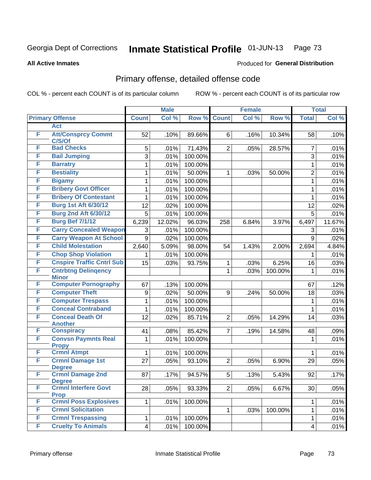**All Active Inmates**

#### Produced for **General Distribution**

## Primary offense, detailed offense code

|   |                                            |              | <b>Male</b> |         |                | <b>Female</b> |         |                         | <b>Total</b> |
|---|--------------------------------------------|--------------|-------------|---------|----------------|---------------|---------|-------------------------|--------------|
|   | <b>Primary Offense</b>                     | <b>Count</b> | Col %       | Row %   | <b>Count</b>   | Col %         | Row %   | <b>Total</b>            | Col %        |
|   | <b>Act</b>                                 |              |             |         |                |               |         |                         |              |
| F | <b>Att/Consprcy Commt</b><br>C/S/Of        | 52           | .10%        | 89.66%  | 6              | .16%          | 10.34%  | 58                      | .10%         |
| F | <b>Bad Checks</b>                          | 5            | .01%        | 71.43%  | $\overline{2}$ | .05%          | 28.57%  | $\overline{7}$          | .01%         |
| F | <b>Bail Jumping</b>                        | 3            | .01%        | 100.00% |                |               |         | 3                       | .01%         |
| F | <b>Barratry</b>                            | 1            | .01%        | 100.00% |                |               |         | 1                       | .01%         |
| F | <b>Bestiality</b>                          | 1            | .01%        | 50.00%  | 1              | .03%          | 50.00%  | $\overline{2}$          | .01%         |
| F | <b>Bigamy</b>                              | 1            | .01%        | 100.00% |                |               |         | 1                       | .01%         |
| F | <b>Bribery Govt Officer</b>                | 1            | .01%        | 100.00% |                |               |         | 1                       | .01%         |
| F | <b>Bribery Of Contestant</b>               | 1            | .01%        | 100.00% |                |               |         | 1                       | .01%         |
| F | <b>Burg 1st Aft 6/30/12</b>                | 12           | .02%        | 100.00% |                |               |         | 12                      | .02%         |
| F | <b>Burg 2nd Aft 6/30/12</b>                | 5            | .01%        | 100.00% |                |               |         | 5                       | .01%         |
| F | <b>Burg Bef 7/1/12</b>                     | 6,239        | 12.02%      | 96.03%  | 258            | 6.84%         | 3.97%   | 6,497                   | 11.67%       |
| F | <b>Carry Concealed Weapon</b>              | 3            | .01%        | 100.00% |                |               |         | 3                       | .01%         |
| F | <b>Carry Weapon At School</b>              | 9            | .02%        | 100.00% |                |               |         | 9                       | .02%         |
| F | <b>Child Molestation</b>                   | 2,640        | 5.09%       | 98.00%  | 54             | 1.43%         | 2.00%   | 2,694                   | 4.84%        |
| F | <b>Chop Shop Violation</b>                 |              | .01%        | 100.00% |                |               |         | 1                       | .01%         |
| F | <b>Cnspire Traffic Cntrl Sub</b>           | 15           | .03%        | 93.75%  | 1              | .03%          | 6.25%   | 16                      | .03%         |
| F | <b>Cntrbtng Delingency</b><br><b>Minor</b> |              |             |         | $\mathbf 1$    | .03%          | 100.00% | 1                       | .01%         |
| F | <b>Computer Pornography</b>                | 67           | .13%        | 100.00% |                |               |         | 67                      | .12%         |
| F | <b>Computer Theft</b>                      | 9            | .02%        | 50.00%  | 9              | .24%          | 50.00%  | 18                      | .03%         |
| F | <b>Computer Trespass</b>                   | 1            | .01%        | 100.00% |                |               |         | 1                       | .01%         |
| F | <b>Conceal Contraband</b>                  | 1            | .01%        | 100.00% |                |               |         | 1                       | .01%         |
| F | <b>Conceal Death Of</b><br><b>Another</b>  | 12           | .02%        | 85.71%  | $\overline{2}$ | .05%          | 14.29%  | 14                      | .03%         |
| F | <b>Conspiracy</b>                          | 41           | .08%        | 85.42%  | $\overline{7}$ | .19%          | 14.58%  | 48                      | .09%         |
| F | <b>Convsn Paymnts Real</b><br><b>Propy</b> | 1            | .01%        | 100.00% |                |               |         | $\mathbf{1}$            | .01%         |
| F | <b>Crmnl Atmpt</b>                         | 1            | .01%        | 100.00% |                |               |         | 1                       | .01%         |
| F | <b>Crmnl Damage 1st</b><br><b>Degree</b>   | 27           | .05%        | 93.10%  | $\overline{2}$ | .05%          | 6.90%   | 29                      | .05%         |
| F | <b>Crmnl Damage 2nd</b><br><b>Degree</b>   | 87           | .17%        | 94.57%  | 5              | .13%          | 5.43%   | 92                      | .17%         |
| F | <b>Crmnl Interfere Govt</b><br><b>Prop</b> | 28           | .05%        | 93.33%  | 2 <sup>1</sup> | .05%          | 6.67%   | 30                      | .05%         |
| F | <b>Crmnl Poss Explosives</b>               | $\mathbf 1$  | .01%        | 100.00% |                |               |         | 1                       | .01%         |
| F | <b>Crmnl Solicitation</b>                  |              |             |         | $\mathbf{1}$   | .03%          | 100.00% | 1                       | .01%         |
| F | <b>Crmnl Trespassing</b>                   | 1            | .01%        | 100.00% |                |               |         | 1                       | .01%         |
| F | <b>Cruelty To Animals</b>                  | 4            | .01%        | 100.00% |                |               |         | $\overline{\mathbf{4}}$ | .01%         |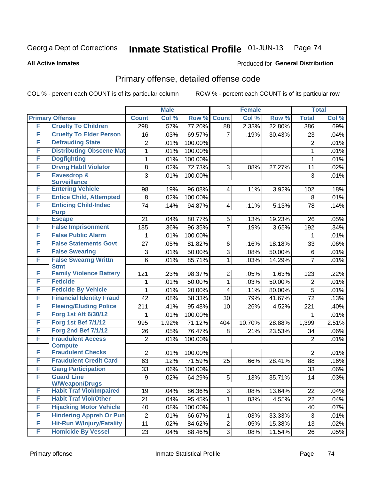**All Active Inmates**

#### Produced for **General Distribution**

## Primary offense, detailed offense code

|        |                                                   | <b>Male</b>    |       | <b>Female</b> |                |         | <b>Total</b> |                 |       |
|--------|---------------------------------------------------|----------------|-------|---------------|----------------|---------|--------------|-----------------|-------|
|        | <b>Primary Offense</b>                            | <b>Count</b>   | Col % | Row %         | <b>Count</b>   | Col %   | Row %        | <b>Total</b>    | Col % |
| F      | <b>Cruelty To Children</b>                        | 298            | .57%  | 77.20%        | 88             | 2.33%   | 22.80%       | 386             | .69%  |
| F      | <b>Cruelty To Elder Person</b>                    | 16             | .03%  | 69.57%        | 7              | .19%    | 30.43%       | 23              | .04%  |
| F      | <b>Defrauding State</b>                           | $\overline{2}$ | .01%  | 100.00%       |                |         |              | $\overline{2}$  | .01%  |
| F      | <b>Distributing Obscene Mat</b>                   | $\mathbf{1}$   | .01%  | 100.00%       |                |         |              | $\mathbf{1}$    | .01%  |
| F      | <b>Dogfighting</b>                                | 1              | .01%  | 100.00%       |                |         |              | $\mathbf{1}$    | .01%  |
| F      | <b>Drvng Habtl Violator</b>                       | 8              | .02%  | 72.73%        | 3              | .08%    | 27.27%       | 11              | .02%  |
| F      | <b>Eavesdrop &amp;</b>                            | 3              | .01%  | 100.00%       |                |         |              | 3               | .01%  |
|        | <b>Surveillance</b>                               |                |       |               |                |         |              |                 |       |
| F      | <b>Entering Vehicle</b>                           | 98             | .19%  | 96.08%        | 4              | .11%    | 3.92%        | 102             | .18%  |
| F      | <b>Entice Child, Attempted</b>                    | 8              | .02%  | 100.00%       |                |         |              | 8               | .01%  |
| F      | <b>Enticing Child-Indec</b><br><b>Purp</b>        | 74             | .14%  | 94.87%        | 4              | .11%    | 5.13%        | 78              | .14%  |
| F      | <b>Escape</b>                                     | 21             | .04%  | 80.77%        | 5              | .13%    | 19.23%       | 26              | .05%  |
| F      | <b>False Imprisonment</b>                         | 185            | .36%  | 96.35%        | $\overline{7}$ | .19%    | 3.65%        | 192             | .34%  |
| F      | <b>False Public Alarm</b>                         | 1              | .01%  | 100.00%       |                |         |              | 1               | .01%  |
| F      | <b>False Statements Govt</b>                      | 27             | .05%  | 81.82%        | 6              | .16%    | 18.18%       | 33              | .06%  |
| F      | <b>False Swearing</b>                             | 3              | .01%  | 50.00%        | 3              | .08%    | 50.00%       | 6               | .01%  |
| F      | <b>False Swearng Writtn</b>                       | 6              | .01%  | 85.71%        | $\mathbf 1$    | .03%    | 14.29%       | $\overline{7}$  | .01%  |
|        | <b>Stmt</b>                                       |                |       |               |                |         |              |                 |       |
| F      | <b>Family Violence Battery</b><br><b>Feticide</b> | 121            | .23%  | 98.37%        | $\overline{2}$ | .05%    | 1.63%        | 123             | .22%  |
| F<br>F |                                                   | 1              | .01%  | 50.00%        | $\mathbf{1}$   | .03%    | 50.00%       | $\overline{2}$  | .01%  |
|        | <b>Feticide By Vehicle</b>                        | 1              | .01%  | 20.00%        | 4              | .11%    | 80.00%       | 5               | .01%  |
| F      | <b>Financial Identity Fraud</b>                   | 42             | .08%  | 58.33%        | 30             | .79%    | 41.67%       | 72              | .13%  |
| F      | <b>Fleeing/Eluding Police</b>                     | 211            | .41%  | 95.48%        | 10             | .26%    | 4.52%        | 221             | .40%  |
| F      | Forg 1st Aft 6/30/12                              | 1              | .01%  | 100.00%       |                |         |              | 1               | .01%  |
| F      | <b>Forg 1st Bef 7/1/12</b>                        | 995            | 1.92% | 71.12%        | 404            | 10.70%  | 28.88%       | 1,399           | 2.51% |
| F      | <b>Forg 2nd Bef 7/1/12</b>                        | 26             | .05%  | 76.47%        | 8              | .21%    | 23.53%       | 34              | .06%  |
| F      | <b>Fraudulent Access</b><br><b>Compute</b>        | $\overline{2}$ | .01%  | 100.00%       |                |         |              | $\overline{2}$  | .01%  |
| F      | <b>Fraudulent Checks</b>                          | $\overline{2}$ | .01%  | 100.00%       |                |         |              | $\overline{2}$  | .01%  |
| F      | <b>Fraudulent Credit Card</b>                     | 63             | .12%  | 71.59%        | 25             | .66%    | 28.41%       | 88              | .16%  |
| F      | <b>Gang Participation</b>                         | 33             | .06%  | 100.00%       |                |         |              | 33              | .06%  |
| F      | <b>Guard Line</b>                                 | 9              | .02%  | 64.29%        | 5              | .13%    | 35.71%       | $\overline{14}$ | .03%  |
|        | <b>W/Weapon/Drugs</b>                             |                |       |               |                |         |              |                 |       |
| F      | <b>Habit Traf Viol/Impaired</b>                   | 19             | .04%  | 86.36%        | 3              | .08%    | 13.64%       | 22              | .04%  |
| F      | <b>Habit Traf Viol/Other</b>                      | 21             | .04%  | 95.45%        | 1              | .03%    | 4.55%        | 22              | .04%  |
| F      | <b>Hijacking Motor Vehicle</b>                    | 40             | .08%  | 100.00%       |                |         |              | 40              | .07%  |
| F      | <b>Hindering Appreh Or Pun</b>                    | $\mathbf 2$    | .01%  | 66.67%        | 1              | .03%    | 33.33%       | 3               | .01%  |
| F      | <b>Hit-Run W/Injury/Fatality</b>                  | 11             | .02%  | 84.62%        | $\overline{2}$ | .05%    | 15.38%       | 13              | .02%  |
| F      | <b>Homicide By Vessel</b>                         | 23             | .04%  | 88.46%        | 3 <sup>1</sup> | $.08\%$ | 11.54%       | 26              | .05%  |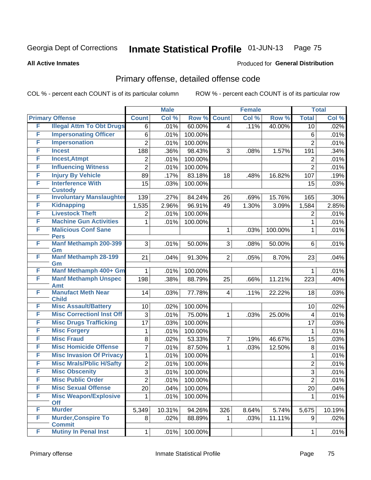**All Active Inmates**

#### Produced for **General Distribution**

## Primary offense, detailed offense code

|   |                                             |                | <b>Male</b> |                  |                | <b>Female</b> |         |                         | <b>Total</b> |
|---|---------------------------------------------|----------------|-------------|------------------|----------------|---------------|---------|-------------------------|--------------|
|   | <b>Primary Offense</b>                      | <b>Count</b>   | Col %       | Row <sup>%</sup> | <b>Count</b>   | Col %         | Row %   | <b>Total</b>            | Col %        |
| F | <b>Illegal Attm To Obt Drugs</b>            | 6              | .01%        | 60.00%           | $\overline{4}$ | .11%          | 40.00%  | 10                      | .02%         |
| F | <b>Impersonating Officer</b>                | 6              | .01%        | 100.00%          |                |               |         | 6                       | .01%         |
| F | <b>Impersonation</b>                        | $\overline{2}$ | .01%        | 100.00%          |                |               |         | $\overline{2}$          | .01%         |
| F | <b>Incest</b>                               | 188            | .36%        | 98.43%           | 3              | .08%          | 1.57%   | 191                     | .34%         |
| F | <b>Incest, Atmpt</b>                        | 2              | .01%        | 100.00%          |                |               |         | $\overline{c}$          | .01%         |
| F | <b>Influencing Witness</b>                  | $\overline{2}$ | .01%        | 100.00%          |                |               |         | $\overline{2}$          | .01%         |
| F | <b>Injury By Vehicle</b>                    | 89             | .17%        | 83.18%           | 18             | .48%          | 16.82%  | 107                     | .19%         |
| F | <b>Interference With</b><br><b>Custody</b>  | 15             | .03%        | 100.00%          |                |               |         | 15                      | .03%         |
| F | <b>Involuntary Manslaughter</b>             | 139            | .27%        | 84.24%           | 26             | .69%          | 15.76%  | 165                     | .30%         |
| F | <b>Kidnapping</b>                           | 1,535          | 2.96%       | 96.91%           | 49             | 1.30%         | 3.09%   | 1,584                   | 2.85%        |
| F | <b>Livestock Theft</b>                      | 2              | .01%        | 100.00%          |                |               |         | $\overline{2}$          | .01%         |
| F | <b>Machine Gun Activities</b>               | 1              | .01%        | 100.00%          |                |               |         | 1                       | .01%         |
| F | <b>Malicious Conf Sane</b>                  |                |             |                  | 1              | .03%          | 100.00% | $\mathbf{1}$            | .01%         |
|   | <b>Pers</b>                                 |                |             |                  |                |               |         |                         |              |
| F | <b>Manf Methamph 200-399</b><br>Gm          | 3              | .01%        | 50.00%           | 3              | .08%          | 50.00%  | 6                       | .01%         |
| F | <b>Manf Methamph 28-199</b>                 | 21             | .04%        | 91.30%           | $\overline{2}$ | .05%          | 8.70%   | 23                      | .04%         |
|   | Gm                                          |                |             |                  |                |               |         |                         |              |
| F | Manf Methamph 400+ Gm                       | 1              | .01%        | 100.00%          |                |               |         | 1                       | .01%         |
| F | <b>Manf Methamph Unspec</b>                 | 198            | .38%        | 88.79%           | 25             | .66%          | 11.21%  | 223                     | .40%         |
| F | Amt<br><b>Manufact Meth Near</b>            |                |             |                  |                |               |         |                         |              |
|   | <b>Child</b>                                | 14             | .03%        | 77.78%           | $\overline{4}$ | .11%          | 22.22%  | 18                      | .03%         |
| F | <b>Misc Assault/Battery</b>                 | 10             | .02%        | 100.00%          |                |               |         | 10                      | .02%         |
| F | <b>Misc CorrectionI Inst Off</b>            | 3              | .01%        | 75.00%           | 1              | .03%          | 25.00%  | $\overline{\mathbf{4}}$ | .01%         |
| F | <b>Misc Drugs Trafficking</b>               | 17             | .03%        | 100.00%          |                |               |         | 17                      | .03%         |
| F | <b>Misc Forgery</b>                         | 1              | .01%        | 100.00%          |                |               |         | 1                       | .01%         |
| F | <b>Misc Fraud</b>                           | 8              | .02%        | 53.33%           | 7              | .19%          | 46.67%  | 15                      | .03%         |
| F | <b>Misc Homicide Offense</b>                | 7              | .01%        | 87.50%           | 1              | .03%          | 12.50%  | 8                       | .01%         |
| F | <b>Misc Invasion Of Privacy</b>             | 1              | .01%        | 100.00%          |                |               |         | $\mathbf{1}$            | .01%         |
| F | <b>Misc Mrals/Pblic H/Safty</b>             | $\overline{c}$ | .01%        | 100.00%          |                |               |         | $\overline{2}$          | .01%         |
| F | <b>Misc Obscenity</b>                       | $\overline{3}$ | .01%        | 100.00%          |                |               |         | $\overline{3}$          | .01%         |
| F | <b>Misc Public Order</b>                    | $\overline{2}$ | .01%        | 100.00%          |                |               |         | $\overline{2}$          | .01%         |
| F | <b>Misc Sexual Offense</b>                  | 20             | .04%        | 100.00%          |                |               |         | 20                      | .04%         |
| F | <b>Misc Weapon/Explosive</b>                | 1              | .01%        | 100.00%          |                |               |         | 1                       | .01%         |
|   | <b>Off</b>                                  |                |             |                  |                |               |         |                         |              |
| F | <b>Murder</b>                               | 5,349          | 10.31%      | 94.26%           | 326            | 8.64%         | 5.74%   | 5,675                   | 10.19%       |
| F | <b>Murder, Conspire To</b><br><b>Commit</b> | 8              | .02%        | 88.89%           |                | .03%          | 11.11%  | 9                       | .02%         |
| F | <b>Mutiny In Penal Inst</b>                 | 1              | .01%        | 100.00%          |                |               |         | 1                       | .01%         |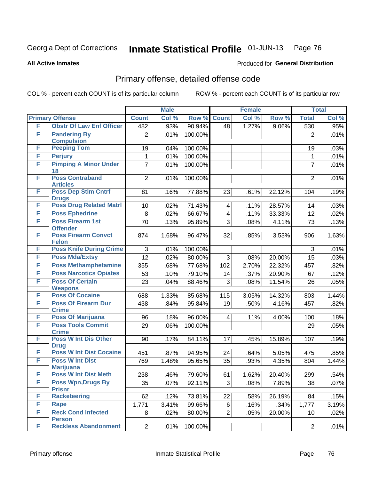#### **All Active Inmates**

#### Produced for **General Distribution**

## Primary offense, detailed offense code

|   |                                            | <b>Male</b>    |       |         | <b>Female</b>  | <b>Total</b> |        |                |       |
|---|--------------------------------------------|----------------|-------|---------|----------------|--------------|--------|----------------|-------|
|   | <b>Primary Offense</b>                     | <b>Count</b>   | Col % | Row %   | <b>Count</b>   | Col %        | Row %  | <b>Total</b>   | Col % |
| F | <b>Obstr Of Law Enf Officer</b>            | 482            | .93%  | 90.94%  | 48             | 1.27%        | 9.06%  | 530            | .95%  |
| F | <b>Pandering By</b><br><b>Compulsion</b>   | $\overline{2}$ | .01%  | 100.00% |                |              |        | $\overline{2}$ | .01%  |
| F | <b>Peeping Tom</b>                         | 19             | .04%  | 100.00% |                |              |        | 19             | .03%  |
| F | <b>Perjury</b>                             | 1              | .01%  | 100.00% |                |              |        | 1              | .01%  |
| F | <b>Pimping A Minor Under</b><br>18         | $\overline{7}$ | .01%  | 100.00% |                |              |        | $\overline{7}$ | .01%  |
| F | <b>Poss Contraband</b><br><b>Articles</b>  | $\overline{2}$ | .01%  | 100.00% |                |              |        | $\overline{2}$ | .01%  |
| F | <b>Poss Dep Stim Cntrf</b><br><b>Drugs</b> | 81             | .16%  | 77.88%  | 23             | .61%         | 22.12% | 104            | .19%  |
| F | <b>Poss Drug Related Matri</b>             | 10             | .02%  | 71.43%  | 4              | .11%         | 28.57% | 14             | .03%  |
| F | <b>Poss Ephedrine</b>                      | 8              | .02%  | 66.67%  | 4              | .11%         | 33.33% | 12             | .02%  |
| F | <b>Poss Firearm 1st</b><br><b>Offender</b> | 70             | .13%  | 95.89%  | 3              | .08%         | 4.11%  | 73             | .13%  |
| F | <b>Poss Firearm Convct</b><br><b>Felon</b> | 874            | 1.68% | 96.47%  | 32             | .85%         | 3.53%  | 906            | 1.63% |
| F | <b>Poss Knife During Crime</b>             | 3              | .01%  | 100.00% |                |              |        | 3              | .01%  |
| F | <b>Poss Mda/Extsy</b>                      | 12             | .02%  | 80.00%  | 3              | .08%         | 20.00% | 15             | .03%  |
| F | <b>Poss Methamphetamine</b>                | 355            | .68%  | 77.68%  | 102            | 2.70%        | 22.32% | 457            | .82%  |
| F | <b>Poss Narcotics Opiates</b>              | 53             | .10%  | 79.10%  | 14             | .37%         | 20.90% | 67             | .12%  |
| F | <b>Poss Of Certain</b>                     | 23             | .04%  | 88.46%  | 3              | .08%         | 11.54% | 26             | .05%  |
|   | <b>Weapons</b>                             |                |       |         |                |              |        |                |       |
| F | <b>Poss Of Cocaine</b>                     | 688            | 1.33% | 85.68%  | 115            | 3.05%        | 14.32% | 803            | 1.44% |
| F | <b>Poss Of Firearm Dur</b><br><b>Crime</b> | 438            | .84%  | 95.84%  | 19             | .50%         | 4.16%  | 457            | .82%  |
| F | <b>Poss Of Marijuana</b>                   | 96             | .18%  | 96.00%  | 4              | .11%         | 4.00%  | 100            | .18%  |
| F | <b>Poss Tools Commit</b><br><b>Crime</b>   | 29             | .06%  | 100.00% |                |              |        | 29             | .05%  |
| F | <b>Poss W Int Dis Other</b><br><b>Drug</b> | 90             | .17%  | 84.11%  | 17             | .45%         | 15.89% | 107            | .19%  |
| F | <b>Poss W Int Dist Cocaine</b>             | 451            | .87%  | 94.95%  | 24             | .64%         | 5.05%  | 475            | .85%  |
| F | <b>Poss W Int Dist</b><br><b>Marijuana</b> | 769            | 1.48% | 95.65%  | 35             | .93%         | 4.35%  | 804            | 1.44% |
| F | <b>Poss W Int Dist Meth</b>                | 238            | .46%  | 79.60%  | 61             | 1.62%        | 20.40% | 299            | .54%  |
| F | <b>Poss Wpn, Drugs By</b><br><b>Prisnr</b> | 35             | .07%  | 92.11%  | 3              | .08%         | 7.89%  | 38             | .07%  |
| F | Racketeering                               | 62             | .12%  | 73.81%  | 22             | .58%         | 26.19% | 84             | .15%  |
| F | Rape                                       | 1,771          | 3.41% | 99.66%  | 6              | .16%         | .34%   | 1,777          | 3.19% |
| F | <b>Reck Cond Infected</b><br><b>Person</b> | 8              | .02%  | 80.00%  | $\overline{2}$ | .05%         | 20.00% | 10             | .02%  |
| F | <b>Reckless Abandonment</b>                | $\overline{2}$ | .01%  | 100.00% |                |              |        | $\overline{2}$ | .01%  |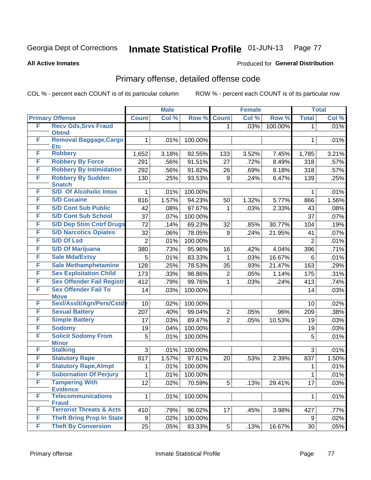**All Active Inmates**

#### Produced for **General Distribution**

## Primary offense, detailed offense code

|   |                                             | <b>Male</b>    |       |         | <b>Female</b>    | <b>Total</b> |         |                |       |
|---|---------------------------------------------|----------------|-------|---------|------------------|--------------|---------|----------------|-------|
|   | <b>Primary Offense</b>                      | <b>Count</b>   | Col % | Row %   | <b>Count</b>     | Col %        | Row %   | <b>Total</b>   | Col % |
| F | <b>Recv Gds, Srvs Fraud</b><br><b>Obtnd</b> |                |       |         | 1                | .03%         | 100.00% | 1              | .01%  |
| F | Removal Baggage, Cargo<br><b>Etc</b>        | 1              | .01%  | 100.00% |                  |              |         | 1              | .01%  |
| F | <b>Robbery</b>                              | 1,652          | 3.18% | 92.55%  | 133              | 3.52%        | 7.45%   | 1,785          | 3.21% |
| F | <b>Robbery By Force</b>                     | 291            | .56%  | 91.51%  | 27               | .72%         | 8.49%   | 318            | .57%  |
| F | <b>Robbery By Intimidation</b>              | 292            | .56%  | 91.82%  | 26               | .69%         | 8.18%   | 318            | .57%  |
| F | <b>Robbery By Sudden</b><br><b>Snatch</b>   | 130            | .25%  | 93.53%  | $\boldsymbol{9}$ | .24%         | 6.47%   | 139            | .25%  |
| F | <b>S/D Of Alcoholic Intox</b>               | 1              | .01%  | 100.00% |                  |              |         | 1              | .01%  |
| F | <b>S/D Cocaine</b>                          | 816            | 1.57% | 94.23%  | 50               | 1.32%        | 5.77%   | 866            | 1.56% |
| F | <b>S/D Cont Sub Public</b>                  | 42             | .08%  | 97.67%  | 1                | .03%         | 2.33%   | 43             | .08%  |
| F | <b>S/D Cont Sub School</b>                  | 37             | .07%  | 100.00% |                  |              |         | 37             | .07%  |
| F | <b>S/D Dep Stim Cntrf Drugs</b>             | 72             | .14%  | 69.23%  | 32               | .85%         | 30.77%  | 104            | .19%  |
| F | <b>S/D Narcotics Opiates</b>                | 32             | .06%  | 78.05%  | 9                | .24%         | 21.95%  | 41             | .07%  |
| F | <b>S/D Of Lsd</b>                           | $\overline{2}$ | .01%  | 100.00% |                  |              |         | $\overline{2}$ | .01%  |
| F | <b>S/D Of Marijuana</b>                     | 380            | .73%  | 95.96%  | 16               | .42%         | 4.04%   | 396            | .71%  |
| F | <b>Sale Mda/Extsy</b>                       | 5              | .01%  | 83.33%  | 1                | .03%         | 16.67%  | 6              | .01%  |
| F | <b>Sale Methamphetamine</b>                 | 128            | .25%  | 78.53%  | 35               | .93%         | 21.47%  | 163            | .29%  |
| F | <b>Sex Exploitation Child</b>               | 173            | .33%  | 98.86%  | 2                | .05%         | 1.14%   | 175            | .31%  |
| F | <b>Sex Offender Fail Registr</b>            | 412            | .79%  | 99.76%  | 1                | .03%         | .24%    | 413            | .74%  |
| F | <b>Sex Offender Fail To</b><br><b>Move</b>  | 14             | .03%  | 100.00% |                  |              |         | 14             | .03%  |
| F | Sexl/Asslt/Agn/Pers/Cstd                    | 10             | .02%  | 100.00% |                  |              |         | 10             | .02%  |
| F | <b>Sexual Battery</b>                       | 207            | .40%  | 99.04%  | $\overline{2}$   | .05%         | .96%    | 209            | .38%  |
| F | <b>Simple Battery</b>                       | 17             | .03%  | 89.47%  | $\overline{2}$   | .05%         | 10.53%  | 19             | .03%  |
| F | <b>Sodomy</b>                               | 19             | .04%  | 100.00% |                  |              |         | 19             | .03%  |
| F | <b>Solicit Sodomy From</b>                  | 5              | .01%  | 100.00% |                  |              |         | 5              | .01%  |
|   | <b>Minor</b>                                |                |       |         |                  |              |         |                |       |
| F | <b>Stalking</b>                             | 3              | .01%  | 100.00% |                  |              |         | 3              | .01%  |
| F | <b>Statutory Rape</b>                       | 817            | 1.57% | 97.61%  | 20               | .53%         | 2.39%   | 837            | 1.50% |
| F | <b>Statutory Rape, Atmpt</b>                | 1              | .01%  | 100.00% |                  |              |         | 1              | .01%  |
| F | <b>Subornation Of Perjury</b>               | 1              | .01%  | 100.00% |                  |              |         | 1              | .01%  |
| F | <b>Tampering With</b><br><b>Evidence</b>    | 12             | .02%  | 70.59%  | 5                | .13%         | 29.41%  | 17             | .03%  |
| F | <b>Telecommunications</b><br><b>Fraud</b>   | 1              | .01%  | 100.00% |                  |              |         | 1              | .01%  |
| F | <b>Terrorist Threats &amp; Acts</b>         | 410            | .79%  | 96.02%  | 17               | .45%         | 3.98%   | 427            | .77%  |
| F | <b>Theft Bring Prop In State</b>            | 9              | .02%  | 100.00% |                  |              |         | 9              | .02%  |
| F | <b>Theft By Conversion</b>                  | 25             | .05%  | 83.33%  | 5 <sup>1</sup>   | .13%         | 16.67%  | 30             | .05%  |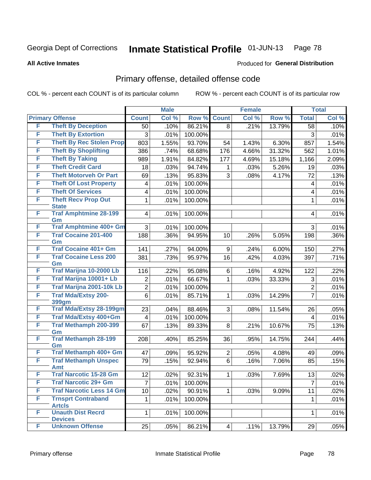**All Active Inmates**

#### Produced for **General Distribution**

## Primary offense, detailed offense code

|   |                                             |                | <b>Male</b> |         |                | <b>Female</b> |        |                | <b>Total</b> |
|---|---------------------------------------------|----------------|-------------|---------|----------------|---------------|--------|----------------|--------------|
|   | <b>Primary Offense</b>                      | <b>Count</b>   | Col %       | Row %   | <b>Count</b>   | Col %         | Row %  | <b>Total</b>   | Col %        |
| F | <b>Theft By Deception</b>                   | 50             | .10%        | 86.21%  | 8              | .21%          | 13.79% | 58             | .10%         |
| F | <b>Theft By Extortion</b>                   | 3              | .01%        | 100.00% |                |               |        | $\mathbf{3}$   | .01%         |
| F | <b>Theft By Rec Stolen Prop</b>             | 803            | 1.55%       | 93.70%  | 54             | 1.43%         | 6.30%  | 857            | 1.54%        |
| F | <b>Theft By Shoplifting</b>                 | 386            | .74%        | 68.68%  | 176            | 4.66%         | 31.32% | 562            | 1.01%        |
| F | <b>Theft By Taking</b>                      | 989            | 1.91%       | 84.82%  | 177            | 4.69%         | 15.18% | 1,166          | 2.09%        |
| F | <b>Theft Credit Card</b>                    | 18             | .03%        | 94.74%  | 1              | .03%          | 5.26%  | 19             | .03%         |
| F | <b>Theft Motorveh Or Part</b>               | 69             | .13%        | 95.83%  | 3              | .08%          | 4.17%  | 72             | .13%         |
| F | <b>Theft Of Lost Property</b>               | 4              | .01%        | 100.00% |                |               |        | 4              | .01%         |
| F | <b>Theft Of Services</b>                    | 4              | .01%        | 100.00% |                |               |        | 4              | .01%         |
| F | <b>Theft Recv Prop Out</b><br><b>State</b>  | 1              | .01%        | 100.00% |                |               |        | $\mathbf{1}$   | .01%         |
| F | <b>Traf Amphtmine 28-199</b>                | 4              | .01%        | 100.00% |                |               |        | 4              | .01%         |
| F | Gm<br><b>Traf Amphtmine 400+ Gm</b>         | 3              | .01%        | 100.00% |                |               |        | 3              | .01%         |
| F | <b>Traf Cocaine 201-400</b>                 | 188            | .36%        | 94.95%  | 10             | .26%          |        | 198            | .36%         |
|   | Gm                                          |                |             |         |                |               | 5.05%  |                |              |
| F | <b>Traf Cocaine 401+ Gm</b>                 | 141            | .27%        | 94.00%  | 9              | .24%          | 6.00%  | 150            | .27%         |
| F | <b>Traf Cocaine Less 200</b><br>Gm          | 381            | .73%        | 95.97%  | 16             | .42%          | 4.03%  | 397            | .71%         |
| F | Traf Marijna 10-2000 Lb                     | 116            | .22%        | 95.08%  | 6              | .16%          | 4.92%  | 122            | .22%         |
| F | Traf Marijna 10001+ Lb                      | 2              | .01%        | 66.67%  | 1              | .03%          | 33.33% | 3              | .01%         |
| F | Traf Marijna 2001-10k Lb                    | $\overline{2}$ | .01%        | 100.00% |                |               |        | $\overline{c}$ | .01%         |
| F | <b>Traf Mda/Extsy 200-</b>                  | $\overline{6}$ | .01%        | 85.71%  | 1              | .03%          | 14.29% | $\overline{7}$ | .01%         |
|   | 399gm                                       |                |             |         |                |               |        |                |              |
| F | Traf Mda/Extsy 28-199gm                     | 23             | .04%        | 88.46%  | 3              | .08%          | 11.54% | 26             | .05%         |
| F | Traf Mda/Extsy 400+Gm                       | $\overline{4}$ | .01%        | 100.00% |                |               |        | 4              | .01%         |
| F | <b>Traf Methamph 200-399</b><br>Gm          | 67             | .13%        | 89.33%  | 8              | .21%          | 10.67% | 75             | .13%         |
| F | <b>Traf Methamph 28-199</b><br>Gm           | 208            | .40%        | 85.25%  | 36             | .95%          | 14.75% | 244            | .44%         |
| F | <b>Traf Methamph 400+ Gm</b>                | 47             | .09%        | 95.92%  | $\overline{2}$ | .05%          | 4.08%  | 49             | .09%         |
| F | <b>Traf Methamph Unspec</b>                 | 79             | .15%        | 92.94%  | $6\phantom{a}$ | .16%          | 7.06%  | 85             | .15%         |
| F | <b>Amt</b><br><b>Traf Narcotic 15-28 Gm</b> |                |             |         |                |               |        |                |              |
| F | <b>Traf Narcotic 29+ Gm</b>                 | 12             | $.02\%$     | 92.31%  | $\mathbf{1}$   | .03%          | 7.69%  | 13             | .02%         |
| F | <b>Traf Narcotic Less 14 Gm</b>             | $\overline{7}$ | .01%        | 100.00% |                |               |        | $\overline{7}$ | .01%         |
| F | <b>Trnsprt Contraband</b>                   | 10             | .02%        | 90.91%  | 1              | .03%          | 9.09%  | 11             | .02%         |
|   | <b>Artcls</b>                               | 1              | .01%        | 100.00% |                |               |        | $\mathbf 1$    | .01%         |
| F | <b>Unauth Dist Recrd</b><br><b>Devices</b>  | 1              | .01%        | 100.00% |                |               |        | 1              | .01%         |
| F | <b>Unknown Offense</b>                      | 25             | .05%        | 86.21%  | $\overline{4}$ | .11%          | 13.79% | 29             | .05%         |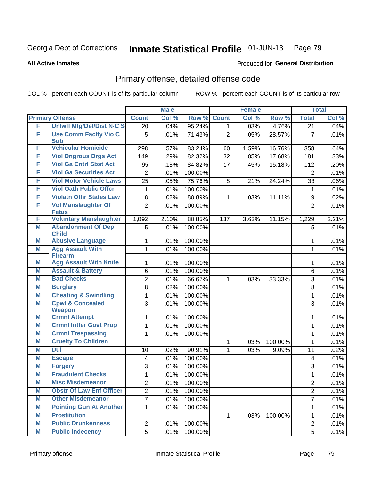Produced for **General Distribution**

#### **All Active Inmates**

# Primary offense, detailed offense code

|   |                                              |                | <b>Male</b> |         |                | <b>Female</b> |         |                         | <b>Total</b> |
|---|----------------------------------------------|----------------|-------------|---------|----------------|---------------|---------|-------------------------|--------------|
|   | <b>Primary Offense</b>                       | <b>Count</b>   | Col %       | Row %   | <b>Count</b>   | Col %         | Row %   | <b>Total</b>            | Col %        |
| F | <b>Uniwfl Mfg/Del/Dist N-C S</b>             | 20             | .04%        | 95.24%  | 1 <sup>1</sup> | .03%          | 4.76%   | $\overline{21}$         | .04%         |
| F | <b>Use Comm Facity Vio C</b><br><b>Sub</b>   | 5              | .01%        | 71.43%  | $\overline{2}$ | .05%          | 28.57%  | $\overline{7}$          | .01%         |
| F | <b>Vehicular Homicide</b>                    | 298            | .57%        | 83.24%  | 60             | 1.59%         | 16.76%  | 358                     | .64%         |
| F | <b>Viol Dngrous Drgs Act</b>                 | 149            | .29%        | 82.32%  | 32             | .85%          | 17.68%  | 181                     | .33%         |
| F | <b>Viol Ga Cntrl Sbst Act</b>                | 95             | .18%        | 84.82%  | 17             | .45%          | 15.18%  | 112                     | .20%         |
| F | <b>Viol Ga Securities Act</b>                | $\overline{2}$ | .01%        | 100.00% |                |               |         | $\overline{2}$          | .01%         |
| F | <b>Viol Motor Vehicle Laws</b>               | 25             | .05%        | 75.76%  | 8              | .21%          | 24.24%  | 33                      | $.06\%$      |
| F | <b>Viol Oath Public Offcr</b>                | 1              | .01%        | 100.00% |                |               |         | $\mathbf 1$             | .01%         |
| F | <b>Violatn Othr States Law</b>               | 8              | .02%        | 88.89%  | $\mathbf 1$    | .03%          | 11.11%  | $\boldsymbol{9}$        | .02%         |
| F | <b>Vol Manslaughter Of</b><br><b>Fetus</b>   | $\overline{2}$ | .01%        | 100.00% |                |               |         | $\overline{2}$          | .01%         |
| F | <b>Voluntary Manslaughter</b>                | 1,092          | 2.10%       | 88.85%  | 137            | 3.63%         | 11.15%  | 1,229                   | 2.21%        |
| M | <b>Abandonment Of Dep</b><br><b>Child</b>    | 5              | .01%        | 100.00% |                |               |         | 5                       | .01%         |
| M | <b>Abusive Language</b>                      | $\mathbf{1}$   | .01%        | 100.00% |                |               |         | 1                       | .01%         |
| M | <b>Agg Assault With</b><br><b>Firearm</b>    | $\mathbf{1}$   | .01%        | 100.00% |                |               |         | 1                       | .01%         |
| M | <b>Agg Assault With Knife</b>                | 1              | .01%        | 100.00% |                |               |         | 1                       | .01%         |
| M | <b>Assault &amp; Battery</b>                 | 6              | .01%        | 100.00% |                |               |         | 6                       | .01%         |
| М | <b>Bad Checks</b>                            | $\overline{2}$ | .01%        | 66.67%  | $\mathbf 1$    | .03%          | 33.33%  | 3                       | .01%         |
| M | <b>Burglary</b>                              | 8              | .02%        | 100.00% |                |               |         | 8                       | .01%         |
| M | <b>Cheating &amp; Swindling</b>              | 1              | .01%        | 100.00% |                |               |         | $\mathbf{1}$            | .01%         |
| M | <b>Cpwl &amp; Concealed</b><br><b>Weapon</b> | 3              | .01%        | 100.00% |                |               |         | 3                       | .01%         |
| M | <b>Crmnl Attempt</b>                         | 1              | .01%        | 100.00% |                |               |         | 1                       | .01%         |
| M | <b>Crmnl Intfer Govt Prop</b>                | 1              | .01%        | 100.00% |                |               |         | 1                       | .01%         |
| M | <b>Crmnl Trespassing</b>                     | 1              | .01%        | 100.00% |                |               |         | 1                       | .01%         |
| M | <b>Cruelty To Children</b>                   |                |             |         | $\mathbf{1}$   | .03%          | 100.00% | 1                       | .01%         |
| M | <b>Dui</b>                                   | 10             | .02%        | 90.91%  | $\mathbf 1$    | .03%          | 9.09%   | 11                      | .02%         |
| Μ | <b>Escape</b>                                | 4              | .01%        | 100.00% |                |               |         | $\overline{\mathbf{4}}$ | .01%         |
| M | <b>Forgery</b>                               | 3              | .01%        | 100.00% |                |               |         | 3                       | .01%         |
| M | <b>Fraudulent Checks</b>                     | $\mathbf{1}$   | .01%        | 100.00% |                |               |         | 1                       | .01%         |
| M | <b>Misc Misdemeanor</b>                      | $\overline{2}$ | .01%        | 100.00% |                |               |         | $\overline{2}$          | .01%         |
| M | <b>Obstr Of Law Enf Officer</b>              | $\overline{2}$ | .01%        | 100.00% |                |               |         | $\overline{2}$          | .01%         |
| M | <b>Other Misdemeanor</b>                     | 7              | .01%        | 100.00% |                |               |         | $\overline{7}$          | .01%         |
| M | <b>Pointing Gun At Another</b>               | 1              | .01%        | 100.00% |                |               |         | 1                       | .01%         |
| Μ | <b>Prostitution</b>                          |                |             |         | $\mathbf 1$    | .03%          | 100.00% | 1                       | .01%         |
| М | <b>Public Drunkenness</b>                    | $\overline{2}$ | .01%        | 100.00% |                |               |         | $\overline{2}$          | .01%         |
| M | <b>Public Indecency</b>                      | $\overline{5}$ | .01%        | 100.00% |                |               |         | 5                       | .01%         |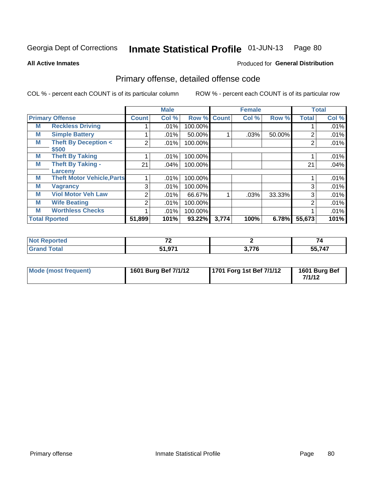#### **All Active Inmates**

# Produced for **General Distribution**

## Primary offense, detailed offense code

|   |                                   |                | <b>Male</b> |             |       | <b>Female</b> |        |              | <b>Total</b> |
|---|-----------------------------------|----------------|-------------|-------------|-------|---------------|--------|--------------|--------------|
|   | <b>Primary Offense</b>            | <b>Count</b>   | Col %       | Row % Count |       | Col %         | Row %  | <b>Total</b> | Col %        |
| М | <b>Reckless Driving</b>           |                | .01%        | 100.00%     |       |               |        |              | .01%         |
| M | <b>Simple Battery</b>             |                | .01%        | 50.00%      |       | .03%          | 50.00% | 2            | .01%         |
| M | <b>Theft By Deception &lt;</b>    | 2 <sub>1</sub> | .01%        | 100.00%     |       |               |        | 2            | .01%         |
|   | \$500                             |                |             |             |       |               |        |              |              |
| M | <b>Theft By Taking</b>            |                | .01%        | 100.00%     |       |               |        |              | .01%         |
| M | <b>Theft By Taking -</b>          | 21             | .04%        | 100.00%     |       |               |        | 21           | .04%         |
|   | Larceny                           |                |             |             |       |               |        |              |              |
| M | <b>Theft Motor Vehicle, Parts</b> |                | .01%        | 100.00%     |       |               |        |              | .01%         |
| M | <b>Vagrancy</b>                   | 3              | .01%        | 100.00%     |       |               |        | 3            | .01%         |
| M | <b>Viol Motor Veh Law</b>         | $\overline{2}$ | .01%        | 66.67%      |       | .03%          | 33.33% | 3            | .01%         |
| M | <b>Wife Beating</b>               | 2              | .01%        | 100.00%     |       |               |        | 2            | .01%         |
| M | <b>Worthless Checks</b>           |                | .01%        | 100.00%     |       |               |        |              | .01%         |
|   | <b>Total Rported</b>              | 51,899         | 101%        | 93.22%      | 3,774 | 100%          | 6.78%  | 55,673       | 101%         |

| τeα   | $\sim$            |             | $\overline{\phantom{a}}$<br>, . |
|-------|-------------------|-------------|---------------------------------|
| _____ | <b>Ω74</b><br>E4. | ^ מדי<br>70 | $- - - - -$<br><i>п</i><br>. .  |

| Mode (most frequent) | 1601 Burg Bef 7/1/12 | 1701 Forg 1st Bef 7/1/12 | 1601 Burg Bef<br>7/1/12 |
|----------------------|----------------------|--------------------------|-------------------------|
|----------------------|----------------------|--------------------------|-------------------------|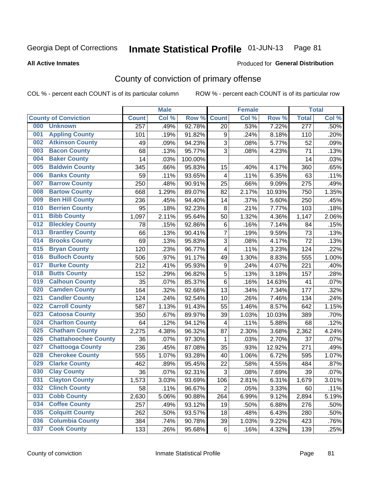#### **All Active Inmates**

#### Produced for **General Distribution**

## County of conviction of primary offense

|     |                             |                  | <b>Male</b> |         |                  | <b>Female</b> |        |                  | <b>Total</b> |
|-----|-----------------------------|------------------|-------------|---------|------------------|---------------|--------|------------------|--------------|
|     | <b>County of Conviction</b> | <b>Count</b>     | Col %       | Row %   | <b>Count</b>     | Col %         | Row %  | <b>Total</b>     | Col %        |
| 000 | <b>Unknown</b>              | $\overline{257}$ | .49%        | 92.78%  | 20               | .53%          | 7.22%  | $\overline{277}$ | .50%         |
| 001 | <b>Appling County</b>       | 101              | .19%        | 91.82%  | 9                | .24%          | 8.18%  | 110              | .20%         |
| 002 | <b>Atkinson County</b>      | 49               | .09%        | 94.23%  | 3                | .08%          | 5.77%  | 52               | .09%         |
| 003 | <b>Bacon County</b>         | 68               | .13%        | 95.77%  | 3                | .08%          | 4.23%  | 71               | .13%         |
| 004 | <b>Baker County</b>         | 14               | .03%        | 100.00% |                  |               |        | 14               | .03%         |
| 005 | <b>Baldwin County</b>       | 345              | .66%        | 95.83%  | 15               | .40%          | 4.17%  | 360              | .65%         |
| 006 | <b>Banks County</b>         | 59               | .11%        | 93.65%  | $\overline{4}$   | .11%          | 6.35%  | 63               | .11%         |
| 007 | <b>Barrow County</b>        | 250              | .48%        | 90.91%  | 25               | .66%          | 9.09%  | 275              | .49%         |
| 008 | <b>Bartow County</b>        | 668              | 1.29%       | 89.07%  | 82               | 2.17%         | 10.93% | 750              | 1.35%        |
| 009 | <b>Ben Hill County</b>      | 236              | .45%        | 94.40%  | 14               | .37%          | 5.60%  | 250              | .45%         |
| 010 | <b>Berrien County</b>       | 95               | .18%        | 92.23%  | 8                | .21%          | 7.77%  | 103              | .18%         |
| 011 | <b>Bibb County</b>          | 1,097            | 2.11%       | 95.64%  | 50               | 1.32%         | 4.36%  | 1,147            | 2.06%        |
| 012 | <b>Bleckley County</b>      | 78               | .15%        | 92.86%  | $\,6$            | .16%          | 7.14%  | 84               | .15%         |
| 013 | <b>Brantley County</b>      | 66               | .13%        | 90.41%  | $\overline{7}$   | .19%          | 9.59%  | 73               | .13%         |
| 014 | <b>Brooks County</b>        | 69               | .13%        | 95.83%  | 3                | .08%          | 4.17%  | 72               | .13%         |
| 015 | <b>Bryan County</b>         | 120              | .23%        | 96.77%  | 4                | .11%          | 3.23%  | 124              | .22%         |
| 016 | <b>Bulloch County</b>       | 506              | .97%        | 91.17%  | 49               | 1.30%         | 8.83%  | 555              | 1.00%        |
| 017 | <b>Burke County</b>         | 212              | .41%        | 95.93%  | $\boldsymbol{9}$ | .24%          | 4.07%  | 221              | .40%         |
| 018 | <b>Butts County</b>         | 152              | .29%        | 96.82%  | $\sqrt{5}$       | .13%          | 3.18%  | 157              | .28%         |
| 019 | <b>Calhoun County</b>       | 35               | .07%        | 85.37%  | 6                | .16%          | 14.63% | 41               | .07%         |
| 020 | <b>Camden County</b>        | 164              | .32%        | 92.66%  | 13               | .34%          | 7.34%  | 177              | .32%         |
| 021 | <b>Candler County</b>       | 124              | .24%        | 92.54%  | 10               | .26%          | 7.46%  | 134              | .24%         |
| 022 | <b>Carroll County</b>       | 587              | 1.13%       | 91.43%  | 55               | 1.46%         | 8.57%  | 642              | 1.15%        |
| 023 | <b>Catoosa County</b>       | 350              | .67%        | 89.97%  | 39               | 1.03%         | 10.03% | 389              | .70%         |
| 024 | <b>Charlton County</b>      | 64               | .12%        | 94.12%  | 4                | .11%          | 5.88%  | 68               | .12%         |
| 025 | <b>Chatham County</b>       | 2,275            | 4.38%       | 96.32%  | 87               | 2.30%         | 3.68%  | 2,362            | 4.24%        |
| 026 | <b>Chattahoochee County</b> | 36               | .07%        | 97.30%  | 1                | .03%          | 2.70%  | 37               | .07%         |
| 027 | <b>Chattooga County</b>     | 236              | .45%        | 87.08%  | 35               | .93%          | 12.92% | 271              | .49%         |
| 028 | <b>Cherokee County</b>      | 555              | 1.07%       | 93.28%  | 40               | 1.06%         | 6.72%  | 595              | 1.07%        |
| 029 | <b>Clarke County</b>        | 462              | .89%        | 95.45%  | 22               | .58%          | 4.55%  | 484              | .87%         |
| 030 | <b>Clay County</b>          | 36               | .07%        | 92.31%  | 3                | .08%          | 7.69%  | 39               | .07%         |
| 031 | <b>Clayton County</b>       | 1,573            | 3.03%       | 93.69%  | 106              | 2.81%         | 6.31%  | 1,679            | 3.01%        |
| 032 | <b>Clinch County</b>        | 58               | .11%        | 96.67%  | $\overline{2}$   | .05%          | 3.33%  | 60               | .11%         |
| 033 | <b>Cobb County</b>          | 2,630            | 5.06%       | 90.88%  | 264              | 6.99%         | 9.12%  | 2,894            | 5.19%        |
| 034 | <b>Coffee County</b>        | 257              | .49%        | 93.12%  | 19               | .50%          | 6.88%  | 276              | .50%         |
| 035 | <b>Colquitt County</b>      | 262              | .50%        | 93.57%  | 18               | .48%          | 6.43%  | 280              | .50%         |
| 036 | <b>Columbia County</b>      | 384              | .74%        | 90.78%  | 39               | 1.03%         | 9.22%  | 423              | .76%         |
| 037 | <b>Cook County</b>          | 133              | .26%        | 95.68%  | 6                | .16%          | 4.32%  | 139              | .25%         |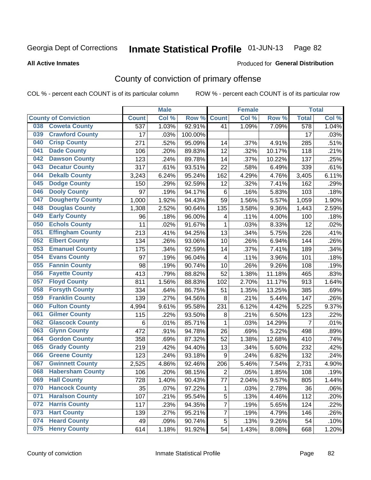Produced for **General Distribution**

#### **All Active Inmates**

## County of conviction of primary offense

|     |                             |              | <b>Male</b> |         |                          | <b>Female</b> |        |                  | <b>Total</b> |
|-----|-----------------------------|--------------|-------------|---------|--------------------------|---------------|--------|------------------|--------------|
|     | <b>County of Conviction</b> | <b>Count</b> | Col %       | Row %   | <b>Count</b>             | Col %         | Row %  | <b>Total</b>     | Col %        |
| 038 | <b>Coweta County</b>        | 537          | 1.03%       | 92.91%  | 41                       | 1.09%         | 7.09%  | $\overline{578}$ | 1.04%        |
| 039 | <b>Crawford County</b>      | 17           | .03%        | 100.00% |                          |               |        | 17               | .03%         |
| 040 | <b>Crisp County</b>         | 271          | .52%        | 95.09%  | 14                       | .37%          | 4.91%  | 285              | .51%         |
| 041 | <b>Dade County</b>          | 106          | .20%        | 89.83%  | 12                       | .32%          | 10.17% | 118              | .21%         |
| 042 | <b>Dawson County</b>        | 123          | .24%        | 89.78%  | 14                       | .37%          | 10.22% | 137              | .25%         |
| 043 | <b>Decatur County</b>       | 317          | .61%        | 93.51%  | 22                       | .58%          | 6.49%  | 339              | .61%         |
| 044 | <b>Dekalb County</b>        | 3,243        | 6.24%       | 95.24%  | 162                      | 4.29%         | 4.76%  | 3,405            | 6.11%        |
| 045 | <b>Dodge County</b>         | 150          | .29%        | 92.59%  | 12                       | .32%          | 7.41%  | 162              | .29%         |
| 046 | <b>Dooly County</b>         | 97           | .19%        | 94.17%  | $\,6$                    | .16%          | 5.83%  | 103              | .18%         |
| 047 | <b>Dougherty County</b>     | 1,000        | 1.92%       | 94.43%  | 59                       | 1.56%         | 5.57%  | 1,059            | 1.90%        |
| 048 | <b>Douglas County</b>       | 1,308        | 2.52%       | 90.64%  | 135                      | 3.58%         | 9.36%  | 1,443            | 2.59%        |
| 049 | <b>Early County</b>         | 96           | .18%        | 96.00%  | 4                        | .11%          | 4.00%  | 100              | .18%         |
| 050 | <b>Echols County</b>        | 11           | .02%        | 91.67%  | $\mathbf{1}$             | .03%          | 8.33%  | 12               | .02%         |
| 051 | <b>Effingham County</b>     | 213          | .41%        | 94.25%  | 13                       | .34%          | 5.75%  | 226              | .41%         |
| 052 | <b>Elbert County</b>        | 134          | .26%        | 93.06%  | 10                       | .26%          | 6.94%  | 144              | .26%         |
| 053 | <b>Emanuel County</b>       | 175          | .34%        | 92.59%  | 14                       | .37%          | 7.41%  | 189              | .34%         |
| 054 | <b>Evans County</b>         | 97           | .19%        | 96.04%  | $\overline{\mathcal{A}}$ | .11%          | 3.96%  | 101              | .18%         |
| 055 | <b>Fannin County</b>        | 98           | .19%        | 90.74%  | 10                       | .26%          | 9.26%  | 108              | .19%         |
| 056 | <b>Fayette County</b>       | 413          | .79%        | 88.82%  | 52                       | 1.38%         | 11.18% | 465              | .83%         |
| 057 | <b>Floyd County</b>         | 811          | 1.56%       | 88.83%  | 102                      | 2.70%         | 11.17% | 913              | 1.64%        |
| 058 | <b>Forsyth County</b>       | 334          | .64%        | 86.75%  | 51                       | 1.35%         | 13.25% | 385              | .69%         |
| 059 | <b>Franklin County</b>      | 139          | .27%        | 94.56%  | 8                        | .21%          | 5.44%  | 147              | .26%         |
| 060 | <b>Fulton County</b>        | 4,994        | 9.61%       | 95.58%  | 231                      | 6.12%         | 4.42%  | 5,225            | 9.37%        |
| 061 | <b>Gilmer County</b>        | 115          | .22%        | 93.50%  | $\bf 8$                  | .21%          | 6.50%  | 123              | .22%         |
| 062 | <b>Glascock County</b>      | $\,6$        | .01%        | 85.71%  | $\mathbf{1}$             | .03%          | 14.29% | $\overline{7}$   | $.01\%$      |
| 063 | <b>Glynn County</b>         | 472          | .91%        | 94.78%  | 26                       | .69%          | 5.22%  | 498              | .89%         |
| 064 | <b>Gordon County</b>        | 358          | .69%        | 87.32%  | 52                       | 1.38%         | 12.68% | 410              | .74%         |
| 065 | <b>Grady County</b>         | 219          | .42%        | 94.40%  | 13                       | .34%          | 5.60%  | 232              | .42%         |
| 066 | <b>Greene County</b>        | 123          | .24%        | 93.18%  | $9\,$                    | .24%          | 6.82%  | 132              | .24%         |
| 067 | <b>Gwinnett County</b>      | 2,525        | 4.86%       | 92.46%  | 206                      | 5.46%         | 7.54%  | 2,731            | 4.90%        |
| 068 | <b>Habersham County</b>     | 106          | .20%        | 98.15%  | $\overline{2}$           | .05%          | 1.85%  | 108              | .19%         |
| 069 | <b>Hall County</b>          | 728          | 1.40%       | 90.43%  | 77                       | 2.04%         | 9.57%  | 805              | 1.44%        |
| 070 | <b>Hancock County</b>       | 35           | .07%        | 97.22%  | $\mathbf{1}$             | .03%          | 2.78%  | 36               | .06%         |
| 071 | <b>Haralson County</b>      | 107          | .21%        | 95.54%  | $\overline{5}$           | .13%          | 4.46%  | 112              | .20%         |
| 072 | <b>Harris County</b>        | 117          | .23%        | 94.35%  | $\overline{7}$           | .19%          | 5.65%  | 124              | .22%         |
| 073 | <b>Hart County</b>          | 139          | .27%        | 95.21%  | $\overline{7}$           | .19%          | 4.79%  | 146              | .26%         |
| 074 | <b>Heard County</b>         | 49           | .09%        | 90.74%  | 5                        | .13%          | 9.26%  | 54               | .10%         |
| 075 | <b>Henry County</b>         | 614          | 1.18%       | 91.92%  | 54                       | 1.43%         | 8.08%  | 668              | 1.20%        |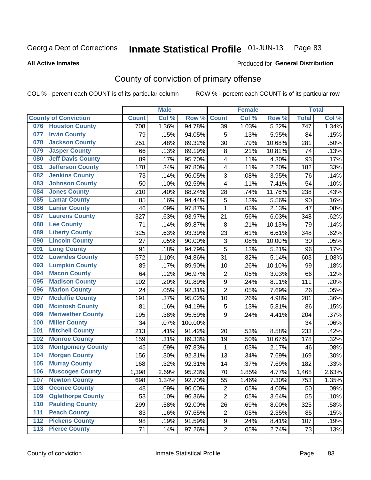Produced for **General Distribution**

#### **All Active Inmates**

## County of conviction of primary offense

|                                 |              | <b>Male</b> |         |                  | <b>Female</b> |        |                  | <b>Total</b> |
|---------------------------------|--------------|-------------|---------|------------------|---------------|--------|------------------|--------------|
| <b>County of Conviction</b>     | <b>Count</b> | Col %       | Row %   | <b>Count</b>     | Col %         | Row %  | <b>Total</b>     | Col %        |
| <b>Houston County</b><br>076    | 708          | 1.36%       | 94.78%  | 39               | 1.03%         | 5.22%  | $\overline{747}$ | 1.34%        |
| <b>Irwin County</b><br>077      | 79           | .15%        | 94.05%  | 5                | .13%          | 5.95%  | 84               | .15%         |
| <b>Jackson County</b><br>078    | 251          | .48%        | 89.32%  | 30               | .79%          | 10.68% | 281              | .50%         |
| <b>Jasper County</b><br>079     | 66           | .13%        | 89.19%  | 8                | .21%          | 10.81% | 74               | .13%         |
| <b>Jeff Davis County</b><br>080 | 89           | .17%        | 95.70%  | 4                | .11%          | 4.30%  | 93               | .17%         |
| 081<br><b>Jefferson County</b>  | 178          | .34%        | 97.80%  | 4                | .11%          | 2.20%  | 182              | .33%         |
| <b>Jenkins County</b><br>082    | 73           | .14%        | 96.05%  | 3                | .08%          | 3.95%  | 76               | .14%         |
| <b>Johnson County</b><br>083    | 50           | .10%        | 92.59%  | 4                | .11%          | 7.41%  | 54               | .10%         |
| <b>Jones County</b><br>084      | 210          | .40%        | 88.24%  | 28               | .74%          | 11.76% | 238              | .43%         |
| <b>Lamar County</b><br>085      | 85           | .16%        | 94.44%  | 5                | .13%          | 5.56%  | 90               | .16%         |
| <b>Lanier County</b><br>086     | 46           | .09%        | 97.87%  | 1                | .03%          | 2.13%  | 47               | .08%         |
| <b>Laurens County</b><br>087    | 327          | .63%        | 93.97%  | 21               | .56%          | 6.03%  | 348              | .62%         |
| <b>Lee County</b><br>088        | 71           | .14%        | 89.87%  | 8                | .21%          | 10.13% | 79               | .14%         |
| <b>Liberty County</b><br>089    | 325          | .63%        | 93.39%  | 23               | .61%          | 6.61%  | 348              | .62%         |
| <b>Lincoln County</b><br>090    | 27           | .05%        | 90.00%  | 3                | .08%          | 10.00% | 30               | .05%         |
| <b>Long County</b><br>091       | 91           | .18%        | 94.79%  | 5                | .13%          | 5.21%  | 96               | .17%         |
| <b>Lowndes County</b><br>092    | 572          | 1.10%       | 94.86%  | 31               | .82%          | 5.14%  | 603              | 1.08%        |
| <b>Lumpkin County</b><br>093    | 89           | .17%        | 89.90%  | 10               | .26%          | 10.10% | 99               | .18%         |
| <b>Macon County</b><br>094      | 64           | .12%        | 96.97%  | $\mathbf 2$      | .05%          | 3.03%  | 66               | .12%         |
| <b>Madison County</b><br>095    | 102          | .20%        | 91.89%  | $\boldsymbol{9}$ | .24%          | 8.11%  | 111              | .20%         |
| <b>Marion County</b><br>096     | 24           | .05%        | 92.31%  | $\overline{2}$   | .05%          | 7.69%  | 26               | .05%         |
| <b>Mcduffie County</b><br>097   | 191          | .37%        | 95.02%  | 10               | .26%          | 4.98%  | 201              | .36%         |
| <b>Mcintosh County</b><br>098   | 81           | .16%        | 94.19%  | 5                | .13%          | 5.81%  | 86               | .15%         |
| <b>Meriwether County</b><br>099 | 195          | .38%        | 95.59%  | 9                | .24%          | 4.41%  | 204              | .37%         |
| <b>Miller County</b><br>100     | 34           | .07%        | 100.00% |                  |               |        | 34               | .06%         |
| <b>Mitchell County</b><br>101   | 213          | .41%        | 91.42%  | 20               | .53%          | 8.58%  | 233              | .42%         |
| <b>Monroe County</b><br>102     | 159          | .31%        | 89.33%  | 19               | .50%          | 10.67% | 178              | .32%         |
| <b>Montgomery County</b><br>103 | 45           | .09%        | 97.83%  | 1                | .03%          | 2.17%  | 46               | .08%         |
| <b>Morgan County</b><br>104     | 156          | .30%        | 92.31%  | 13               | .34%          | 7.69%  | 169              | .30%         |
| <b>Murray County</b><br>105     | 168          | .32%        | 92.31%  | 14               | .37%          | 7.69%  | 182              | .33%         |
| <b>Muscogee County</b><br>106   | 1,398        | 2.69%       | 95.23%  | 70               | 1.85%         | 4.77%  | 1,468            | 2.63%        |
| 107<br><b>Newton County</b>     | 698          | 1.34%       | 92.70%  | 55               | 1.46%         | 7.30%  | 753              | 1.35%        |
| <b>Oconee County</b><br>108     | 48           | .09%        | 96.00%  | $\overline{2}$   | .05%          | 4.00%  | 50               | .09%         |
| <b>Oglethorpe County</b><br>109 | 53           | .10%        | 96.36%  | $\overline{2}$   | .05%          | 3.64%  | 55               | .10%         |
| <b>Paulding County</b><br>110   | 299          | .58%        | 92.00%  | 26               | .69%          | 8.00%  | 325              | .58%         |
| <b>Peach County</b><br>111      | 83           | .16%        | 97.65%  | $\overline{2}$   | .05%          | 2.35%  | 85               | .15%         |
| <b>Pickens County</b><br>$112$  | 98           | .19%        | 91.59%  | 9                | .24%          | 8.41%  | 107              | .19%         |
| <b>Pierce County</b><br>$113$   | 71           | .14%        | 97.26%  | $\overline{c}$   | .05%          | 2.74%  | 73               | .13%         |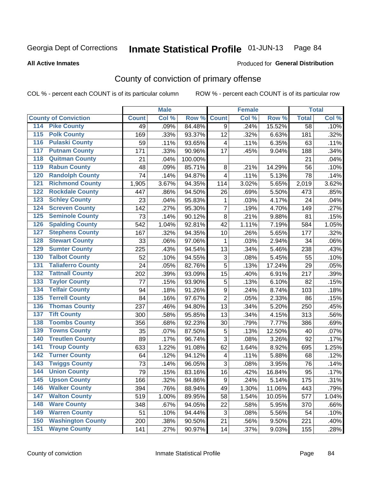**All Active Inmates**

#### Produced for **General Distribution**

## County of conviction of primary offense

|                                          |              | <b>Male</b> |         |                          | <b>Female</b> |        |              | <b>Total</b> |
|------------------------------------------|--------------|-------------|---------|--------------------------|---------------|--------|--------------|--------------|
| <b>County of Conviction</b>              | <b>Count</b> | Col %       | Row %   | <b>Count</b>             | Col %         | Row %  | <b>Total</b> | Col %        |
| 114 Pike County                          | 49           | .09%        | 84.48%  | 9                        | .24%          | 15.52% | 58           | .10%         |
| <b>Polk County</b><br>$\overline{115}$   | 169          | .33%        | 93.37%  | 12                       | .32%          | 6.63%  | 181          | .32%         |
| <b>Pulaski County</b><br>116             | 59           | .11%        | 93.65%  | $\overline{\mathcal{A}}$ | .11%          | 6.35%  | 63           | .11%         |
| 117<br><b>Putnam County</b>              | 171          | .33%        | 90.96%  | 17                       | .45%          | 9.04%  | 188          | .34%         |
| <b>Quitman County</b><br>118             | 21           | .04%        | 100.00% |                          |               |        | 21           | .04%         |
| <b>Rabun County</b><br>119               | 48           | .09%        | 85.71%  | 8                        | .21%          | 14.29% | 56           | .10%         |
| <b>Randolph County</b><br>120            | 74           | .14%        | 94.87%  | 4                        | .11%          | 5.13%  | 78           | .14%         |
| <b>Richmond County</b><br>121            | 1,905        | 3.67%       | 94.35%  | 114                      | 3.02%         | 5.65%  | 2,019        | 3.62%        |
| <b>Rockdale County</b><br>122            | 447          | .86%        | 94.50%  | 26                       | .69%          | 5.50%  | 473          | .85%         |
| <b>Schley County</b><br>123              | 23           | .04%        | 95.83%  | 1                        | .03%          | 4.17%  | 24           | .04%         |
| <b>Screven County</b><br>124             | 142          | .27%        | 95.30%  | $\overline{7}$           | .19%          | 4.70%  | 149          | .27%         |
| <b>Seminole County</b><br>125            | 73           | .14%        | 90.12%  | 8                        | .21%          | 9.88%  | 81           | .15%         |
| 126<br><b>Spalding County</b>            | 542          | 1.04%       | 92.81%  | 42                       | 1.11%         | 7.19%  | 584          | 1.05%        |
| <b>Stephens County</b><br>127            | 167          | .32%        | 94.35%  | 10                       | .26%          | 5.65%  | 177          | .32%         |
| <b>Stewart County</b><br>128             | 33           | .06%        | 97.06%  | $\mathbf 1$              | .03%          | 2.94%  | 34           | .06%         |
| <b>Sumter County</b><br>129              | 225          | .43%        | 94.54%  | 13                       | .34%          | 5.46%  | 238          | .43%         |
| <b>Talbot County</b><br>130              | 52           | .10%        | 94.55%  | 3                        | .08%          | 5.45%  | 55           | .10%         |
| <b>Taliaferro County</b><br>131          | 24           | .05%        | 82.76%  | 5                        | .13%          | 17.24% | 29           | .05%         |
| <b>Tattnall County</b><br>132            | 202          | .39%        | 93.09%  | 15                       | .40%          | 6.91%  | 217          | .39%         |
| <b>Taylor County</b><br>133              | 77           | .15%        | 93.90%  | $\sqrt{5}$               | .13%          | 6.10%  | 82           | .15%         |
| <b>Telfair County</b><br>134             | 94           | .18%        | 91.26%  | $\mathsf g$              | .24%          | 8.74%  | 103          | .18%         |
| <b>Terrell County</b><br>135             | 84           | .16%        | 97.67%  | $\overline{2}$           | .05%          | 2.33%  | 86           | .15%         |
| <b>Thomas County</b><br>136              | 237          | .46%        | 94.80%  | 13                       | .34%          | 5.20%  | 250          | .45%         |
| <b>Tift County</b><br>137                | 300          | .58%        | 95.85%  | 13                       | .34%          | 4.15%  | 313          | .56%         |
| <b>Toombs County</b><br>138              | 356          | .68%        | 92.23%  | 30                       | .79%          | 7.77%  | 386          | .69%         |
| <b>Towns County</b><br>139               | 35           | .07%        | 87.50%  | $\mathbf 5$              | .13%          | 12.50% | 40           | .07%         |
| <b>Treutlen County</b><br>140            | 89           | .17%        | 96.74%  | 3                        | .08%          | 3.26%  | 92           | .17%         |
| <b>Troup County</b><br>141               | 633          | 1.22%       | 91.08%  | 62                       | 1.64%         | 8.92%  | 695          | 1.25%        |
| <b>Turner County</b><br>142              | 64           | .12%        | 94.12%  | $\overline{\mathbf{4}}$  | .11%          | 5.88%  | 68           | .12%         |
| <b>Twiggs County</b><br>$\overline{143}$ | 73           | .14%        | 96.05%  | 3                        | .08%          | 3.95%  | 76           | .14%         |
| <b>Union County</b><br>144               | 79           | .15%        | 83.16%  | 16                       | .42%          | 16.84% | 95           | .17%         |
| 145<br><b>Upson County</b>               | 166          | .32%        | 94.86%  | 9                        | .24%          | 5.14%  | 175          | .31%         |
| <b>Walker County</b><br>146              | 394          | .76%        | 88.94%  | 49                       | 1.30%         | 11.06% | 443          | .79%         |
| <b>Walton County</b><br>147              | 519          | 1.00%       | 89.95%  | 58                       | 1.54%         | 10.05% | 577          | 1.04%        |
| <b>Ware County</b><br>148                | 348          | .67%        | 94.05%  | 22                       | .58%          | 5.95%  | 370          | .66%         |
| <b>Warren County</b><br>149              | 51           | .10%        | 94.44%  | 3                        | .08%          | 5.56%  | 54           | .10%         |
| <b>Washington County</b><br>150          | 200          | .38%        | 90.50%  | 21                       | .56%          | 9.50%  | 221          | .40%         |
| <b>Wayne County</b><br>151               | 141          | .27%        | 90.97%  | 14                       | .37%          | 9.03%  | 155          | .28%         |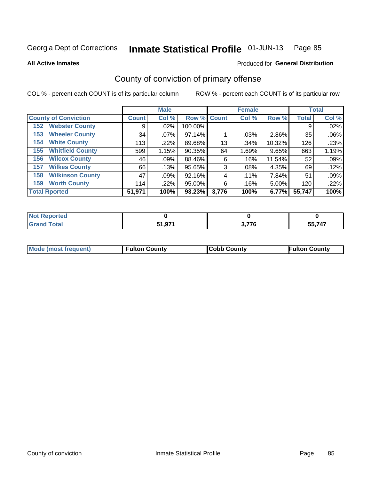**All Active Inmates**

#### Produced for **General Distribution**

## County of conviction of primary offense

|                                |              | <b>Male</b> |                    |       | <b>Female</b> |        |              | <b>Total</b> |
|--------------------------------|--------------|-------------|--------------------|-------|---------------|--------|--------------|--------------|
| <b>County of Conviction</b>    | <b>Count</b> | Col %       | <b>Row % Count</b> |       | Col %         | Row %  | <b>Total</b> | Col %        |
| <b>Webster County</b><br>152   | 9            | $.02\%$     | 100.00%            |       |               |        | 9            | .02%         |
| <b>Wheeler County</b><br>153   | 34           | $.07\%$     | 97.14%             |       | .03%          | 2.86%  | 35           | .06%         |
| <b>White County</b><br>154     | 113          | .22%        | 89.68%             | 13    | .34%          | 10.32% | 126          | .23%         |
| <b>Whitfield County</b><br>155 | 599          | 1.15%       | 90.35%             | 64    | 1.69%         | 9.65%  | 663          | 1.19%        |
| <b>Wilcox County</b><br>156    | 46           | .09%        | 88.46%             | 6     | .16%          | 11.54% | 52           | .09%         |
| <b>Wilkes County</b><br>157    | 66           | .13%        | 95.65%             | 3     | $.08\%$       | 4.35%  | 69           | .12%         |
| <b>Wilkinson County</b><br>158 | 47           | .09%        | 92.16%             | 4     | $.11\%$       | 7.84%  | 51           | .09%         |
| <b>Worth County</b><br>159     | 114          | .22%        | 95.00%             | 6     | .16%          | 5.00%  | 120          | .22%         |
| <b>Total Rported</b>           | 51,971       | 100%        | 93.23%             | 3,776 | 100%          | 6.77%  | 55,747       | 100%         |

| <b>Not Reported</b> |        |       |                       |
|---------------------|--------|-------|-----------------------|
| <b>Grand Total</b>  | E4 874 | 3,776 | 55,747<br>$\sim$<br>ື |

| Mode (most frequent) | <b>Fulton County</b> | <b>Cobb County</b> | <b>Fulton County</b> |
|----------------------|----------------------|--------------------|----------------------|
|                      |                      |                    |                      |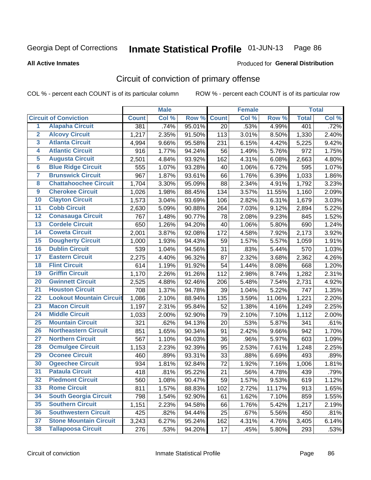**All Active Inmates**

#### Produced for **General Distribution**

## Circuit of conviction of primary offense

|                         |                                 |              | <b>Male</b> |        |              | <b>Female</b> |        |                    | <b>Total</b> |
|-------------------------|---------------------------------|--------------|-------------|--------|--------------|---------------|--------|--------------------|--------------|
|                         | <b>Circuit of Conviction</b>    | <b>Count</b> | Col %       | Row %  | <b>Count</b> | Col %         | Row %  | <b>Total</b>       | Col %        |
| $\overline{1}$          | <b>Alapaha Circuit</b>          | 381          | .74%        | 95.01% | 20           | .53%          | 4.99%  | 401                | .72%         |
| $\overline{2}$          | <b>Alcovy Circuit</b>           | 1,217        | 2.35%       | 91.50% | 113          | 3.01%         | 8.50%  | 1,330              | 2.40%        |
| $\overline{\mathbf{3}}$ | <b>Atlanta Circuit</b>          | 4,994        | 9.66%       | 95.58% | 231          | 6.15%         | 4.42%  | 5,225              | 9.42%        |
| 4                       | <b>Atlantic Circuit</b>         | 916          | 1.77%       | 94.24% | 56           | 1.49%         | 5.76%  | 972                | 1.75%        |
| 5                       | <b>Augusta Circuit</b>          | 2,501        | 4.84%       | 93.92% | 162          | 4.31%         | 6.08%  | 2,663              | 4.80%        |
| $\overline{\mathbf{6}}$ | <b>Blue Ridge Circuit</b>       | 555          | 1.07%       | 93.28% | 40           | 1.06%         | 6.72%  | 595                | 1.07%        |
| $\overline{\mathbf{7}}$ | <b>Brunswick Circuit</b>        | 967          | 1.87%       | 93.61% | 66           | 1.76%         | 6.39%  | 1,033              | 1.86%        |
| 8                       | <b>Chattahoochee Circuit</b>    | 1,704        | 3.30%       | 95.09% | 88           | 2.34%         | 4.91%  | 1,792              | 3.23%        |
| $\overline{9}$          | <b>Cherokee Circuit</b>         | 1,026        | 1.98%       | 88.45% | 134          | 3.57%         | 11.55% | 1,160              | 2.09%        |
| 10                      | <b>Clayton Circuit</b>          | 1,573        | 3.04%       | 93.69% | 106          | 2.82%         | 6.31%  | 1,679              | 3.03%        |
| 11                      | <b>Cobb Circuit</b>             | 2,630        | 5.09%       | 90.88% | 264          | 7.03%         | 9.12%  | 2,894              | 5.22%        |
| 12                      | <b>Conasauga Circuit</b>        | 767          | 1.48%       | 90.77% | 78           | 2.08%         | 9.23%  | 845                | 1.52%        |
| 13                      | <b>Cordele Circuit</b>          | 650          | 1.26%       | 94.20% | 40           | 1.06%         | 5.80%  | 690                | 1.24%        |
| 14                      | <b>Coweta Circuit</b>           | 2,001        | 3.87%       | 92.08% | 172          | 4.58%         | 7.92%  | 2,173              | 3.92%        |
| 15                      | <b>Dougherty Circuit</b>        | 1,000        | 1.93%       | 94.43% | 59           | 1.57%         | 5.57%  | 1,059              | 1.91%        |
| 16                      | <b>Dublin Circuit</b>           | 539          | 1.04%       | 94.56% | 31           | .83%          | 5.44%  | 570                | 1.03%        |
| 17                      | <b>Eastern Circuit</b>          | 2,275        | 4.40%       | 96.32% | 87           | 2.32%         | 3.68%  | $\overline{2,}362$ | 4.26%        |
| 18                      | <b>Flint Circuit</b>            | 614          | 1.19%       | 91.92% | 54           | 1.44%         | 8.08%  | 668                | 1.20%        |
| 19                      | <b>Griffin Circuit</b>          | 1,170        | 2.26%       | 91.26% | 112          | 2.98%         | 8.74%  | 1,282              | 2.31%        |
| 20                      | <b>Gwinnett Circuit</b>         | 2,525        | 4.88%       | 92.46% | 206          | 5.48%         | 7.54%  | 2,731              | 4.92%        |
| $\overline{21}$         | <b>Houston Circuit</b>          | 708          | 1.37%       | 94.78% | 39           | 1.04%         | 5.22%  | 747                | 1.35%        |
| $\overline{22}$         | <b>Lookout Mountain Circuit</b> | 1,086        | 2.10%       | 88.94% | 135          | 3.59%         | 11.06% | 1,221              | 2.20%        |
| 23                      | <b>Macon Circuit</b>            | 1,197        | 2.31%       | 95.84% | 52           | 1.38%         | 4.16%  | 1,249              | 2.25%        |
| 24                      | <b>Middle Circuit</b>           | 1,033        | 2.00%       | 92.90% | 79           | 2.10%         | 7.10%  | 1,112              | 2.00%        |
| 25                      | <b>Mountain Circuit</b>         | 321          | .62%        | 94.13% | 20           | .53%          | 5.87%  | 341                | .61%         |
| 26                      | <b>Northeastern Circuit</b>     | 851          | 1.65%       | 90.34% | 91           | 2.42%         | 9.66%  | 942                | 1.70%        |
| $\overline{27}$         | <b>Northern Circuit</b>         | 567          | 1.10%       | 94.03% | 36           | .96%          | 5.97%  | 603                | 1.09%        |
| 28                      | <b>Ocmulgee Circuit</b>         | 1,153        | 2.23%       | 92.39% | 95           | 2.53%         | 7.61%  | 1,248              | 2.25%        |
| 29                      | <b>Oconee Circuit</b>           | 460          | .89%        | 93.31% | 33           | .88%          | 6.69%  | 493                | .89%         |
| 30                      | <b>Ogeechee Circuit</b>         | 934          | 1.81%       | 92.84% | 72           | 1.92%         | 7.16%  | 1,006              | 1.81%        |
| $\overline{31}$         | <b>Pataula Circuit</b>          | 418          | .81%        | 95.22% | 21           | .56%          | 4.78%  | 439                | .79%         |
| 32                      | <b>Piedmont Circuit</b>         | 560          | 1.08%       | 90.47% | 59           | 1.57%         | 9.53%  | 619                | 1.12%        |
| 33                      | <b>Rome Circuit</b>             | 811          | 1.57%       | 88.83% | 102          | 2.72%         | 11.17% | 913                | 1.65%        |
| 34                      | <b>South Georgia Circuit</b>    | 798          | 1.54%       | 92.90% | 61           | 1.62%         | 7.10%  | 859                | 1.55%        |
| 35                      | <b>Southern Circuit</b>         | 1,151        | 2.23%       | 94.58% | 66           | 1.76%         | 5.42%  | 1,217              | 2.19%        |
| 36                      | <b>Southwestern Circuit</b>     | 425          | .82%        | 94.44% | 25           | .67%          | 5.56%  | 450                | .81%         |
| 37                      | <b>Stone Mountain Circuit</b>   | 3,243        | 6.27%       | 95.24% | 162          | 4.31%         | 4.76%  | 3,405              | 6.14%        |
| 38                      | <b>Tallapoosa Circuit</b>       | 276          | .53%        | 94.20% | 17           | .45%          | 5.80%  | 293                | .53%         |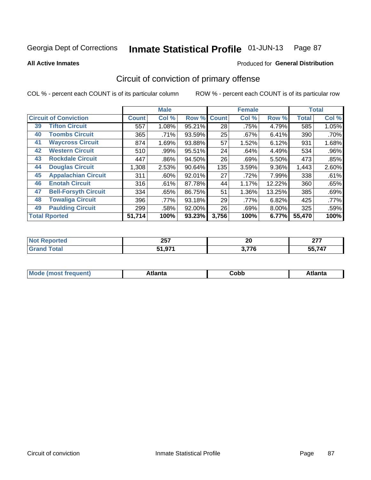**All Active Inmates**

#### Produced for **General Distribution**

## Circuit of conviction of primary offense

|    |                              |              | <b>Male</b> |        |              | <b>Female</b> |          |              | <b>Total</b> |
|----|------------------------------|--------------|-------------|--------|--------------|---------------|----------|--------------|--------------|
|    | <b>Circuit of Conviction</b> | <b>Count</b> | Col %       | Row %  | <b>Count</b> | Col %         | Row %    | <b>Total</b> | Col %        |
| 39 | <b>Tifton Circuit</b>        | 557          | 1.08%       | 95.21% | 28           | .75%          | 4.79%    | 585          | 1.05%        |
| 40 | <b>Toombs Circuit</b>        | 365          | .71%        | 93.59% | 25           | .67%          | 6.41%    | 390          | .70%         |
| 41 | <b>Waycross Circuit</b>      | 874          | 1.69%       | 93.88% | 57           | 1.52%         | 6.12%    | 931          | 1.68%        |
| 42 | <b>Western Circuit</b>       | 510          | .99%        | 95.51% | 24           | .64%          | 4.49%    | 534          | .96%         |
| 43 | <b>Rockdale Circuit</b>      | 447          | .86%        | 94.50% | 26           | .69%          | 5.50%    | 473          | .85%         |
| 44 | <b>Douglas Circuit</b>       | 1,308        | 2.53%       | 90.64% | 135          | 3.59%         | $9.36\%$ | 1,443        | 2.60%        |
| 45 | <b>Appalachian Circuit</b>   | 311          | $.60\%$     | 92.01% | 27           | .72%          | 7.99%    | 338          | .61%         |
| 46 | <b>Enotah Circuit</b>        | 316          | .61%        | 87.78% | 44           | 1.17%         | 12.22%   | 360          | .65%         |
| 47 | <b>Bell-Forsyth Circuit</b>  | 334          | .65%        | 86.75% | 51           | 1.36%         | 13.25%   | 385          | .69%         |
| 48 | <b>Towaliga Circuit</b>      | 396          | .77%        | 93.18% | 29           | .77%          | 6.82%    | 425          | $.77\%$      |
| 49 | <b>Paulding Circuit</b>      | 299          | .58%        | 92.00% | 26           | .69%          | $8.00\%$ | 325          | .59%         |
|    | <b>Total Rported</b>         | 51,714       | 100%        | 93.23% | 3,756        | 100%          | 6.77%    | 55,470       | 100%         |

| тет | 257<br>ZJ I        | . .<br>ZU   | ~~~<br>--            |
|-----|--------------------|-------------|----------------------|
|     | 074<br>- -<br>1.JI | 277c<br>1 C | <b>55 717</b><br>. . |

| M | . | ----<br>oг  | ----<br>пLс |
|---|---|-------------|-------------|
|   |   | <b>OUNN</b> |             |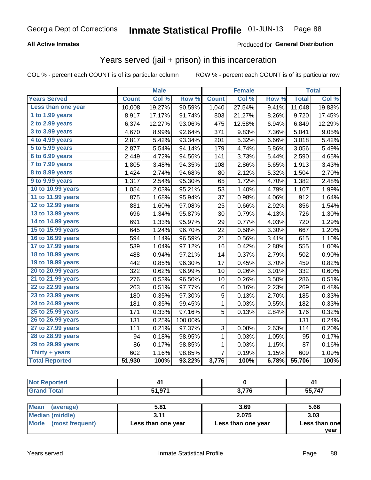#### **All Active Inmates**

#### Produced for **General Distribution**

#### Years served (jail + prison) in this incarceration

|                       |              | <b>Male</b> |         |              | <b>Female</b> |       |              | <b>Total</b> |
|-----------------------|--------------|-------------|---------|--------------|---------------|-------|--------------|--------------|
| <b>Years Served</b>   | <b>Count</b> | Col %       | Row %   | <b>Count</b> | Col %         | Row % | <b>Total</b> | Col %        |
| Less than one year    | 10,008       | 19.27%      | 90.59%  | 1,040        | 27.54%        | 9.41% | 11,048       | 19.83%       |
| 1 to 1.99 years       | 8,917        | 17.17%      | 91.74%  | 803          | 21.27%        | 8.26% | 9,720        | 17.45%       |
| 2 to 2.99 years       | 6,374        | 12.27%      | 93.06%  | 475          | 12.58%        | 6.94% | 6,849        | 12.29%       |
| 3 to 3.99 years       | 4,670        | 8.99%       | 92.64%  | 371          | 9.83%         | 7.36% | 5,041        | 9.05%        |
| 4 to 4.99 years       | 2,817        | 5.42%       | 93.34%  | 201          | 5.32%         | 6.66% | 3,018        | 5.42%        |
| 5 to 5.99 years       | 2,877        | 5.54%       | 94.14%  | 179          | 4.74%         | 5.86% | 3,056        | 5.49%        |
| $6$ to $6.99$ years   | 2,449        | 4.72%       | 94.56%  | 141          | 3.73%         | 5.44% | 2,590        | 4.65%        |
| 7 to 7.99 years       | 1,805        | 3.48%       | 94.35%  | 108          | 2.86%         | 5.65% | 1,913        | 3.43%        |
| 8 to 8.99 years       | 1,424        | 2.74%       | 94.68%  | 80           | 2.12%         | 5.32% | 1,504        | 2.70%        |
| 9 to 9.99 years       | 1,317        | 2.54%       | 95.30%  | 65           | 1.72%         | 4.70% | 1,382        | 2.48%        |
| 10 to 10.99 years     | 1,054        | 2.03%       | 95.21%  | 53           | 1.40%         | 4.79% | 1,107        | 1.99%        |
| 11 to 11.99 years     | 875          | 1.68%       | 95.94%  | 37           | 0.98%         | 4.06% | 912          | 1.64%        |
| 12 to 12.99 years     | 831          | 1.60%       | 97.08%  | 25           | 0.66%         | 2.92% | 856          | 1.54%        |
| 13 to 13.99 years     | 696          | 1.34%       | 95.87%  | 30           | 0.79%         | 4.13% | 726          | 1.30%        |
| 14 to 14.99 years     | 691          | 1.33%       | 95.97%  | 29           | 0.77%         | 4.03% | 720          | 1.29%        |
| 15 to 15.99 years     | 645          | 1.24%       | 96.70%  | 22           | 0.58%         | 3.30% | 667          | 1.20%        |
| 16 to 16.99 years     | 594          | 1.14%       | 96.59%  | 21           | 0.56%         | 3.41% | 615          | 1.10%        |
| 17 to 17.99 years     | 539          | 1.04%       | 97.12%  | 16           | 0.42%         | 2.88% | 555          | 1.00%        |
| 18 to 18.99 years     | 488          | 0.94%       | 97.21%  | 14           | 0.37%         | 2.79% | 502          | 0.90%        |
| 19 to 19.99 years     | 442          | 0.85%       | 96.30%  | 17           | 0.45%         | 3.70% | 459          | 0.82%        |
| 20 to 20.99 years     | 322          | 0.62%       | 96.99%  | 10           | 0.26%         | 3.01% | 332          | 0.60%        |
| 21 to 21.99 years     | 276          | 0.53%       | 96.50%  | 10           | 0.26%         | 3.50% | 286          | 0.51%        |
| 22 to 22.99 years     | 263          | 0.51%       | 97.77%  | 6            | 0.16%         | 2.23% | 269          | 0.48%        |
| 23 to 23.99 years     | 180          | 0.35%       | 97.30%  | 5            | 0.13%         | 2.70% | 185          | 0.33%        |
| 24 to 24.99 years     | 181          | 0.35%       | 99.45%  | 1            | 0.03%         | 0.55% | 182          | 0.33%        |
| 25 to 25.99 years     | 171          | 0.33%       | 97.16%  | 5            | 0.13%         | 2.84% | 176          | 0.32%        |
| 26 to 26.99 years     | 131          | 0.25%       | 100.00% |              |               |       | 131          | 0.24%        |
| 27 to 27.99 years     | 111          | 0.21%       | 97.37%  | 3            | 0.08%         | 2.63% | 114          | 0.20%        |
| 28 to 28.99 years     | 94           | 0.18%       | 98.95%  | 1            | 0.03%         | 1.05% | 95           | 0.17%        |
| 29 to 29.99 years     | 86           | 0.17%       | 98.85%  | 1            | 0.03%         | 1.15% | 87           | 0.16%        |
| Thirty + years        | 602          | 1.16%       | 98.85%  | 7            | 0.19%         | 1.15% | 609          | 1.09%        |
| <b>Total Reported</b> | 51,930       | 100%        | 93.22%  | 3,776        | 100%          | 6.78% | 55,706       | 100%         |

| <b>Not Reported</b>                           | 41        |                             | -41           |
|-----------------------------------------------|-----------|-----------------------------|---------------|
| <b>Grand Total</b>                            | 51,971    | 3,776                       | 55,747        |
|                                               |           |                             |               |
| Mean<br>(average)                             | 5.81      | 3.69                        | 5.66          |
| <b>LANGE AND CONTRACT AND A STATE OF A ST</b> | $\sim$ 44 | $\sim$ $\sim$ $\sim$ $\sim$ | $\sim$ $\sim$ |

| $1.005$ and $1.001$ and $1.001$ |                    | ----               | ----                  |
|---------------------------------|--------------------|--------------------|-----------------------|
| <b>Median (middle)</b>          |                    | 2.075              | 3.03                  |
| Mode (most frequent)            | Less than one year | Less than one year | Less than one<br>vear |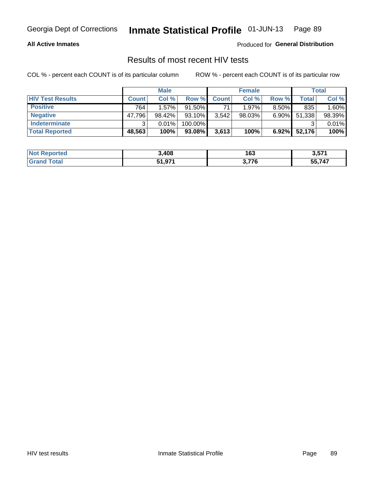#### **All Active Inmates**

Produced for **General Distribution**

#### Results of most recent HIV tests

|                         | <b>Male</b>  |        |         | <b>Female</b> |           |          | Total  |        |
|-------------------------|--------------|--------|---------|---------------|-----------|----------|--------|--------|
| <b>HIV Test Results</b> | <b>Count</b> | Col %  | Row %I  | <b>Count</b>  | Col %     | Row %    | Total  | Col %  |
| <b>Positive</b>         | 764.         | 1.57%  | 91.50%  | 71            | $1.97\%$  | $8.50\%$ | 835    | 1.60%  |
| <b>Negative</b>         | 47,796       | 98.42% | 93.10%  | 3,542         | $98.03\%$ | $6.90\%$ | 51,338 | 98.39% |
| <b>Indeterminate</b>    | ◠            | 0.01%  | 100.00% |               |           |          |        | 0.01%  |
| <b>Total Reported</b>   | 48,563       | 100%   | 93.08%  | 3,613         | 100%      | $6.92\%$ | 52,176 | 100%   |

| <b>Not Reported</b> | 3,408  | 163   | <b>2 E74</b><br>3.57. |
|---------------------|--------|-------|-----------------------|
| Гоtal               | 51,971 | 3,776 | 55,747                |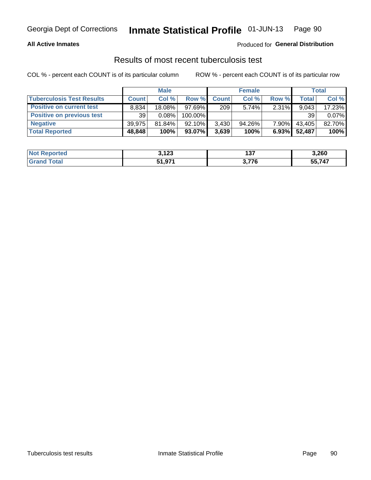#### **All Active Inmates**

#### Produced for **General Distribution**

#### Results of most recent tuberculosis test

|                                  | <b>Male</b>  |           |         | <b>Female</b> |           |          | Total   |        |
|----------------------------------|--------------|-----------|---------|---------------|-----------|----------|---------|--------|
| <b>Tuberculosis Test Results</b> | <b>Count</b> | Col%      | Row %I  | <b>Count</b>  | Col %     | Row %    | Total i | Col %  |
| <b>Positive on current test</b>  | 8.834        | $18.08\%$ | 97.69%  | 209           | $5.74\%$  | 2.31%    | 9.043   | 17.23% |
| <b>Positive on previous test</b> | 39           | $0.08\%$  | 100.00% |               |           |          | 39      | 0.07%  |
| <b>Negative</b>                  | 39.975       | $81.84\%$ | 92.10%  | 3,430         | $94.26\%$ | 7.90%    | 43,405  | 82.70% |
| <b>Total Reported</b>            | 48,848       | 100%      | 93.07%  | 3,639         | 100%      | $6.93\%$ | 52,487  | 100%   |

| <b>Not Reported</b>  | 3,123  | ר י<br>1 J I | 3,260  |
|----------------------|--------|--------------|--------|
| <b>Total</b><br>Gran | 51,971 | 3,776        | 55,747 |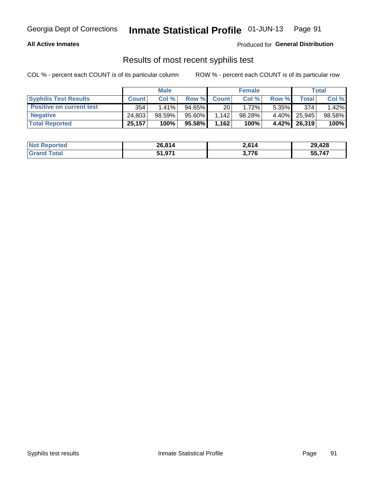#### **All Active Inmates**

Produced for **General Distribution**

#### Results of most recent syphilis test

|                                 | <b>Male</b>  |           |           | <b>Female</b> |           |          | Total   |        |
|---------------------------------|--------------|-----------|-----------|---------------|-----------|----------|---------|--------|
| <b>Syphilis Test Results</b>    | <b>Count</b> | Col%      | Row %     | <b>Count</b>  | Col %     | Row %    | Total I | Col %  |
| <b>Positive on current test</b> | 354          | $1.41\%$  | $94.65\%$ | 20            | 1.72%     | $5.35\%$ | 374     | 1.42%  |
| <b>Negative</b>                 | 24.803       | $98.59\%$ | 95.60%    | .142          | $98.28\%$ | $4.40\%$ | 25.945  | 98.58% |
| <b>Total Reported</b>           | 25,157       | 100%      | 95.58%    | 1,162         | 100%      | $4.42\%$ | 26,319  | 100%   |

| <b>Not Reported</b> | 26,814 | 2,614 | 29,428 |
|---------------------|--------|-------|--------|
| <b>Grand Total</b>  | 51,971 | 3,776 | 55,747 |